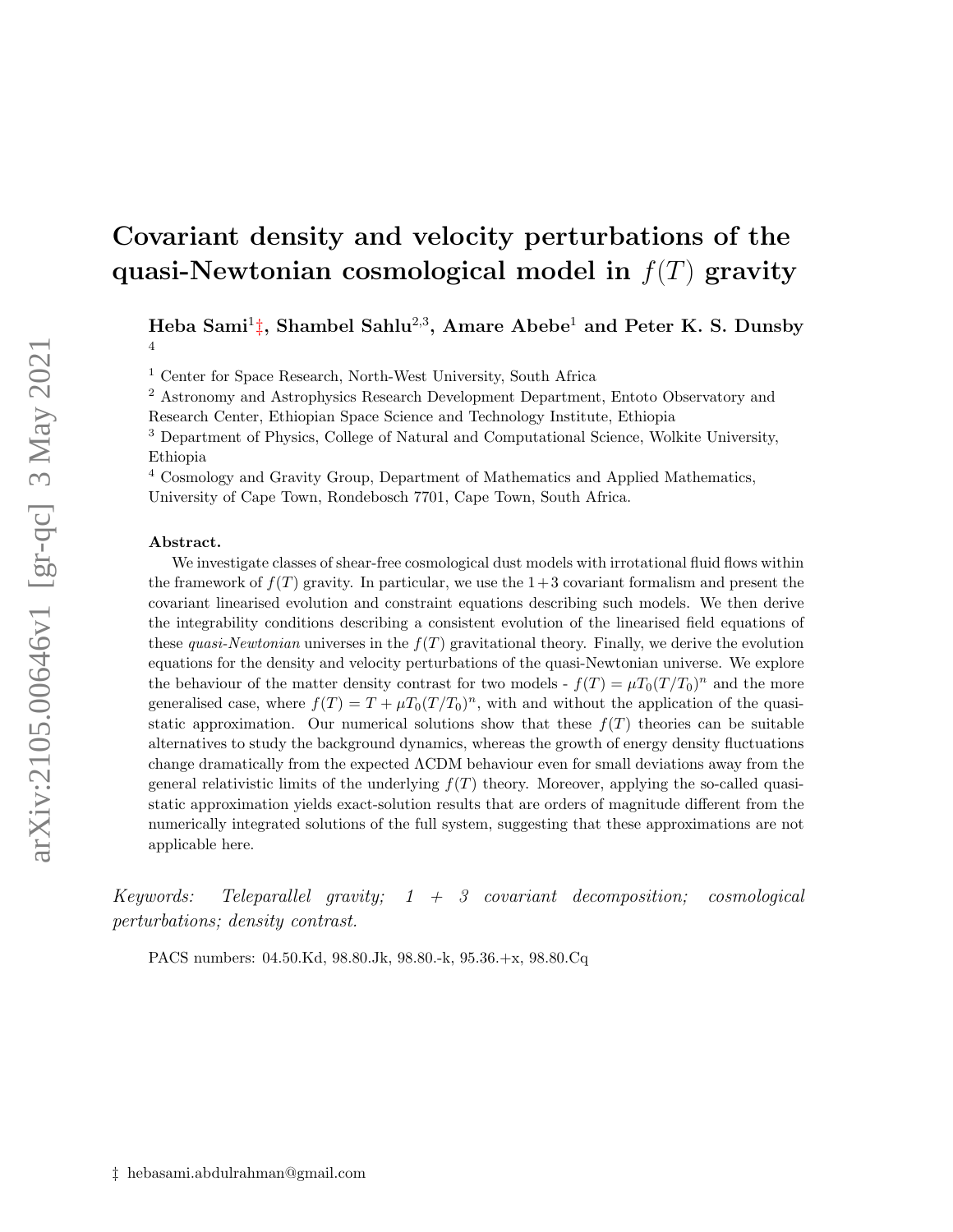Heba Sami<sup>1</sup>[‡](#page-0-0), Shambel Sahlu<sup>2,3</sup>, Amare Abebe<sup>1</sup> and Peter K. S. Dunsby 4

<sup>1</sup> Center for Space Research, North-West University, South Africa

<sup>2</sup> Astronomy and Astrophysics Research Development Department, Entoto Observatory and Research Center, Ethiopian Space Science and Technology Institute, Ethiopia

<sup>3</sup> Department of Physics, College of Natural and Computational Science, Wolkite University, Ethiopia

<sup>4</sup> Cosmology and Gravity Group, Department of Mathematics and Applied Mathematics,

University of Cape Town, Rondebosch 7701, Cape Town, South Africa.

#### Abstract.

We investigate classes of shear-free cosmological dust models with irrotational fluid flows within the framework of  $f(T)$  gravity. In particular, we use the  $1+3$  covariant formalism and present the covariant linearised evolution and constraint equations describing such models. We then derive the integrability conditions describing a consistent evolution of the linearised field equations of these quasi-Newtonian universes in the  $f(T)$  gravitational theory. Finally, we derive the evolution equations for the density and velocity perturbations of the quasi-Newtonian universe. We explore the behaviour of the matter density contrast for two models -  $f(T) = \mu T_0(T/T_0)^n$  and the more generalised case, where  $f(T) = T + \mu T_0 (T/T_0)^n$ , with and without the application of the quasistatic approximation. Our numerical solutions show that these  $f(T)$  theories can be suitable alternatives to study the background dynamics, whereas the growth of energy density fluctuations change dramatically from the expected ΛCDM behaviour even for small deviations away from the general relativistic limits of the underlying  $f(T)$  theory. Moreover, applying the so-called quasistatic approximation yields exact-solution results that are orders of magnitude different from the numerically integrated solutions of the full system, suggesting that these approximations are not applicable here.

Keywords: Teleparallel gravity;  $1 + 3$  covariant decomposition; cosmological perturbations; density contrast.

<span id="page-0-0"></span>PACS numbers: 04.50.Kd, 98.80.Jk, 98.80.-k, 95.36.+x, 98.80.Cq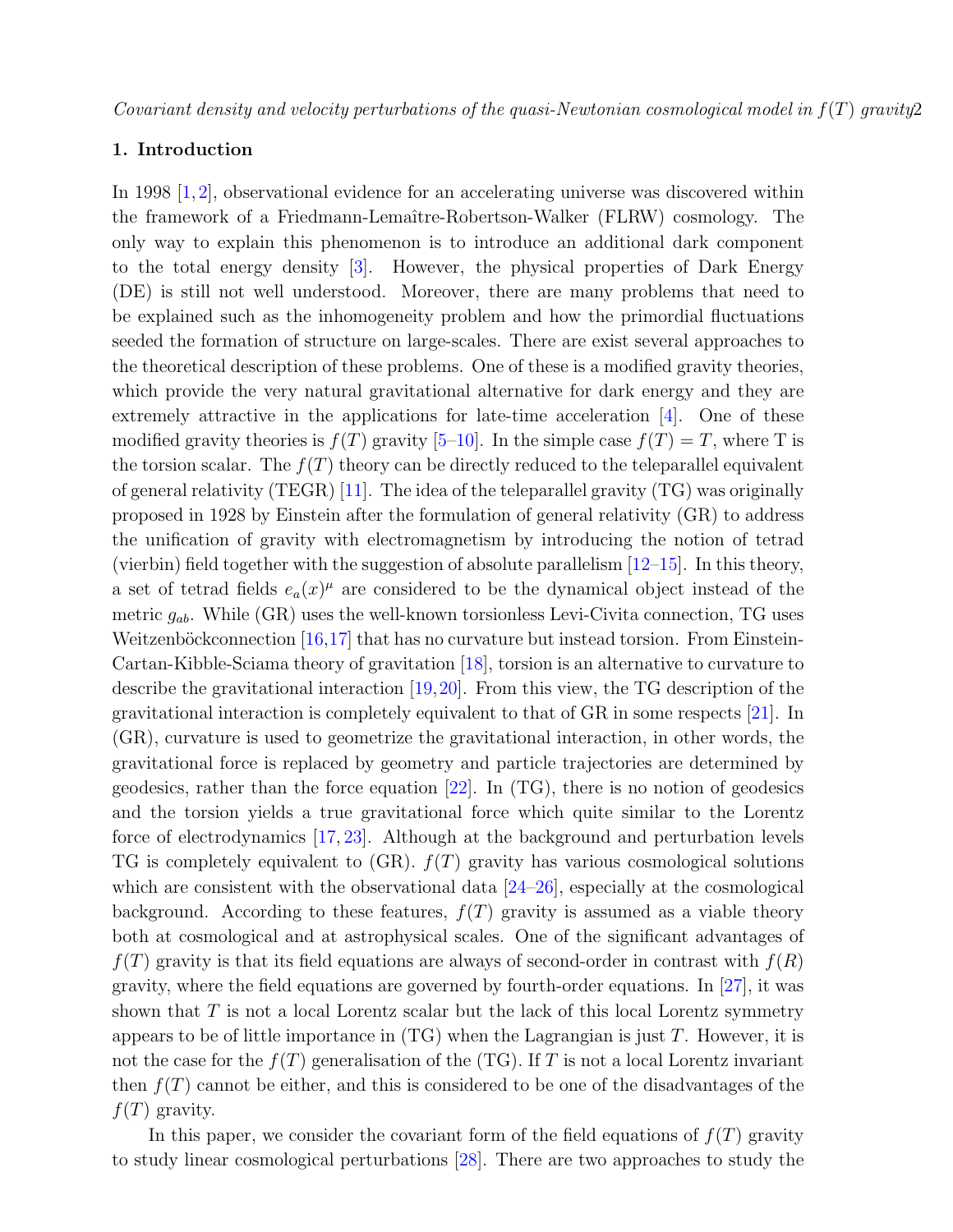### 1. Introduction

In 1998 [\[1,](#page-27-0)[2\]](#page-27-1), observational evidence for an accelerating universe was discovered within the framework of a Friedmann-Lemaˆıtre-Robertson-Walker (FLRW) cosmology. The only way to explain this phenomenon is to introduce an additional dark component to the total energy density [\[3\]](#page-27-2). However, the physical properties of Dark Energy (DE) is still not well understood. Moreover, there are many problems that need to be explained such as the inhomogeneity problem and how the primordial fluctuations seeded the formation of structure on large-scales. There are exist several approaches to the theoretical description of these problems. One of these is a modified gravity theories, which provide the very natural gravitational alternative for dark energy and they are extremely attractive in the applications for late-time acceleration [\[4\]](#page-27-3). One of these modified gravity theories is  $f(T)$  gravity [\[5](#page-27-4)[–10\]](#page-27-5). In the simple case  $f(T) = T$ , where T is the torsion scalar. The  $f(T)$  theory can be directly reduced to the teleparallel equivalent of general relativity (TEGR) [\[11\]](#page-27-6). The idea of the teleparallel gravity (TG) was originally proposed in 1928 by Einstein after the formulation of general relativity (GR) to address the unification of gravity with electromagnetism by introducing the notion of tetrad (vierbin) field together with the suggestion of absolute parallelism  $[12–15]$  $[12–15]$ . In this theory, a set of tetrad fields  $e_a(x)^\mu$  are considered to be the dynamical object instead of the metric  $g_{ab}$ . While (GR) uses the well-known torsionless Levi-Civita connection, TG uses Weitzenböckconnection  $[16,17]$  $[16,17]$  that has no curvature but instead torsion. From Einstein-Cartan-Kibble-Sciama theory of gravitation [\[18\]](#page-27-11), torsion is an alternative to curvature to describe the gravitational interaction [\[19,](#page-27-12)[20\]](#page-28-0). From this view, the TG description of the gravitational interaction is completely equivalent to that of GR in some respects [\[21\]](#page-28-1). In (GR), curvature is used to geometrize the gravitational interaction, in other words, the gravitational force is replaced by geometry and particle trajectories are determined by geodesics, rather than the force equation [\[22\]](#page-28-2). In (TG), there is no notion of geodesics and the torsion yields a true gravitational force which quite similar to the Lorentz force of electrodynamics [\[17,](#page-27-10) [23\]](#page-28-3). Although at the background and perturbation levels TG is completely equivalent to  $(GR)$ .  $f(T)$  gravity has various cosmological solutions which are consistent with the observational data  $[24-26]$  $[24-26]$ , especially at the cosmological background. According to these features,  $f(T)$  gravity is assumed as a viable theory both at cosmological and at astrophysical scales. One of the significant advantages of  $f(T)$  gravity is that its field equations are always of second-order in contrast with  $f(R)$ gravity, where the field equations are governed by fourth-order equations. In [\[27\]](#page-28-6), it was shown that  $T$  is not a local Lorentz scalar but the lack of this local Lorentz symmetry appears to be of little importance in  $(TG)$  when the Lagrangian is just T. However, it is not the case for the  $f(T)$  generalisation of the (TG). If T is not a local Lorentz invariant then  $f(T)$  cannot be either, and this is considered to be one of the disadvantages of the  $f(T)$  gravity.

In this paper, we consider the covariant form of the field equations of  $f(T)$  gravity to study linear cosmological perturbations [\[28\]](#page-28-7). There are two approaches to study the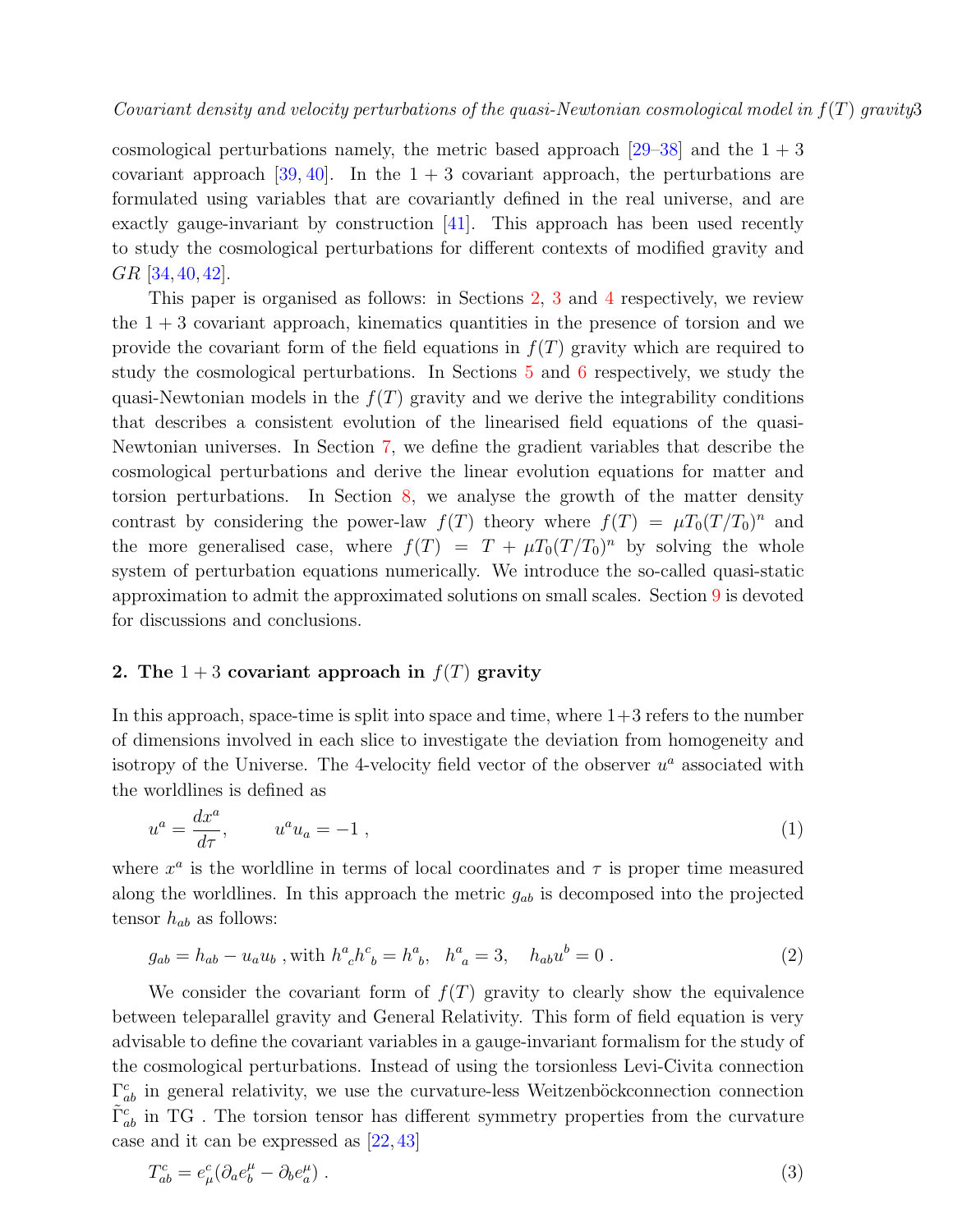cosmological perturbations namely, the metric based approach  $[29-38]$  $[29-38]$  and the  $1+3$ covariant approach  $[39, 40]$  $[39, 40]$ . In the  $1 + 3$  covariant approach, the perturbations are formulated using variables that are covariantly defined in the real universe, and are exactly gauge-invariant by construction [\[41\]](#page-28-12). This approach has been used recently to study the cosmological perturbations for different contexts of modified gravity and GR [\[34,](#page-28-13) [40,](#page-28-11) [42\]](#page-28-14).

This paper is organised as follows: in Sections [2,](#page-2-0) [3](#page-4-0) and [4](#page-6-0) respectively, we review the  $1 + 3$  covariant approach, kinematics quantities in the presence of torsion and we provide the covariant form of the field equations in  $f(T)$  gravity which are required to study the cosmological perturbations. In Sections [5](#page-7-0) and [6](#page-8-0) respectively, we study the quasi-Newtonian models in the  $f(T)$  gravity and we derive the integrability conditions that describes a consistent evolution of the linearised field equations of the quasi-Newtonian universes. In Section [7,](#page-10-0) we define the gradient variables that describe the cosmological perturbations and derive the linear evolution equations for matter and torsion perturbations. In Section [8,](#page-16-0) we analyse the growth of the matter density contrast by considering the power-law  $f(T)$  theory where  $f(T) = \mu T_0 (T/T_0)^n$  and the more generalised case, where  $f(T) = T + \mu T_0 (T/T_0)^n$  by solving the whole system of perturbation equations numerically. We introduce the so-called quasi-static approximation to admit the approximated solutions on small scales. Section [9](#page-25-0) is devoted for discussions and conclusions.

### <span id="page-2-0"></span>2. The  $1+3$  covariant approach in  $f(T)$  gravity

In this approach, space-time is split into space and time, where  $1+3$  refers to the number of dimensions involved in each slice to investigate the deviation from homogeneity and isotropy of the Universe. The 4-velocity field vector of the observer  $u^a$  associated with the worldlines is defined as

$$
u^a = \frac{dx^a}{d\tau}, \qquad u^a u_a = -1 \tag{1}
$$

where  $x^a$  is the worldline in terms of local coordinates and  $\tau$  is proper time measured along the worldlines. In this approach the metric  $g_{ab}$  is decomposed into the projected tensor  $h_{ab}$  as follows:

$$
g_{ab} = h_{ab} - u_a u_b \text{, with } h^a{}_c h^c{}_b = h^a{}_b, \quad h^a{}_a = 3, \quad h_{ab} u^b = 0 \tag{2}
$$

We consider the covariant form of  $f(T)$  gravity to clearly show the equivalence between teleparallel gravity and General Relativity. This form of field equation is very advisable to define the covariant variables in a gauge-invariant formalism for the study of the cosmological perturbations. Instead of using the torsionless Levi-Civita connection  $\Gamma^c_{ab}$  in general relativity, we use the curvature-less Weitzenböckconnection connection  $\tilde{\Gamma}^c_{ab}$  in TG . The torsion tensor has different symmetry properties from the curvature case and it can be expressed as [\[22,](#page-28-2) [43\]](#page-28-15)

$$
T_{ab}^c = e^c_\mu (\partial_a e^\mu_b - \partial_b e^\mu_a) \tag{3}
$$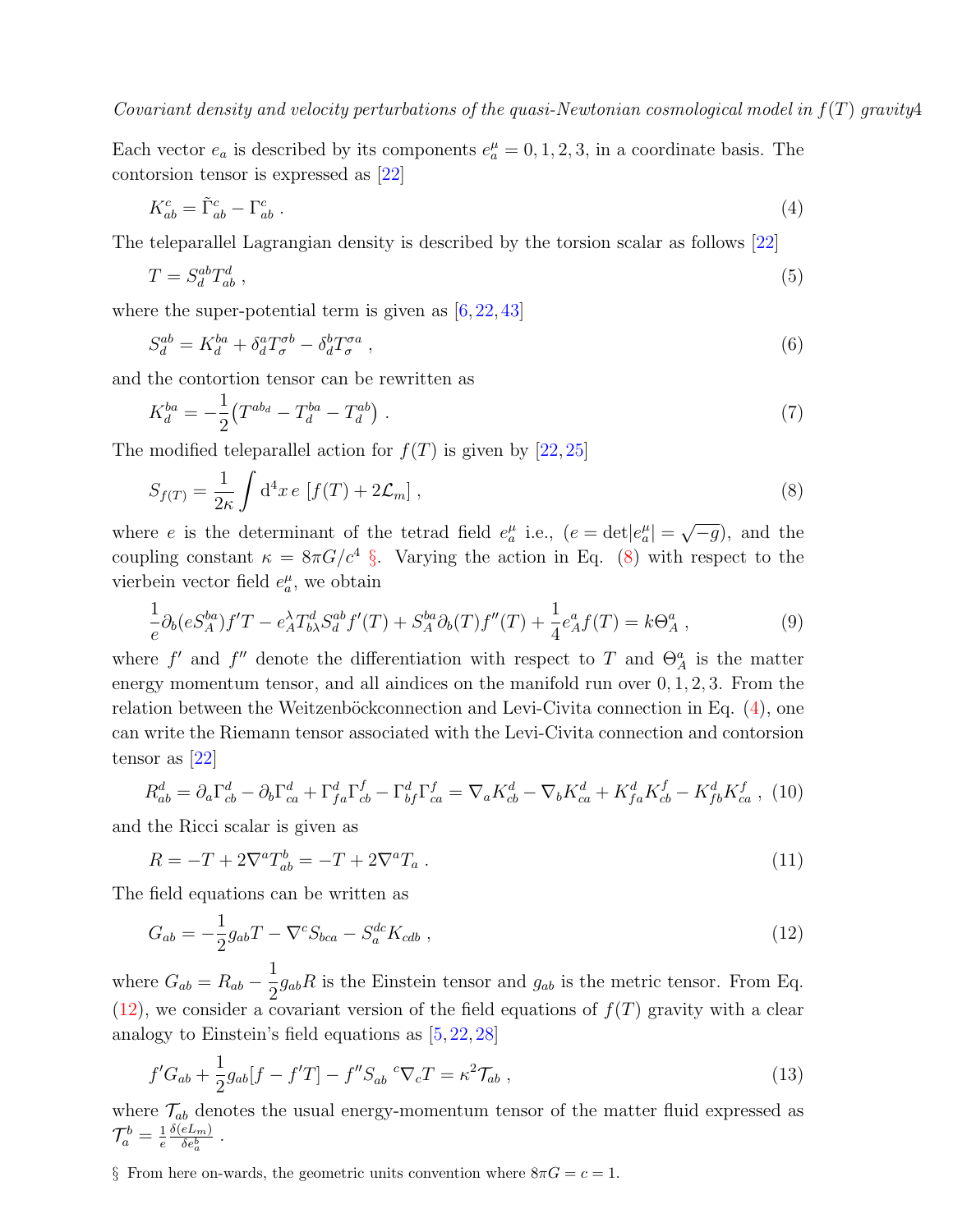Each vector  $e_a$  is described by its components  $e_a^{\mu} = 0, 1, 2, 3$ , in a coordinate basis. The contorsion tensor is expressed as [\[22\]](#page-28-2)

<span id="page-3-2"></span>
$$
K_{ab}^c = \tilde{\Gamma}_{ab}^c - \Gamma_{ab}^c \tag{4}
$$

The teleparallel Lagrangian density is described by the torsion scalar as follows [\[22\]](#page-28-2)

$$
T = S_d^{ab} T_{ab}^d \t\t(5)
$$

where the super-potential term is given as  $[6, 22, 43]$  $[6, 22, 43]$  $[6, 22, 43]$  $[6, 22, 43]$ 

$$
S_d^{ab} = K_d^{ba} + \delta_d^a T_\sigma^{ab} - \delta_d^b T_\sigma^{aa} \,,\tag{6}
$$

and the contortion tensor can be rewritten as

<span id="page-3-1"></span>
$$
K_d^{ba} = -\frac{1}{2} \left( T^{ab_d} - T_d^{ba} - T_d^{ab} \right) \,. \tag{7}
$$

The modified teleparallel action for  $f(T)$  is given by [\[22,](#page-28-2) [25\]](#page-28-16)

$$
S_{f(T)} = \frac{1}{2\kappa} \int d^4x \, e \, \left[ f(T) + 2\mathcal{L}_m \right],\tag{8}
$$

where e is the determinant of the tetrad field  $e_a^{\mu}$  i.e.,  $(e = det|e_a^{\mu}| =$  $\overline{-g}$ , and the coupling constant  $\kappa = 8\pi G/c^4$  [§](#page-3-0). Varying the action in Eq. [\(8\)](#page-3-1) with respect to the vierbein vector field  $e_a^{\mu}$ , we obtain

$$
\frac{1}{e}\partial_b(eS_A^{ba})f'T - e_A^{\lambda}T_{b\lambda}^dS_d^{ab}f'(T) + S_A^{ba}\partial_b(T)f''(T) + \frac{1}{4}e_A^af(T) = k\Theta_A^a,
$$
\n(9)

where f' and f'' denote the differentiation with respect to T and  $\Theta_A^a$  is the matter energy momentum tensor, and all aindices on the manifold run over  $0, 1, 2, 3$ . From the relation between the Weitzenböck connection and Levi-Civita connection in Eq.  $(4)$ , one can write the Riemann tensor associated with the Levi-Civita connection and contorsion tensor as [\[22\]](#page-28-2)

$$
R_{ab}^d = \partial_a \Gamma_{cb}^d - \partial_b \Gamma_{ca}^d + \Gamma_{fa}^d \Gamma_{cb}^f - \Gamma_{bf}^d \Gamma_{ca}^f = \nabla_a K_{cb}^d - \nabla_b K_{ca}^d + K_{fa}^d K_{cb}^f - K_{fb}^d K_{ca}^f
$$
 (10)

and the Ricci scalar is given as

<span id="page-3-3"></span>
$$
R = -T + 2\nabla^a T_{ab}^b = -T + 2\nabla^a T_a \,. \tag{11}
$$

The field equations can be written as

$$
G_{ab} = -\frac{1}{2}g_{ab}T - \nabla^c S_{bca} - S_a^{dc} K_{cdb} , \qquad (12)
$$

where  $G_{ab} = R_{ab} - \frac{1}{2}$  $\frac{1}{2}g_{ab}R$  is the Einstein tensor and  $g_{ab}$  is the metric tensor. From Eq.  $(12)$ , we consider a covariant version of the field equations of  $f(T)$  gravity with a clear analogy to Einstein's field equations as [\[5,](#page-27-4) [22,](#page-28-2) [28\]](#page-28-7)

<span id="page-3-4"></span>
$$
f'G_{ab} + \frac{1}{2}g_{ab}[f - f'T] - f''S_{ab} \,^c \nabla_c T = \kappa^2 \mathcal{T}_{ab} \,, \tag{13}
$$

where  $\mathcal{T}_{ab}$  denotes the usual energy-momentum tensor of the matter fluid expressed as  $\mathcal{T}^b_a = \frac{1}{e}$ e  $\delta(eL_m)$  $\frac{eL_m)}{\delta e_a^b}$  .

<span id="page-3-0"></span>§ From here on-wards, the geometric units convention where  $8\pi G = c = 1$ .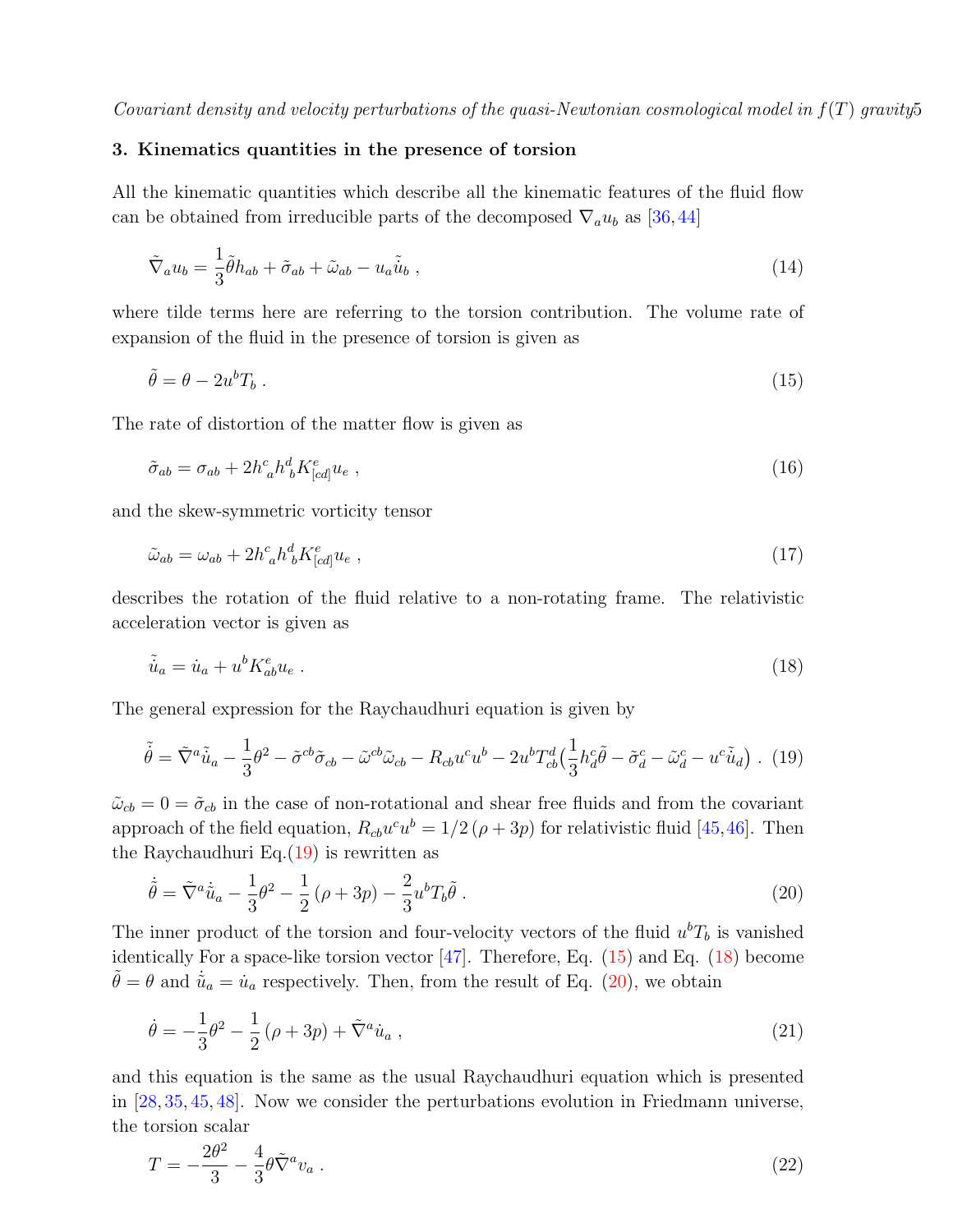### <span id="page-4-0"></span>3. Kinematics quantities in the presence of torsion

All the kinematic quantities which describe all the kinematic features of the fluid flow can be obtained from irreducible parts of the decomposed  $\nabla_a u_b$  as [\[36,](#page-28-17)[44\]](#page-28-18)

$$
\tilde{\nabla}_a u_b = \frac{1}{3} \tilde{\theta} h_{ab} + \tilde{\sigma}_{ab} + \tilde{\omega}_{ab} - u_a \tilde{\dot{u}}_b , \qquad (14)
$$

where tilde terms here are referring to the torsion contribution. The volume rate of expansion of the fluid in the presence of torsion is given as

<span id="page-4-2"></span>
$$
\tilde{\theta} = \theta - 2u^b T_b \tag{15}
$$

The rate of distortion of the matter flow is given as

$$
\tilde{\sigma}_{ab} = \sigma_{ab} + 2h^c_{\ a}h^d_{\ b}K^e_{[cd]}u_e\ ,\tag{16}
$$

and the skew-symmetric vorticity tensor

$$
\tilde{\omega}_{ab} = \omega_{ab} + 2h^c_{\ a}h^d_{\ b}K^e_{[cd]}u_e \ , \tag{17}
$$

describes the rotation of the fluid relative to a non-rotating frame. The relativistic acceleration vector is given as

<span id="page-4-3"></span><span id="page-4-1"></span>
$$
\tilde{u}_a = \dot{u}_a + u^b K_{ab}^e u_e \tag{18}
$$

The general expression for the Raychaudhuri equation is given by

$$
\tilde{\dot{\theta}} = \tilde{\nabla}^a \tilde{u}_a - \frac{1}{3} \theta^2 - \tilde{\sigma}^{cb} \tilde{\sigma}_{cb} - \tilde{\omega}^{cb} \tilde{\omega}_{cb} - R_{cb} u^c u^b - 2u^b T_{cb}^d \left(\frac{1}{3} h^c_d \tilde{\theta} - \tilde{\sigma}_d^c - \tilde{\omega}_d^c - u^c \tilde{u}_d\right). (19)
$$

 $\tilde{\omega}_{cb} = 0 = \tilde{\sigma}_{cb}$  in the case of non-rotational and shear free fluids and from the covariant approach of the field equation,  $R_{cb}u^c u^b = 1/2(\rho + 3p)$  for relativistic fluid [\[45,](#page-28-19)[46\]](#page-28-20). Then the Raychaudhuri Eq. $(19)$  is rewritten as

<span id="page-4-4"></span>
$$
\dot{\tilde{\theta}} = \tilde{\nabla}^a \dot{\tilde{u}}_a - \frac{1}{3} \theta^2 - \frac{1}{2} (\rho + 3p) - \frac{2}{3} u^b T_b \tilde{\theta} . \tag{20}
$$

The inner product of the torsion and four-velocity vectors of the fluid  $u^bT_b$  is vanished identically For a space-like torsion vector [\[47\]](#page-28-21). Therefore, Eq. [\(15\)](#page-4-2) and Eq. [\(18\)](#page-4-3) become  $\tilde{\theta} = \theta$  and  $\dot{\tilde{u}}_a = \dot{u}_a$  respectively. Then, from the result of Eq. [\(20\)](#page-4-4), we obtain

<span id="page-4-5"></span>
$$
\dot{\theta} = -\frac{1}{3}\theta^2 - \frac{1}{2}(\rho + 3p) + \tilde{\nabla}^a \dot{u}_a , \qquad (21)
$$

and this equation is the same as the usual Raychaudhuri equation which is presented in [\[28,](#page-28-7) [35,](#page-28-22) [45,](#page-28-19) [48\]](#page-28-23). Now we consider the perturbations evolution in Friedmann universe, the torsion scalar

$$
T = -\frac{2\theta^2}{3} - \frac{4}{3}\theta\tilde{\nabla}^a v_a \tag{22}
$$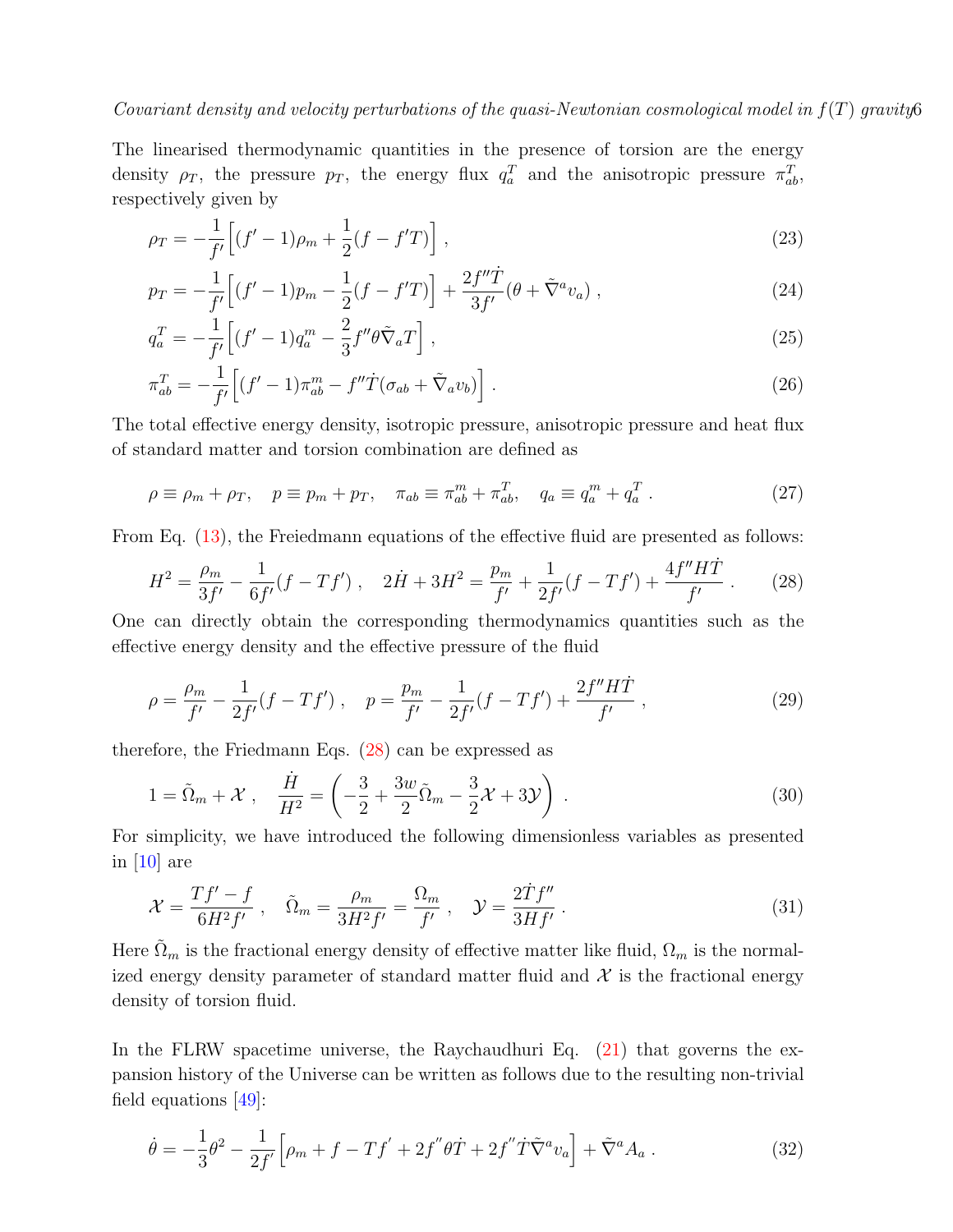The linearised thermodynamic quantities in the presence of torsion are the energy density  $\rho_T$ , the pressure  $p_T$ , the energy flux  $q_a^T$  and the anisotropic pressure  $\pi_{ab}^T$ , respectively given by

<span id="page-5-1"></span>
$$
\rho_T = -\frac{1}{f'} \Big[ (f'-1)\rho_m + \frac{1}{2}(f-f'T) \Big] \,, \tag{23}
$$

$$
p_T = -\frac{1}{f'} \Big[ (f'-1)p_m - \frac{1}{2}(f-f'T) \Big] + \frac{2f''\dot{T}}{3f'} (\theta + \tilde{\nabla}^a v_a) , \qquad (24)
$$

$$
q_a^T = -\frac{1}{f'} \left[ (f' - 1) q_a^m - \frac{2}{3} f'' \theta \tilde{\nabla}_a T \right],
$$
\n(25)

$$
\pi_{ab}^T = -\frac{1}{f'} \left[ (f'-1)\pi_{ab}^m - f''\dot{T}(\sigma_{ab} + \tilde{\nabla}_a v_b) \right]. \tag{26}
$$

The total effective energy density, isotropic pressure, anisotropic pressure and heat flux of standard matter and torsion combination are defined as

<span id="page-5-2"></span>
$$
\rho \equiv \rho_m + \rho_T, \quad p \equiv p_m + p_T, \quad \pi_{ab} \equiv \pi_{ab}^m + \pi_{ab}^T, \quad q_a \equiv q_a^m + q_a^T. \tag{27}
$$

From Eq.  $(13)$ , the Freiedmann equations of the effective fluid are presented as follows:

<span id="page-5-0"></span>
$$
H^{2} = \frac{\rho_{m}}{3f'} - \frac{1}{6f'}(f - Tf') , \quad 2\dot{H} + 3H^{2} = \frac{p_{m}}{f'} + \frac{1}{2f'}(f - Tf') + \frac{4f''H\dot{T}}{f'} . \tag{28}
$$

One can directly obtain the corresponding thermodynamics quantities such as the effective energy density and the effective pressure of the fluid

<span id="page-5-5"></span>
$$
\rho = \frac{\rho_m}{f'} - \frac{1}{2f'}(f - Tf') , \quad p = \frac{p_m}{f'} - \frac{1}{2f'}(f - Tf') + \frac{2f''H\dot{T}}{f'} , \qquad (29)
$$

therefore, the Friedmann Eqs. [\(28\)](#page-5-0) can be expressed as

<span id="page-5-4"></span>
$$
1 = \tilde{\Omega}_m + \mathcal{X} , \quad \frac{\dot{H}}{H^2} = \left( -\frac{3}{2} + \frac{3w}{2}\tilde{\Omega}_m - \frac{3}{2}\mathcal{X} + 3\mathcal{Y} \right) . \tag{30}
$$

For simplicity, we have introduced the following dimensionless variables as presented in  $[10]$  are

<span id="page-5-3"></span>
$$
\mathcal{X} = \frac{Tf' - f}{6H^2 f'}, \quad \tilde{\Omega}_m = \frac{\rho_m}{3H^2 f'} = \frac{\Omega_m}{f'}, \quad \mathcal{Y} = \frac{2\dot{T}f''}{3Hf'}.
$$
\n(31)

Here  $\tilde{\Omega}_m$  is the fractional energy density of effective matter like fluid,  $\Omega_m$  is the normalized energy density parameter of standard matter fluid and  $\mathcal{X}$  is the fractional energy density of torsion fluid.

In the FLRW spacetime universe, the Raychaudhuri Eq. [\(21\)](#page-4-5) that governs the expansion history of the Universe can be written as follows due to the resulting non-trivial field equations [\[49\]](#page-28-24):

$$
\dot{\theta} = -\frac{1}{3}\theta^2 - \frac{1}{2f'} \Big[ \rho_m + f - Tf' + 2f''\theta \dot{T} + 2f''\dot{T}\tilde{\nabla}^a v_a \Big] + \tilde{\nabla}^a A_a \,. \tag{32}
$$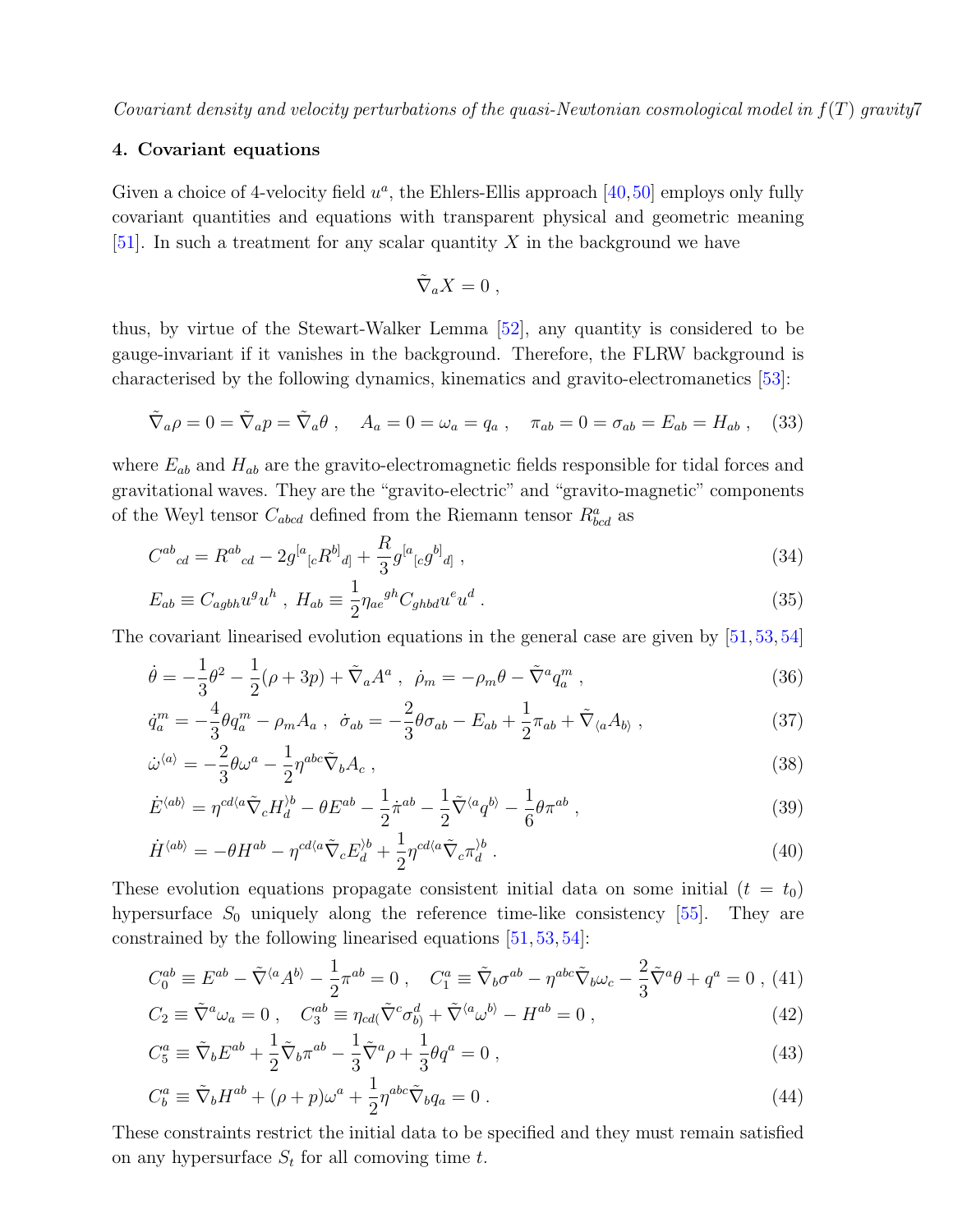### <span id="page-6-0"></span>4. Covariant equations

Given a choice of 4-velocity field  $u^a$ , the Ehlers-Ellis approach  $[40,50]$  $[40,50]$  employs only fully covariant quantities and equations with transparent physical and geometric meaning [\[51\]](#page-28-26). In such a treatment for any scalar quantity  $X$  in the background we have

<span id="page-6-1"></span>
$$
\tilde{\nabla}_a X = 0 \; ,
$$

thus, by virtue of the Stewart-Walker Lemma [\[52\]](#page-28-27), any quantity is considered to be gauge-invariant if it vanishes in the background. Therefore, the FLRW background is characterised by the following dynamics, kinematics and gravito-electromanetics [\[53\]](#page-28-28):

$$
\tilde{\nabla}_a \rho = 0 = \tilde{\nabla}_a p = \tilde{\nabla}_a \theta , \quad A_a = 0 = \omega_a = q_a , \quad \pi_{ab} = 0 = \sigma_{ab} = E_{ab} = H_{ab} , \quad (33)
$$

where  $E_{ab}$  and  $H_{ab}$  are the gravito-electromagnetic fields responsible for tidal forces and gravitational waves. They are the "gravito-electric" and "gravito-magnetic" components of the Weyl tensor  $C_{abcd}$  defined from the Riemann tensor  $R^a_{bcd}$  as

$$
C^{ab}{}_{cd} = R^{ab}{}_{cd} - 2g^{[a}{}_{[c}R^{b]}{}_{d]} + \frac{R}{3}g^{[a}{}_{[c}g^{b]}{}_{d]}, \qquad (34)
$$

$$
E_{ab} \equiv C_{agbh} u^g u^h , H_{ab} \equiv \frac{1}{2} \eta_{ae}{}^{gh} C_{ghbd} u^e u^d . \qquad (35)
$$

The covariant linearised evolution equations in the general case are given by [\[51,](#page-28-26)[53,](#page-28-28)[54\]](#page-28-29)

<span id="page-6-2"></span>
$$
\dot{\theta} = -\frac{1}{3}\theta^2 - \frac{1}{2}(\rho + 3p) + \tilde{\nabla}_a A^a , \ \dot{\rho}_m = -\rho_m \theta - \tilde{\nabla}^a q_a^m , \tag{36}
$$

$$
\dot{q}_a^m = -\frac{4}{3}\theta q_a^m - \rho_m A_a \ , \ \dot{\sigma}_{ab} = -\frac{2}{3}\theta \sigma_{ab} - E_{ab} + \frac{1}{2}\pi_{ab} + \tilde{\nabla}_{\langle a} A_{b \rangle} \ , \tag{37}
$$

$$
\dot{\omega}^{\langle a \rangle} = -\frac{2}{3} \theta \omega^a - \frac{1}{2} \eta^{abc} \tilde{\nabla}_b A_c , \qquad (38)
$$

$$
\dot{E}^{\langle ab \rangle} = \eta^{cd\langle a} \tilde{\nabla}_c H_d^{\rangle b} - \theta E^{ab} - \frac{1}{2} \dot{\pi}^{ab} - \frac{1}{2} \tilde{\nabla}^{\langle a} q^{b \rangle} - \frac{1}{6} \theta \pi^{ab} , \qquad (39)
$$

$$
\dot{H}^{\langle ab \rangle} = -\theta H^{ab} - \eta^{cd\langle a} \tilde{\nabla}_c E_d^{\rangle b} + \frac{1}{2} \eta^{cd\langle a} \tilde{\nabla}_c \pi_d^{\rangle b} \,. \tag{40}
$$

These evolution equations propagate consistent initial data on some initial  $(t = t_0)$ hypersurface  $S_0$  uniquely along the reference time-like consistency [\[55\]](#page-28-30). They are constrained by the following linearised equations [\[51,](#page-28-26) [53,](#page-28-28) [54\]](#page-28-29):

<span id="page-6-3"></span>
$$
C_0^{ab} \equiv E^{ab} - \tilde{\nabla}^{\langle a} A^{b \rangle} - \frac{1}{2} \pi^{ab} = 0 , \quad C_1^a \equiv \tilde{\nabla}_b \sigma^{ab} - \eta^{abc} \tilde{\nabla}_b \omega_c - \frac{2}{3} \tilde{\nabla}^a \theta + q^a = 0 , \tag{41}
$$

$$
C_2 \equiv \tilde{\nabla}^a \omega_a = 0 \,, \quad C_3^{ab} \equiv \eta_{cd} (\tilde{\nabla}^c \sigma_b^d) + \tilde{\nabla}^{\langle a} \omega^b - H^{ab} = 0 \,, \tag{42}
$$

$$
C_5^a \equiv \tilde{\nabla}_b E^{ab} + \frac{1}{2} \tilde{\nabla}_b \pi^{ab} - \frac{1}{3} \tilde{\nabla}^a \rho + \frac{1}{3} \theta q^a = 0 , \qquad (43)
$$

$$
C_b^a \equiv \tilde{\nabla}_b H^{ab} + (\rho + p)\omega^a + \frac{1}{2}\eta^{abc}\tilde{\nabla}_b q_a = 0.
$$
 (44)

These constraints restrict the initial data to be specified and they must remain satisfied on any hypersurface  $S_t$  for all comoving time t.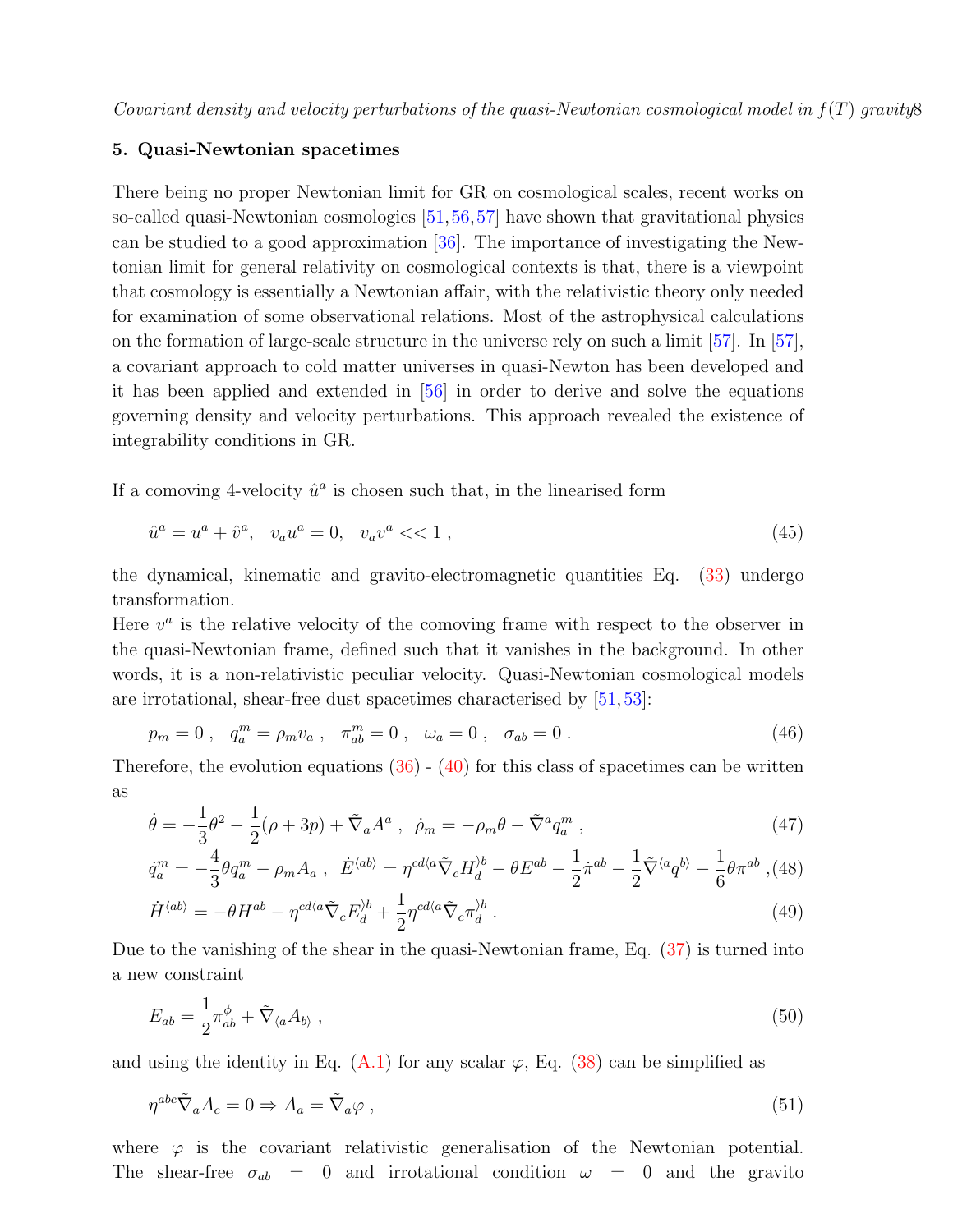### <span id="page-7-0"></span>5. Quasi-Newtonian spacetimes

There being no proper Newtonian limit for GR on cosmological scales, recent works on so-called quasi-Newtonian cosmologies [\[51,](#page-28-26)[56,](#page-28-31)[57\]](#page-28-32) have shown that gravitational physics can be studied to a good approximation [\[36\]](#page-28-17). The importance of investigating the Newtonian limit for general relativity on cosmological contexts is that, there is a viewpoint that cosmology is essentially a Newtonian affair, with the relativistic theory only needed for examination of some observational relations. Most of the astrophysical calculations on the formation of large-scale structure in the universe rely on such a limit [\[57\]](#page-28-32). In [\[57\]](#page-28-32), a covariant approach to cold matter universes in quasi-Newton has been developed and it has been applied and extended in [\[56\]](#page-28-31) in order to derive and solve the equations governing density and velocity perturbations. This approach revealed the existence of integrability conditions in GR.

If a comoving 4-velocity  $\hat{u}^a$  is chosen such that, in the linearised form

$$
\hat{u}^a = u^a + \hat{v}^a, \quad v_a u^a = 0, \quad v_a v^a \ll 1 \tag{45}
$$

the dynamical, kinematic and gravito-electromagnetic quantities Eq. [\(33\)](#page-6-1) undergo transformation.

Here  $v^a$  is the relative velocity of the comoving frame with respect to the observer in the quasi-Newtonian frame, defined such that it vanishes in the background. In other words, it is a non-relativistic peculiar velocity. Quasi-Newtonian cosmological models are irrotational, shear-free dust spacetimes characterised by [\[51,](#page-28-26) [53\]](#page-28-28):

$$
p_m = 0 \ , \quad q_a^m = \rho_m v_a \ , \quad \pi_{ab}^m = 0 \ , \quad \omega_a = 0 \ , \quad \sigma_{ab} = 0 \ . \tag{46}
$$

Therefore, the evolution equations  $(36)$  -  $(40)$  for this class of spacetimes can be written as

<span id="page-7-2"></span>
$$
\dot{\theta} = -\frac{1}{3}\theta^2 - \frac{1}{2}(\rho + 3p) + \tilde{\nabla}_a A^a , \ \dot{\rho}_m = -\rho_m \theta - \tilde{\nabla}^a q_a^m , \qquad (47)
$$

$$
\dot{q}_a^m = -\frac{4}{3}\theta q_a^m - \rho_m A_a \ , \ \dot{E}^{\langle ab \rangle} = \eta^{cd\langle a} \tilde{\nabla}_c H_d^{\rangle b} - \theta E^{ab} - \frac{1}{2} \dot{\pi}^{ab} - \frac{1}{2} \tilde{\nabla}^{\langle a} q^{b\rangle} - \frac{1}{6} \theta \pi^{ab} \ , \tag{48}
$$

$$
\dot{H}^{\langle ab \rangle} = -\theta H^{ab} - \eta^{cd\langle a} \tilde{\nabla}_c E_d^{\rangle b} + \frac{1}{2} \eta^{cd\langle a} \tilde{\nabla}_c \pi_d^{\rangle b} \,. \tag{49}
$$

Due to the vanishing of the shear in the quasi-Newtonian frame, Eq. [\(37\)](#page-6-2) is turned into a new constraint

<span id="page-7-3"></span><span id="page-7-1"></span>
$$
E_{ab} = \frac{1}{2}\pi_{ab}^{\phi} + \tilde{\nabla}_{\langle a}A_{b\rangle} , \qquad (50)
$$

and using the identity in Eq.  $(A.1)$  for any scalar  $\varphi$ , Eq. [\(38\)](#page-6-2) can be simplified as

$$
\eta^{abc}\tilde{\nabla}_a A_c = 0 \Rightarrow A_a = \tilde{\nabla}_a \varphi , \qquad (51)
$$

where  $\varphi$  is the covariant relativistic generalisation of the Newtonian potential. The shear-free  $\sigma_{ab} = 0$  and irrotational condition  $\omega = 0$  and the gravito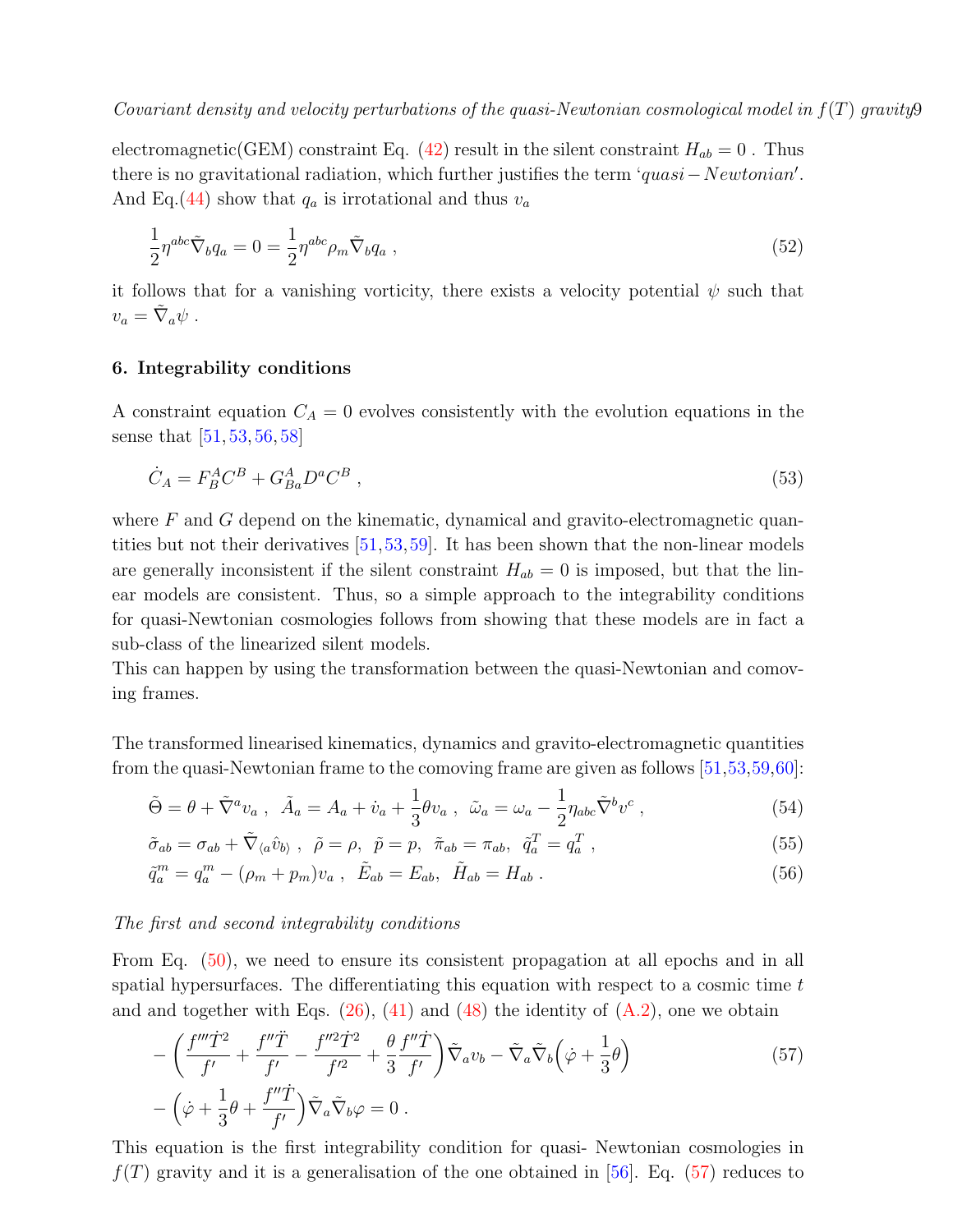electromagnetic(GEM) constraint Eq. [\(42\)](#page-6-3) result in the silent constraint  $H_{ab} = 0$ . Thus there is no gravitational radiation, which further justifies the term ' $quasi-Newtonian'.$ And Eq.[\(44\)](#page-6-3) show that  $q_a$  is irrotational and thus  $v_a$ 

$$
\frac{1}{2}\eta^{abc}\tilde{\nabla}_b q_a = 0 = \frac{1}{2}\eta^{abc}\rho_m\tilde{\nabla}_b q_a , \qquad (52)
$$

it follows that for a vanishing vorticity, there exists a velocity potential  $\psi$  such that  $v_a = \tilde{\nabla}_a \psi$ .

### <span id="page-8-0"></span>6. Integrability conditions

A constraint equation  $C_A = 0$  evolves consistently with the evolution equations in the sense that [\[51,](#page-28-26) [53,](#page-28-28) [56,](#page-28-31) [58\]](#page-28-33)

$$
\dot{C}_A = F_B^A C^B + G_{Ba}^A D^a C^B \,,\tag{53}
$$

where  $F$  and  $G$  depend on the kinematic, dynamical and gravito-electromagnetic quantities but not their derivatives [\[51,](#page-28-26)[53,](#page-28-28)[59\]](#page-28-34). It has been shown that the non-linear models are generally inconsistent if the silent constraint  $H_{ab} = 0$  is imposed, but that the linear models are consistent. Thus, so a simple approach to the integrability conditions for quasi-Newtonian cosmologies follows from showing that these models are in fact a sub-class of the linearized silent models.

This can happen by using the transformation between the quasi-Newtonian and comoving frames.

The transformed linearised kinematics, dynamics and gravito-electromagnetic quantities from the quasi-Newtonian frame to the comoving frame are given as follows [\[51,](#page-28-26)[53,](#page-28-28)[59,](#page-28-34)[60\]](#page-28-35):

$$
\tilde{\Theta} = \theta + \tilde{\nabla}^a v_a \ , \ \ \tilde{A}_a = A_a + \dot{v}_a + \frac{1}{3} \theta v_a \ , \ \ \tilde{\omega}_a = \omega_a - \frac{1}{2} \eta_{abc} \tilde{\nabla}^b v^c \ , \tag{54}
$$

$$
\tilde{\sigma}_{ab} = \sigma_{ab} + \tilde{\nabla}_{\langle a} \hat{v}_{b \rangle} , \quad \tilde{\rho} = \rho , \quad \tilde{p} = p , \quad \tilde{\pi}_{ab} = \pi_{ab} , \quad \tilde{q}_a^T = q_a^T , \tag{55}
$$

$$
\tilde{q}_a^m = q_a^m - (\rho_m + p_m)v_a \ , \ \tilde{E}_{ab} = E_{ab}, \ \tilde{H}_{ab} = H_{ab} \ . \tag{56}
$$

### The first and second integrability conditions

From Eq. [\(50\)](#page-7-1), we need to ensure its consistent propagation at all epochs and in all spatial hypersurfaces. The differentiating this equation with respect to a cosmic time  $t$ and and together with Eqs.  $(26)$ ,  $(41)$  and  $(48)$  the identity of  $(A.2)$ , one we obtain

<span id="page-8-1"></span>
$$
-\left(\frac{f'''\dot{T}^2}{f'} + \frac{f''\ddot{T}}{f'} - \frac{f''^2\dot{T}^2}{f'^2} + \frac{\theta}{3}\frac{f''\dot{T}}{f'}\right)\tilde{\nabla}_a v_b - \tilde{\nabla}_a\tilde{\nabla}_b\left(\dot{\varphi} + \frac{1}{3}\theta\right) - \left(\dot{\varphi} + \frac{1}{3}\theta + \frac{f''\dot{T}}{f'}\right)\tilde{\nabla}_a\tilde{\nabla}_b\varphi = 0.
$$
\n(57)

This equation is the first integrability condition for quasi- Newtonian cosmologies in  $f(T)$  gravity and it is a generalisation of the one obtained in [\[56\]](#page-28-31). Eq. [\(57\)](#page-8-1) reduces to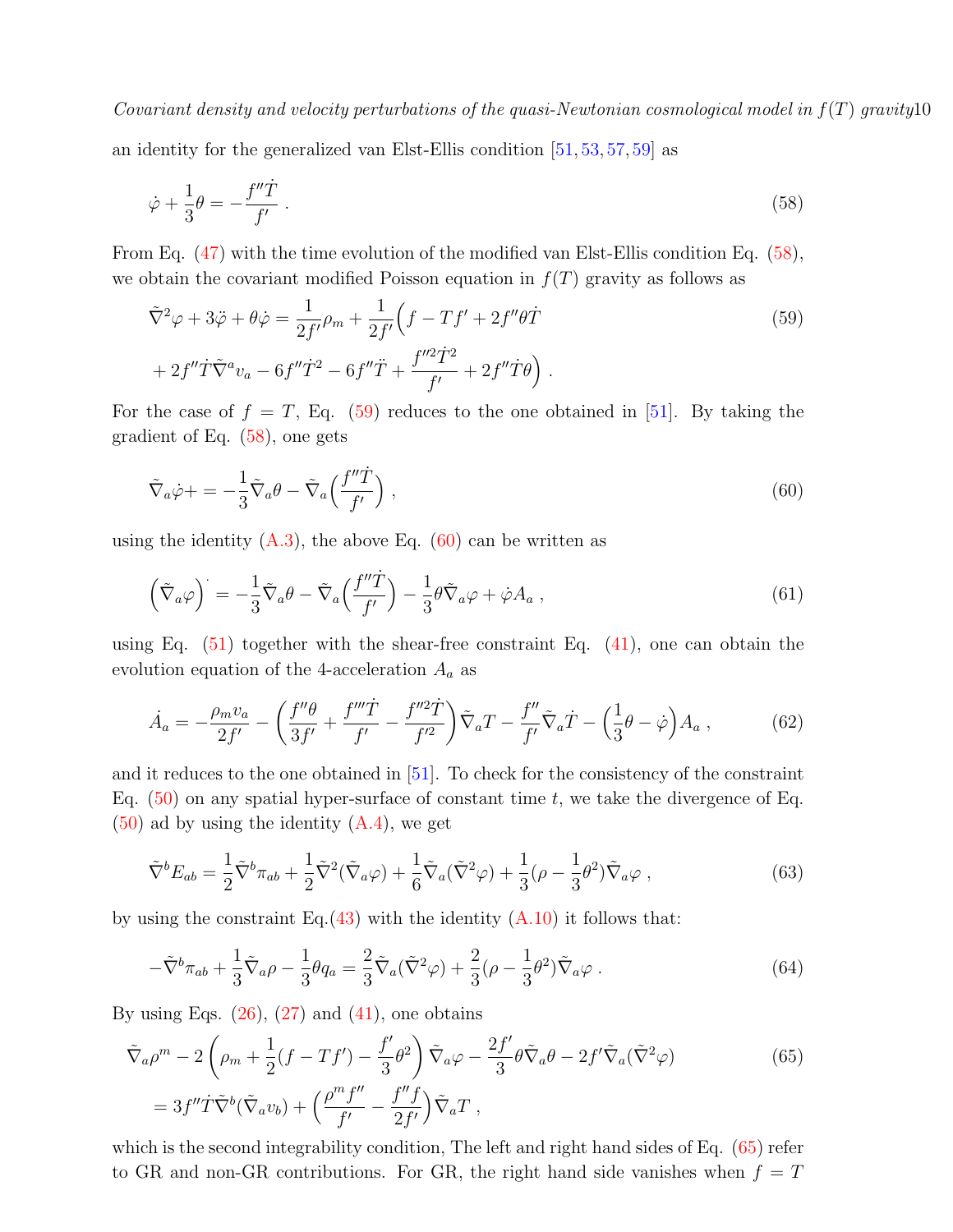an identity for the generalized van Elst-Ellis condition [\[51,](#page-28-26) [53,](#page-28-28) [57,](#page-28-32) [59\]](#page-28-34) as

<span id="page-9-0"></span>
$$
\dot{\varphi} + \frac{1}{3}\theta = -\frac{f''\dot{T}}{f'}\,. \tag{58}
$$

From Eq. [\(47\)](#page-7-2) with the time evolution of the modified van Elst-Ellis condition Eq. [\(58\)](#page-9-0), we obtain the covariant modified Poisson equation in  $f(T)$  gravity as follows as

<span id="page-9-1"></span>
$$
\tilde{\nabla}^2 \varphi + 3\ddot{\varphi} + \theta \dot{\varphi} = \frac{1}{2f'} \rho_m + \frac{1}{2f'} \left( f - Tf' + 2f'' \theta \dot{T} \right)
$$
  
+ 
$$
2f'' \dot{T} \tilde{\nabla}^a v_a - 6f'' \dot{T}^2 - 6f'' \ddot{T} + \frac{f''^2 \dot{T}^2}{f'} + 2f'' \dot{T} \theta \right).
$$
 (59)

For the case of  $f = T$ , Eq. [\(59\)](#page-9-1) reduces to the one obtained in [\[51\]](#page-28-26). By taking the gradient of Eq. [\(58\)](#page-9-0), one gets

<span id="page-9-2"></span>
$$
\tilde{\nabla}_a \dot{\varphi} + = -\frac{1}{3} \tilde{\nabla}_a \theta - \tilde{\nabla}_a \left( \frac{f'' \dot{T}}{f'} \right) , \qquad (60)
$$

using the identity  $(A.3)$ , the above Eq. [\(60\)](#page-9-2) can be written as

$$
\left(\tilde{\nabla}_a\varphi\right)^{\cdot} = -\frac{1}{3}\tilde{\nabla}_a\theta - \tilde{\nabla}_a\left(\frac{f''\dot{T}}{f'}\right) - \frac{1}{3}\theta\tilde{\nabla}_a\varphi + \dot{\varphi}A_a\,,\tag{61}
$$

using Eq.  $(51)$  together with the shear-free constraint Eq.  $(41)$ , one can obtain the evolution equation of the 4-acceleration  $A_a$  as

$$
\dot{A}_a = -\frac{\rho_m v_a}{2f'} - \left(\frac{f''\theta}{3f'} + \frac{f'''\dot{T}}{f'} - \frac{f''^2\dot{T}}{f'^2}\right)\tilde{\nabla}_a T - \frac{f''}{f'}\tilde{\nabla}_a \dot{T} - \left(\frac{1}{3}\theta - \dot{\varphi}\right)A_a\,,\tag{62}
$$

and it reduces to the one obtained in [\[51\]](#page-28-26). To check for the consistency of the constraint Eq.  $(50)$  on any spatial hyper-surface of constant time t, we take the divergence of Eq.  $(50)$  ad by using the identity  $(A.4)$ , we get

$$
\tilde{\nabla}^b E_{ab} = \frac{1}{2} \tilde{\nabla}^b \pi_{ab} + \frac{1}{2} \tilde{\nabla}^2 (\tilde{\nabla}_a \varphi) + \frac{1}{6} \tilde{\nabla}_a (\tilde{\nabla}^2 \varphi) + \frac{1}{3} (\rho - \frac{1}{3} \theta^2) \tilde{\nabla}_a \varphi , \qquad (63)
$$

by using the constraint Eq.[\(43\)](#page-6-3) with the identity  $(A.10)$  it follows that:

$$
-\tilde{\nabla}^b \pi_{ab} + \frac{1}{3} \tilde{\nabla}_a \rho - \frac{1}{3} \theta q_a = \frac{2}{3} \tilde{\nabla}_a (\tilde{\nabla}^2 \varphi) + \frac{2}{3} (\rho - \frac{1}{3} \theta^2) \tilde{\nabla}_a \varphi . \tag{64}
$$

By using Eqs.  $(26)$ ,  $(27)$  and  $(41)$ , one obtains

<span id="page-9-3"></span>
$$
\tilde{\nabla}_a \rho^m - 2 \left( \rho_m + \frac{1}{2} (f - Tf') - \frac{f'}{3} \theta^2 \right) \tilde{\nabla}_a \varphi - \frac{2f'}{3} \theta \tilde{\nabla}_a \theta - 2f' \tilde{\nabla}_a (\tilde{\nabla}^2 \varphi)
$$
\n
$$
= 3f'' \dot{T} \tilde{\nabla}^b (\tilde{\nabla}_a v_b) + \left( \frac{\rho^m f''}{f'} - \frac{f'' f}{2f'} \right) \tilde{\nabla}_a T ,
$$
\n(65)

which is the second integrability condition, The left and right hand sides of Eq.  $(65)$  refer to GR and non-GR contributions. For GR, the right hand side vanishes when  $f = T$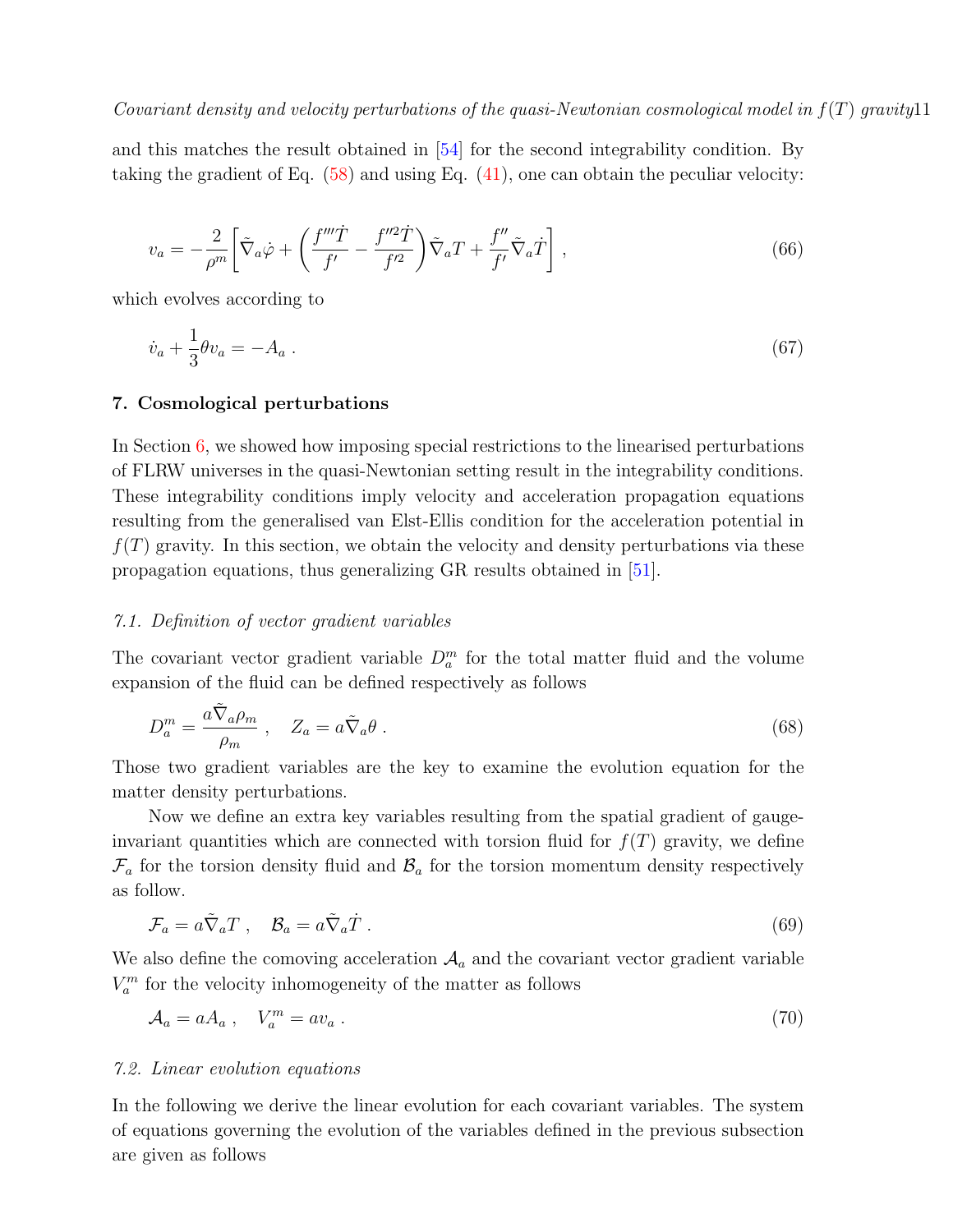and this matches the result obtained in [\[54\]](#page-28-29) for the second integrability condition. By taking the gradient of Eq. [\(58\)](#page-9-0) and using Eq. [\(41\)](#page-6-3), one can obtain the peculiar velocity:

$$
v_a = -\frac{2}{\rho^m} \left[ \tilde{\nabla}_a \dot{\varphi} + \left( \frac{f'''\dot{T}}{f'} - \frac{f''^2 \dot{T}}{f'^2} \right) \tilde{\nabla}_a T + \frac{f''}{f'} \tilde{\nabla}_a \dot{T} \right],\tag{66}
$$

which evolves according to

$$
\dot{v}_a + \frac{1}{3}\theta v_a = -A_a \tag{67}
$$

### <span id="page-10-0"></span>7. Cosmological perturbations

In Section [6,](#page-8-0) we showed how imposing special restrictions to the linearised perturbations of FLRW universes in the quasi-Newtonian setting result in the integrability conditions. These integrability conditions imply velocity and acceleration propagation equations resulting from the generalised van Elst-Ellis condition for the acceleration potential in  $f(T)$  gravity. In this section, we obtain the velocity and density perturbations via these propagation equations, thus generalizing GR results obtained in [\[51\]](#page-28-26).

### 7.1. Definition of vector gradient variables

The covariant vector gradient variable  $D_a^m$  for the total matter fluid and the volume expansion of the fluid can be defined respectively as follows

<span id="page-10-1"></span>
$$
D_a^m = \frac{a\tilde{\nabla}_a \rho_m}{\rho_m} \,, \quad Z_a = a\tilde{\nabla}_a \theta \,.
$$

Those two gradient variables are the key to examine the evolution equation for the matter density perturbations.

Now we define an extra key variables resulting from the spatial gradient of gaugeinvariant quantities which are connected with torsion fluid for  $f(T)$  gravity, we define  $\mathcal{F}_a$  for the torsion density fluid and  $\mathcal{B}_a$  for the torsion momentum density respectively as follow.

$$
\mathcal{F}_a = a\tilde{\nabla}_a T \ , \quad \mathcal{B}_a = a\tilde{\nabla}_a \dot{T} \ . \tag{69}
$$

We also define the comoving acceleration  $A_a$  and the covariant vector gradient variable  $V_a^m$  for the velocity inhomogeneity of the matter as follows

<span id="page-10-2"></span>
$$
\mathcal{A}_a = aA_a \,, \quad V_a^m = av_a \,. \tag{70}
$$

### 7.2. Linear evolution equations

In the following we derive the linear evolution for each covariant variables. The system of equations governing the evolution of the variables defined in the previous subsection are given as follows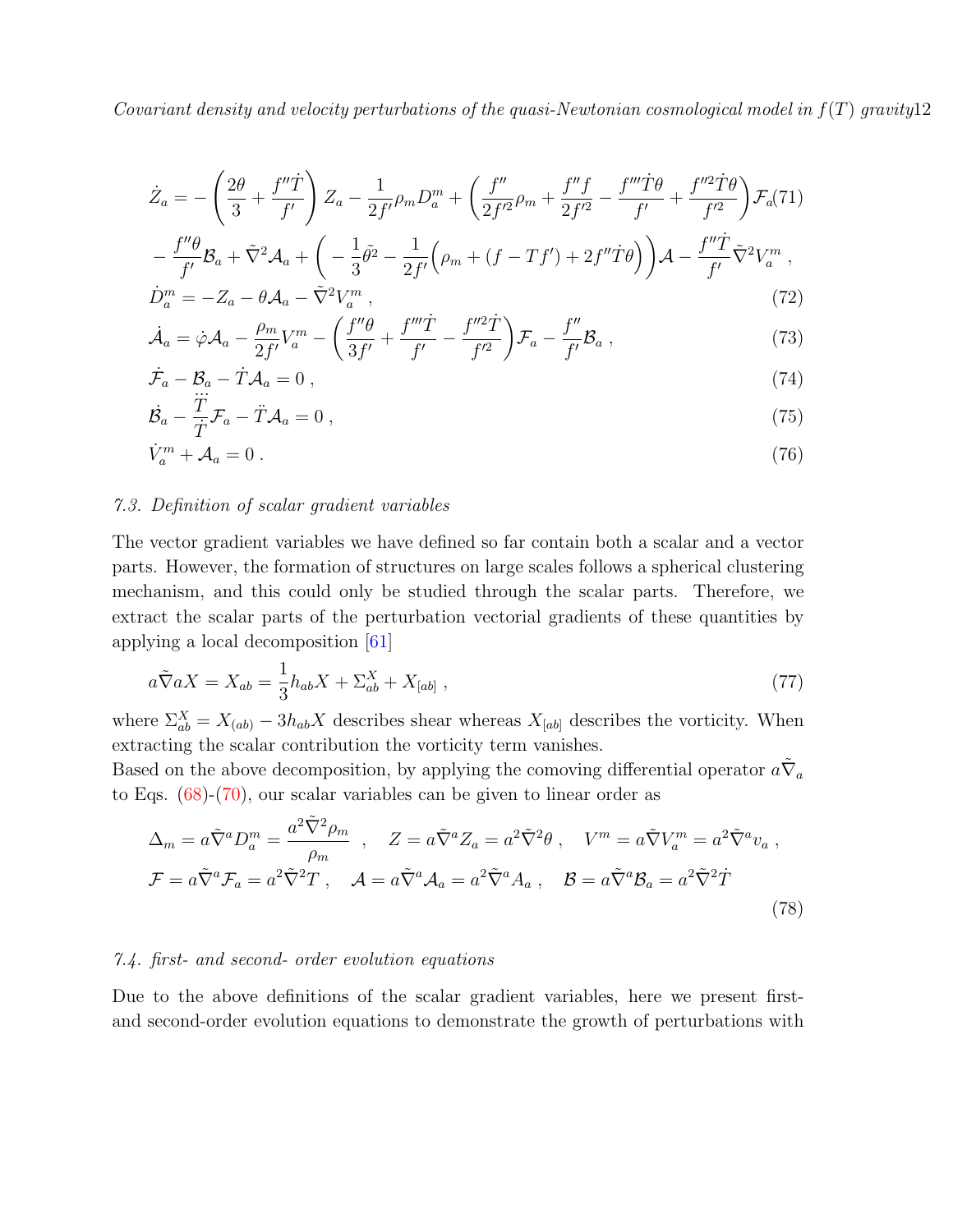$$
\dot{Z}_a = -\left(\frac{2\theta}{3} + \frac{f''\dot{T}}{f'}\right) Z_a - \frac{1}{2f'} \rho_m D_a^m + \left(\frac{f''}{2f'^2} \rho_m + \frac{f''f}{2f'^2} - \frac{f'''f\theta}{f'} + \frac{f''^2\dot{T}\theta}{f'^2}\right) \mathcal{F}_a(71) \n- \frac{f''\theta}{f'} \mathcal{B}_a + \tilde{\nabla}^2 \mathcal{A}_a + \left(-\frac{1}{3}\tilde{\theta}^2 - \frac{1}{2f'} \left(\rho_m + (f - Tf') + 2f''\dot{T}\theta\right)\right) \mathcal{A} - \frac{f''\dot{T}}{f'} \tilde{\nabla}^2 V_a^m ,
$$
\n
$$
\dot{D}_a^m = -Z_a - \theta \mathcal{A}_a - \tilde{\nabla}^2 V_a^m ,
$$
\n(72)

$$
\dot{\mathcal{A}}_a = \dot{\varphi} \mathcal{A}_a - \frac{\rho_m}{2f'} V_a^m - \left( \frac{f''\theta}{3f'} + \frac{f'''\dot{T}}{f'} - \frac{f''^2\dot{T}}{f'^2} \right) \mathcal{F}_a - \frac{f''}{f'} \mathcal{B}_a ,\qquad (73)
$$

$$
\dot{\mathcal{F}}_a - \mathcal{B}_a - \dot{T} \mathcal{A}_a = 0 , \qquad (74)
$$

$$
\dot{\mathcal{B}}_a - \frac{T}{\dot{T}} \mathcal{F}_a - \ddot{T} \mathcal{A}_a = 0 \,, \tag{75}
$$

$$
\dot{V}_a^m + \mathcal{A}_a = 0 \tag{76}
$$

### 7.3. Definition of scalar gradient variables

The vector gradient variables we have defined so far contain both a scalar and a vector parts. However, the formation of structures on large scales follows a spherical clustering mechanism, and this could only be studied through the scalar parts. Therefore, we extract the scalar parts of the perturbation vectorial gradients of these quantities by applying a local decomposition [\[61\]](#page-29-0)

$$
a\tilde{\nabla}aX = X_{ab} = \frac{1}{3}h_{ab}X + \Sigma_{ab}^X + X_{[ab]},
$$
\n
$$
(77)
$$

where  $\Sigma_{ab}^X = X_{(ab)} - 3h_{ab}X$  describes shear whereas  $X_{[ab]}$  describes the vorticity. When extracting the scalar contribution the vorticity term vanishes.

Based on the above decomposition, by applying the comoving differential operator  $a\tilde{\nabla}_a$ to Eqs. [\(68\)](#page-10-1)-[\(70\)](#page-10-2), our scalar variables can be given to linear order as

$$
\Delta_m = a\tilde{\nabla}^a D_a^m = \frac{a^2 \tilde{\nabla}^2 \rho_m}{\rho_m} , \quad Z = a\tilde{\nabla}^a Z_a = a^2 \tilde{\nabla}^2 \theta , \quad V^m = a\tilde{\nabla} V_a^m = a^2 \tilde{\nabla}^a v_a ,
$$
  

$$
\mathcal{F} = a\tilde{\nabla}^a \mathcal{F}_a = a^2 \tilde{\nabla}^2 T , \quad \mathcal{A} = a\tilde{\nabla}^a \mathcal{A}_a = a^2 \tilde{\nabla}^a A_a , \quad \mathcal{B} = a\tilde{\nabla}^a \mathcal{B}_a = a^2 \tilde{\nabla}^2 T
$$
(78)

### 7.4. first- and second- order evolution equations

Due to the above definitions of the scalar gradient variables, here we present firstand second-order evolution equations to demonstrate the growth of perturbations with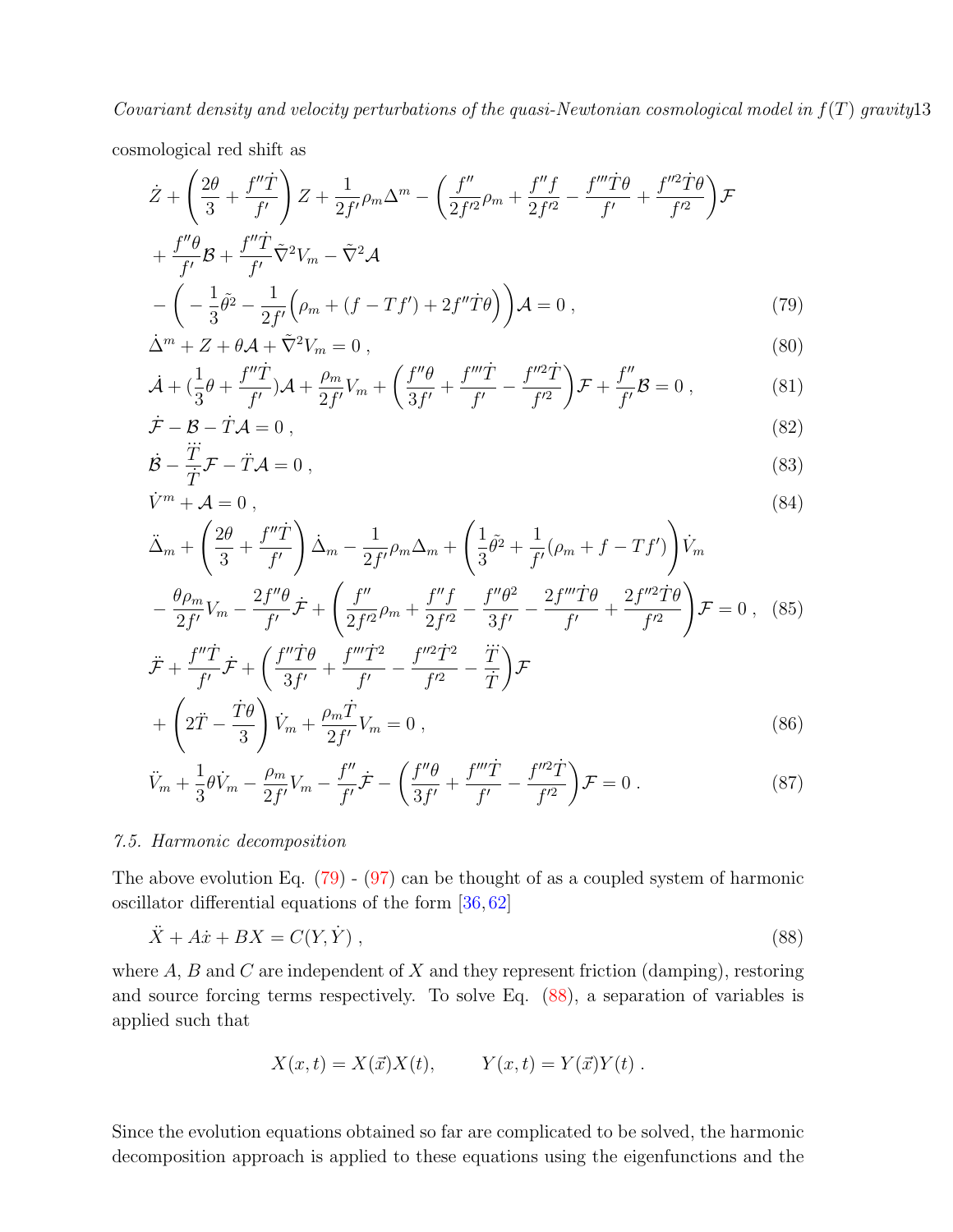cosmological red shift as

<span id="page-12-0"></span>
$$
\dot{Z} + \left(\frac{2\theta}{3} + \frac{f''\dot{T}}{f'}\right)Z + \frac{1}{2f'}\rho_m\Delta^m - \left(\frac{f''}{2f'^2}\rho_m + \frac{f''f}{2f'^2} - \frac{f'''\dot{T}\theta}{f'} + \frac{f''^2\dot{T}\theta}{f'^2}\right)\mathcal{F}
$$
  
+ 
$$
\frac{f''\theta}{f'}\mathcal{B} + \frac{f''\dot{T}}{f'}\tilde{\nabla}^2V_m - \tilde{\nabla}^2\mathcal{A}
$$
  
- 
$$
\left(-\frac{1}{3}\tilde{\theta}^2 - \frac{1}{2f'}\left(\rho_m + (f - Tf') + 2f''\dot{T}\theta\right)\right)\mathcal{A} = 0 ,
$$
 (79)

$$
\dot{\Delta}^m + Z + \theta \mathcal{A} + \tilde{\nabla}^2 V_m = 0 \,, \tag{80}
$$

$$
\dot{\mathcal{A}} + (\frac{1}{3}\theta + \frac{f''\dot{T}}{f'})\mathcal{A} + \frac{\rho_m}{2f'}V_m + \left(\frac{f''\theta}{3f'} + \frac{f'''\dot{T}}{f'} - \frac{f''^2\dot{T}}{f'^2}\right)\mathcal{F} + \frac{f''}{f'}\mathcal{B} = 0,
$$
 (81)

$$
\dot{\mathcal{F}} - \mathcal{B} - \dot{T}\mathcal{A} = 0 , \qquad (82)
$$

$$
\dot{\mathcal{B}} - \frac{T}{T}\mathcal{F} - \ddot{T}\mathcal{A} = 0 \,,\tag{83}
$$

$$
\dot{V}^m + \mathcal{A} = 0 \,, \tag{84}
$$

$$
\ddot{\Delta}_m + \left(\frac{2\theta}{3} + \frac{f''\dot{T}}{f'}\right) \dot{\Delta}_m - \frac{1}{2f'}\rho_m\Delta_m + \left(\frac{1}{3}\tilde{\theta}^2 + \frac{1}{f'}(\rho_m + f - Tf')\right)\dot{V}_m
$$

$$
-\frac{\theta\rho_m}{2f'}V_m - \frac{2f''\theta}{f'}\dot{\mathcal{F}} + \left(\frac{f''}{2f'^2}\rho_m + \frac{f''f}{2f'^2} - \frac{f''\theta^2}{3f'} - \frac{2f'''\dot{T}\theta}{f'} + \frac{2f''^2\dot{T}\theta}{f'^2}\right)\mathcal{F} = 0 \,, \quad (85)
$$

$$
\ddot{\mathcal{F}} + \frac{f''\dot{T}}{f'}\dot{\mathcal{F}} + \left(\frac{f''\dot{T}\theta}{3f'} + \frac{f'''\dot{T}^2}{f'} - \frac{f''^2\dot{T}^2}{f'^2} - \frac{\dddot{T}}{\dot{T}}\right)\mathcal{F}
$$

$$
\left(\begin{array}{cc} \ddots & \dot{T}\theta \end{array}\right) \,, \quad \rho_m\dot{T}
$$

$$
+\left(2\ddot{T}-\frac{\dot{T}\theta}{3}\right)\dot{V}_m+\frac{\rho_m\dot{T}}{2f'}V_m=0\,,\tag{86}
$$

$$
\ddot{V}_m + \frac{1}{3}\theta \dot{V}_m - \frac{\rho_m}{2f'}V_m - \frac{f''}{f'}\dot{\mathcal{F}} - \left(\frac{f''\theta}{3f'} + \frac{f'''\dot{T}}{f'} - \frac{f''^2\dot{T}}{f'^2}\right)\mathcal{F} = 0.
$$
\n(87)

### 7.5. Harmonic decomposition

The above evolution Eq.  $(79) - (97)$  $(79) - (97)$  can be thought of as a coupled system of harmonic oscillator differential equations of the form [\[36,](#page-28-17) [62\]](#page-29-1)

<span id="page-12-1"></span>
$$
\ddot{X} + A\dot{x} + BX = C(Y, \dot{Y}),\tag{88}
$$

where  $A$ ,  $B$  and  $C$  are independent of  $X$  and they represent friction (damping), restoring and source forcing terms respectively. To solve Eq. [\(88\)](#page-12-1), a separation of variables is applied such that

$$
X(x,t) = X(\vec{x})X(t), \qquad Y(x,t) = Y(\vec{x})Y(t) .
$$

Since the evolution equations obtained so far are complicated to be solved, the harmonic decomposition approach is applied to these equations using the eigenfunctions and the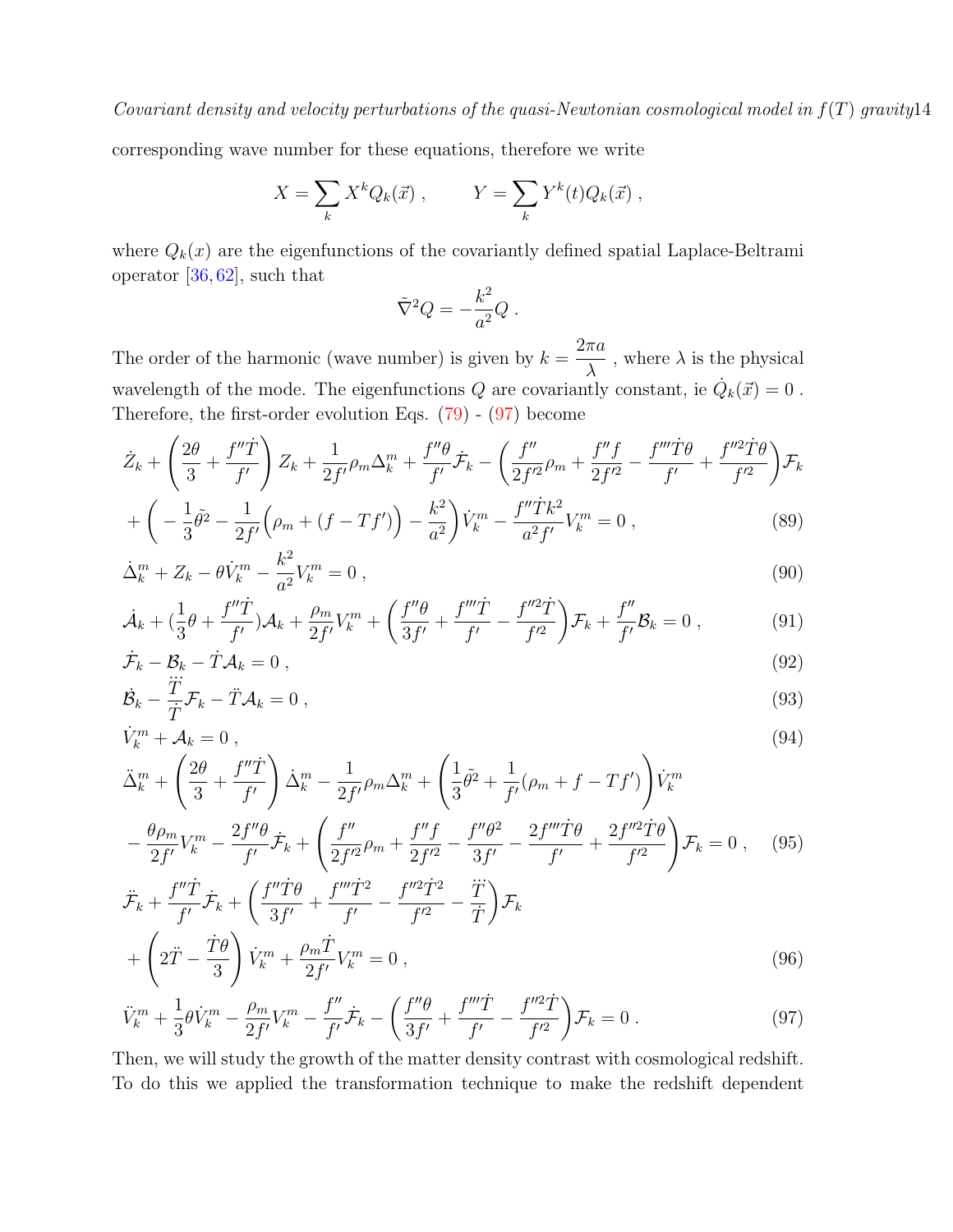corresponding wave number for these equations, therefore we write

$$
X = \sum_{k} X^{k} Q_{k}(\vec{x}), \qquad Y = \sum_{k} Y^{k}(t) Q_{k}(\vec{x}),
$$

where  $Q_k(x)$  are the eigenfunctions of the covariantly defined spatial Laplace-Beltrami operator [\[36,](#page-28-17) [62\]](#page-29-1), such that

$$
\tilde{\nabla}^2 Q = -\frac{k^2}{a^2} Q \ .
$$

The order of the harmonic (wave number) is given by  $k =$  $2\pi a$ λ , where  $\lambda$  is the physical wavelength of the mode. The eigenfunctions Q are covariantly constant, ie  $\dot{Q}_k(\vec{x}) = 0$ . Therefore, the first-order evolution Eqs. [\(79\)](#page-12-0) - [\(97\)](#page-13-0) become

<span id="page-13-0"></span>
$$
\dot{Z}_k + \left(\frac{2\theta}{3} + \frac{f''\dot{T}}{f'}\right)Z_k + \frac{1}{2f'}\rho_m\Delta_k^m + \frac{f''\theta}{f'}\dot{\mathcal{F}}_k - \left(\frac{f''}{2f'^2}\rho_m + \frac{f''f}{2f'^2} - \frac{f'''f\theta}{f'} + \frac{f''^2f\theta}{f'^2}\right)\mathcal{F}_k
$$
\n
$$
\left(\begin{array}{cc} 1_{\tilde{\rho}_2} & 1\\ 0 & \left(\begin{array}{cc} 1 & \left(\frac{f''}{\rho_m}\right)^2 & \frac{f''\dot{T}k^2}{f'^2} & \frac{f''\dot{T}k^2}{f'^2} & \frac{f''\dot{T}k^2}{f'^2} & \frac{f''\dot{T}k^2}{f'^2} & \frac{f''\dot{T}k^2}{f'^2} & \frac{f''\dot{T}k^2}{f'^2} & \frac{f''\dot{T}k^2}{f'^2} & \frac{f''\dot{T}k^2}{f'^2} & \frac{f''\dot{T}k^2}{f'^2} & \frac{f''\dot{T}k^2}{f'^2} & \frac{f''\dot{T}k^2}{f'^2} & \frac{f''\dot{T}k^2}{f'^2} & \frac{f''\dot{T}k^2}{f'^2} & \frac{f''\dot{T}k^2}{f'^2} & \frac{f''\dot{T}k^2}{f'^2} & \frac{f''\dot{T}k^2}{f'^2} & \frac{f''\dot{T}k}{f'^2} & \frac{f''\dot{T}k}{f'^2} & \frac{f''\dot{T}k}{f'^2} & \frac{f''\dot{T}k}{f'^2} & \frac{f''\dot{T}k}{f'^2} & \frac{f''\dot{T}k}{f'^2} & \frac{f''\dot{T}k}{f'^2} & \frac{f''\dot{T}k}{f'^2} & \frac{f''\dot{T}k}{f'^2} & \frac{f''\dot{T}k}{f'^2} & \frac{f''\dot{T}k}{f'^2} & \frac{f''\dot{T}k}{f'^2} & \frac{f''\dot{T}k}{f'^2} & \frac{f''\dot{T}k}{f'^2} & \frac{f''\dot{T}k}{f'^2} & \frac{f''\dot{T}k}{f'^2} & \frac{f''\dot{T}k}{f'^
$$

$$
+\left(-\frac{1}{3}\tilde{\theta}^{2}-\frac{1}{2f'}\left(\rho_{m}+(f-Tf')\right)-\frac{k^{2}}{a^{2}}\right)\dot{V}_{k}^{m}-\frac{f''Tk^{2}}{a^{2}f'}V_{k}^{m}=0\ ,\tag{89}
$$

$$
\dot{\Delta}_k^m + Z_k - \theta \dot{V}_k^m - \frac{k^2}{a^2} V_k^m = 0 \,, \tag{90}
$$

$$
\dot{\mathcal{A}}_k + (\frac{1}{3}\theta + \frac{f''\dot{T}}{f'})\mathcal{A}_k + \frac{\rho_m}{2f'}V_k^m + \left(\frac{f''\theta}{3f'} + \frac{f'''\dot{T}}{f'} - \frac{f''^2\dot{T}}{f'^2}\right)\mathcal{F}_k + \frac{f''}{f'}\mathcal{B}_k = 0,
$$
\n(91)

$$
\dot{\mathcal{F}}_k - \mathcal{B}_k - \dot{T} \mathcal{A}_k = 0 , \qquad (92)
$$
\n
$$
\dot{\mathcal{F}}_k - \ddot{\mathcal{F}}_k - \ddot{\mathcal{F}}_k \mathcal{A} = 0 , \qquad (93)
$$

$$
\dot{\mathcal{B}}_k - \frac{T}{T} \mathcal{F}_k - \ddot{T} \mathcal{A}_k = 0 \,, \tag{93}
$$

$$
\dot{V}_k^m + \mathcal{A}_k = 0 \tag{94}
$$

$$
\ddot{\Delta}_k^m + \left(\frac{2\theta}{3} + \frac{f''\dot{T}}{f'}\right) \dot{\Delta}_k^m - \frac{1}{2f'} \rho_m \Delta_k^m + \left(\frac{1}{3}\tilde{\theta}^2 + \frac{1}{f'}(\rho_m + f - Tf')\right) \dot{V}_k^m \n- \frac{\theta \rho_m}{2f'} V_k^m - \frac{2f''\theta}{f'} \dot{\mathcal{F}}_k + \left(\frac{f''}{2f'^2} \rho_m + \frac{f''f}{2f'^2} - \frac{f''\theta^2}{3f'} - \frac{2f''' \dot{T} \theta}{f'} + \frac{2f''^2 \dot{T} \theta}{f'^2}\right) \mathcal{F}_k = 0 , \quad (95)
$$

$$
\ddot{\mathcal{F}}_k + \frac{f''\dot{T}}{f'} \dot{\mathcal{F}}_k + \left(\frac{f''\dot{T}\theta}{3f'} + \frac{f'''\dot{T}^2}{f'} - \frac{f''^2\dot{T}^2}{f'^2} - \frac{\dddot{T}}{\dot{T}}\right) \mathcal{F}_k
$$

$$
+ \left(2\ddot{T} - \frac{\dot{T}\theta}{3}\right) \dot{V}_k^m + \frac{\rho_m \dot{T}}{2f'} V_k^m = 0 ,
$$
\n(96)

$$
\ddot{V}_k^m + \frac{1}{3}\theta \dot{V}_k^m - \frac{\rho_m}{2f'}V_k^m - \frac{f''}{f'}\dot{\mathcal{F}}_k - \left(\frac{f''\theta}{3f'} + \frac{f'''\dot{T}}{f'} - \frac{f''^2\dot{T}}{f'^2}\right)\mathcal{F}_k = 0.
$$
\n(97)

Then, we will study the growth of the matter density contrast with cosmological redshift. To do this we applied the transformation technique to make the redshift dependent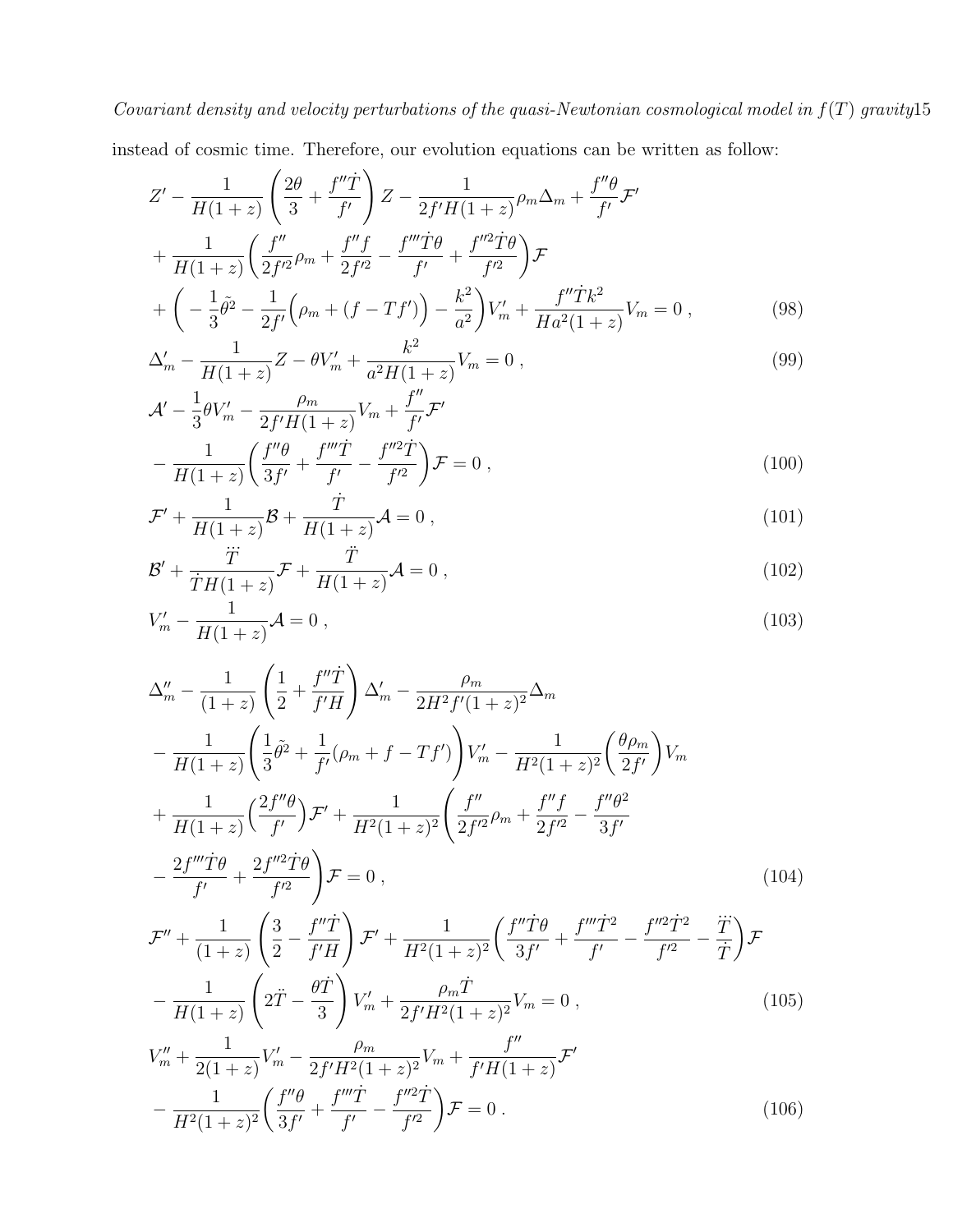instead of cosmic time. Therefore, our evolution equations can be written as follow:

$$
Z' - \frac{1}{H(1+z)} \left( \frac{2\theta}{3} + \frac{f''\dot{T}}{f'} \right) Z - \frac{1}{2f'H(1+z)} \rho_m \Delta_m + \frac{f''\theta}{f'} \mathcal{F}'
$$
  
+ 
$$
\frac{1}{H(1+z)} \left( \frac{f''}{2f'^2} \rho_m + \frac{f''f}{2f'^2} - \frac{f'''\dot{T}\theta}{f'} + \frac{f''^2\dot{T}\theta}{f'^2} \right) \mathcal{F}
$$
  
+ 
$$
\left( -\frac{1}{3}\tilde{\theta}^2 - \frac{1}{2f'} \left( \rho_m + (f - Tf') \right) - \frac{k^2}{a^2} \right) V'_m + \frac{f''\dot{T}k^2}{Ha^2(1+z)} V_m = 0 , \qquad (98)
$$

$$
\Delta'_m - \frac{1}{H(1+z)}Z - \theta V'_m + \frac{k^2}{a^2H(1+z)}V_m = 0 , \qquad (99)
$$

$$
\mathcal{A}' - \frac{1}{3}\theta V'_m - \frac{\rho_m}{2f'H(1+z)}V_m + \frac{f''}{f'}\mathcal{F}' \n- \frac{1}{H(1+z)}\left(\frac{f''\theta}{3f'} + \frac{f'''\dot{T}}{f'} - \frac{f''^2\dot{T}}{f'^2}\right)\mathcal{F} = 0,
$$
\n(100)

$$
\mathcal{F}' + \frac{1}{H(1+z)} \mathcal{B} + \frac{\dot{T}}{H(1+z)} \mathcal{A} = 0 ,
$$
\n(101)

$$
\mathcal{B}' + \frac{\ddot{T}}{\dot{T}H(1+z)}\mathcal{F} + \frac{\ddot{T}}{H(1+z)}\mathcal{A} = 0 , \qquad (102)
$$

$$
V'_m - \frac{1}{H(1+z)}\mathcal{A} = 0 \,,\tag{103}
$$

$$
\Delta''_{m} - \frac{1}{(1+z)} \left( \frac{1}{2} + \frac{f''\dot{T}}{f'H} \right) \Delta'_{m} - \frac{\rho_{m}}{2H^{2}f'(1+z)^{2}} \Delta_{m}
$$

$$
- \frac{1}{H(1+z)} \left( \frac{1}{3}\tilde{\theta}^{2} + \frac{1}{f'}(\rho_{m} + f - Tf') \right) V'_{m} - \frac{1}{H^{2}(1+z)^{2}} \left( \frac{\theta\rho_{m}}{2f'} \right) V_{m}
$$

$$
+ \frac{1}{H(1+z)} \left( \frac{2f''\theta}{f'} \right) \mathcal{F}' + \frac{1}{H^{2}(1+z)^{2}} \left( \frac{f''}{2f'^{2}}\rho_{m} + \frac{f''f}{2f'^{2}} - \frac{f''\theta^{2}}{3f'}
$$

$$
- \frac{2f'''\dot{T}\theta}{f'} + \frac{2f''^{2}\dot{T}\theta}{f'^{2}} \right) \mathcal{F} = 0 , \qquad (104)
$$

$$
\mathcal{F}'' + \frac{1}{(1+z)} \left( \frac{3}{2} - \frac{f''\dot{T}}{f'H} \right) \mathcal{F}' + \frac{1}{H^2(1+z)^2} \left( \frac{f''\dot{T}\theta}{3f'} + \frac{f'''\dot{T}^2}{f'} - \frac{f''^2\dot{T}^2}{f'^2} - \frac{\ddot{T}}{\dot{T}} \right) \mathcal{F}
$$

$$
- \frac{1}{H(1+z)} \left( 2\ddot{T} - \frac{\theta\dot{T}}{3} \right) V'_m + \frac{\rho_m \dot{T}}{2f'H^2(1+z)^2} V_m = 0 , \qquad (105)
$$

$$
V''_{m} + \frac{1}{2(1+z)} V'_{m} - \frac{\rho_{m}}{2f'H^{2}(1+z)^{2}} V_{m} + \frac{f''}{f'H(1+z)} \mathcal{F}'
$$

$$
-\frac{1}{H^{2}(1+z)^{2}} \left(\frac{f''\theta}{3f'} + \frac{f'''\dot{T}}{f'} - \frac{f''^{2}\dot{T}}{f'^{2}}\right) \mathcal{F} = 0.
$$
(106)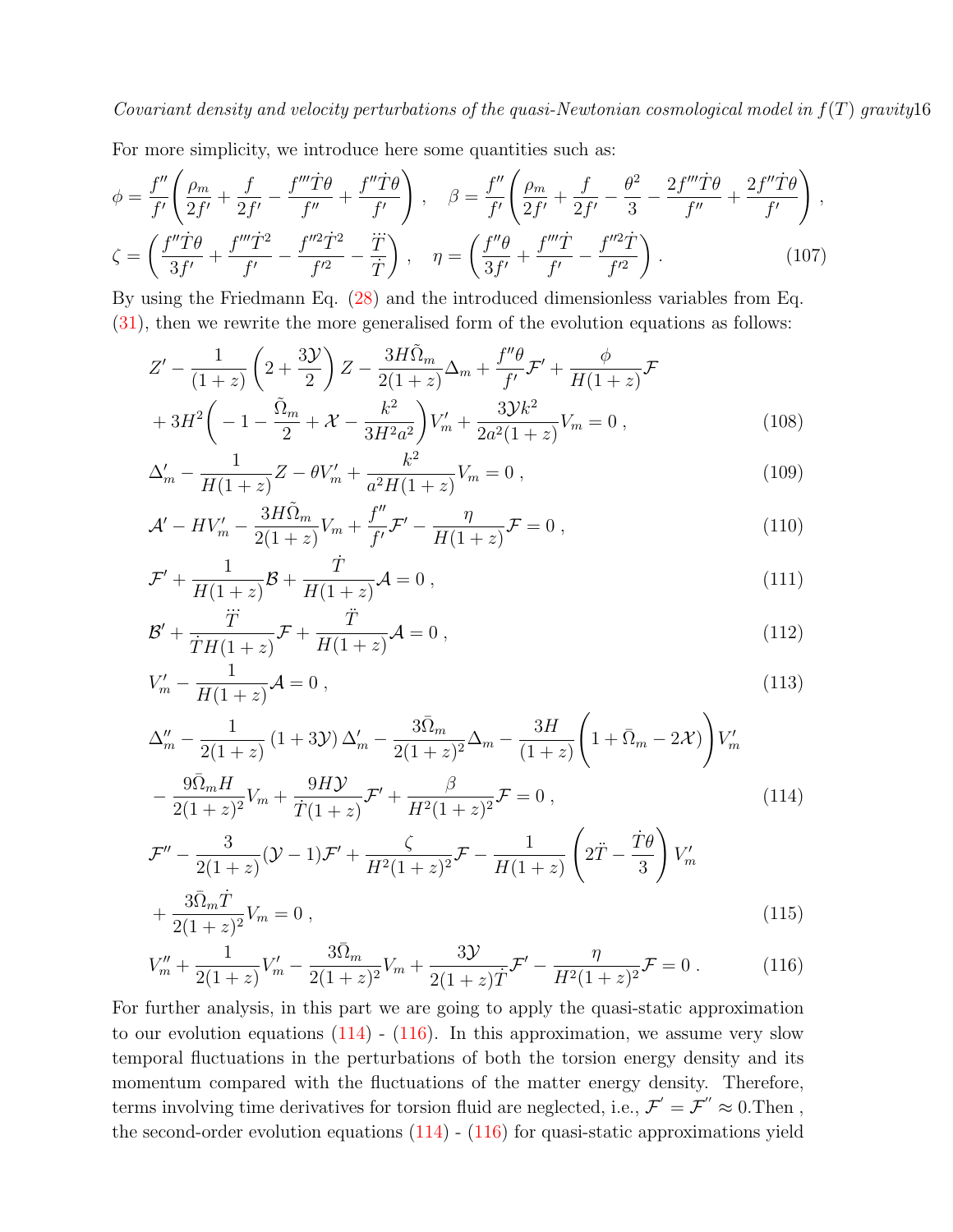For more simplicity, we introduce here some quantities such as:

$$
\phi = \frac{f''}{f'} \left( \frac{\rho_m}{2f'} + \frac{f}{2f'} - \frac{f'''T\theta}{f''} + \frac{f''T\theta}{f'} \right), \quad \beta = \frac{f''}{f'} \left( \frac{\rho_m}{2f'} + \frac{f}{2f'} - \frac{\theta^2}{3} - \frac{2f'''T\theta}{f''} + \frac{2f''T\theta}{f'} \right),
$$

$$
\zeta = \left( \frac{f''T\theta}{3f'} + \frac{f'''T^2}{f'} - \frac{f''^2T^2}{f'^2} - \frac{\dddot{T}}{\dot{T}} \right), \quad \eta = \left( \frac{f''\theta}{3f'} + \frac{f'''T}{f'} - \frac{f''^2T}{f'^2} \right).
$$
(107)

By using the Friedmann Eq. [\(28\)](#page-5-0) and the introduced dimensionless variables from Eq. [\(31\)](#page-5-3), then we rewrite the more generalised form of the evolution equations as follows:

<span id="page-15-0"></span>
$$
Z' - \frac{1}{(1+z)} \left( 2 + \frac{3\mathcal{Y}}{2} \right) Z - \frac{3H\tilde{\Omega}_m}{2(1+z)} \Delta_m + \frac{f''\theta}{f'} \mathcal{F}' + \frac{\phi}{H(1+z)} \mathcal{F}
$$
  
+ 
$$
3H^2 \left( -1 - \frac{\tilde{\Omega}_m}{2} + \mathcal{X} - \frac{k^2}{3H^2 a^2} \right) V'_m + \frac{3\mathcal{Y}k^2}{2a^2(1+z)} V_m = 0 ,
$$
 (108)

$$
\Delta'_m - \frac{1}{H(1+z)}Z - \theta V'_m + \frac{k^2}{a^2H(1+z)}V_m = 0,
$$
\n(109)

$$
\mathcal{A}' - HV'_m - \frac{3H\tilde{\Omega}_m}{2(1+z)}V_m + \frac{f''}{f'}\mathcal{F}' - \frac{\eta}{H(1+z)}\mathcal{F} = 0,
$$
\n(110)

$$
\mathcal{F}' + \frac{1}{H(1+z)} \mathcal{B} + \frac{\dot{T}}{H(1+z)} \mathcal{A} = 0 ,
$$
\n(111)

$$
\mathcal{B}' + \frac{\ddot{T}}{\dot{T}H(1+z)}\mathcal{F} + \frac{\ddot{T}}{H(1+z)}\mathcal{A} = 0 , \qquad (112)
$$

$$
V'_{m} - \frac{1}{H(1+z)}\mathcal{A} = 0, \qquad (113)
$$

$$
\Delta''_{m} - \frac{1}{2(1+z)} (1+3\mathcal{Y}) \Delta'_{m} - \frac{3\bar{\Omega}_{m}}{2(1+z)^{2}} \Delta_{m} - \frac{3H}{(1+z)} \left(1+\bar{\Omega}_{m}-2\mathcal{X})\right) V'_{m}
$$

$$
-\frac{9\bar{\Omega}_{m}H}{2(1+z)^{2}} V_{m} + \frac{9H\mathcal{Y}}{\dot{T}(1+z)} \mathcal{F}' + \frac{\beta}{H^{2}(1+z)^{2}} \mathcal{F} = 0 , \qquad (114)
$$

$$
\mathcal{F}'' - \frac{3}{2(1+z)}(\mathcal{Y} - 1)\mathcal{F}' + \frac{\zeta}{H^2(1+z)^2}\mathcal{F} - \frac{1}{H(1+z)}\left(2\ddot{T} - \frac{\dot{T}\theta}{3}\right)V'_m
$$
\n
$$
3\bar{\Omega}_m \dot{T} - V = 0
$$
\n(115)

$$
+\frac{3\Omega_m T}{2(1+z)^2}V_m = 0\,,\tag{115}
$$

$$
V''_m + \frac{1}{2(1+z)}V'_m - \frac{3\bar{\Omega}_m}{2(1+z)^2}V_m + \frac{3\mathcal{Y}}{2(1+z)\dot{T}}\mathcal{F}' - \frac{\eta}{H^2(1+z)^2}\mathcal{F} = 0.
$$
 (116)

For further analysis, in this part we are going to apply the quasi-static approximation to our evolution equations  $(114)$  -  $(116)$ . In this approximation, we assume very slow temporal fluctuations in the perturbations of both the torsion energy density and its momentum compared with the fluctuations of the matter energy density. Therefore, terms involving time derivatives for torsion fluid are neglected, i.e.,  $\mathcal{F}' = \mathcal{F}'' \approx 0$ . Then, the second-order evolution equations  $(114)$  -  $(116)$  for quasi-static approximations yield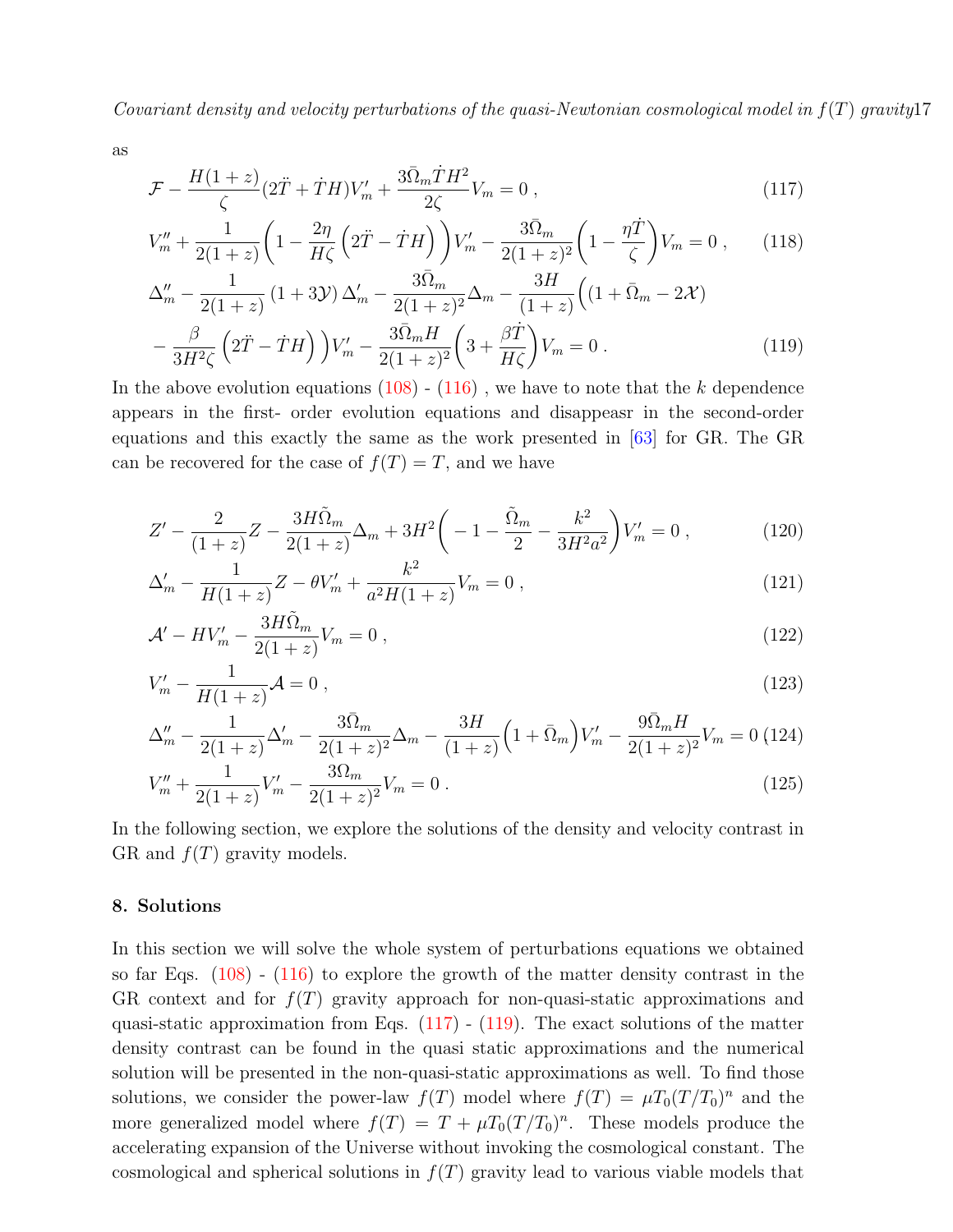as

<span id="page-16-1"></span>
$$
\mathcal{F} - \frac{H(1+z)}{\zeta} (2\ddot{T} + \dot{T}H) V'_m + \frac{3\bar{\Omega}_m \dot{T}H^2}{2\zeta} V_m = 0 , \qquad (117)
$$

$$
V_m'' + \frac{1}{2(1+z)} \left( 1 - \frac{2\eta}{H\zeta} \left( 2\ddot{T} - \dot{T}H \right) \right) V_m' - \frac{3\bar{\Omega}_m}{2(1+z)^2} \left( 1 - \frac{\eta \dot{T}}{\zeta} \right) V_m = 0 , \qquad (118)
$$

$$
\Delta''_{m} - \frac{1}{2(1+z)} (1+3\mathcal{Y}) \Delta'_{m} - \frac{3\bar{\Omega}_{m}}{2(1+z)^{2}} \Delta_{m} - \frac{3H}{(1+z)} \Big( (1+\bar{\Omega}_{m}-2\mathcal{X}) - \frac{\beta}{3H^{2}\zeta} \Big( 2\ddot{T} - \dot{T}H \Big) \Big) V'_{m} - \frac{3\bar{\Omega}_{m}H}{2(1+z)^{2}} \Big( 3 + \frac{\beta\dot{T}}{H\zeta} \Big) V_{m} = 0.
$$
\n(119)

In the above evolution equations  $(108)$  -  $(116)$ , we have to note that the k dependence appears in the first- order evolution equations and disappeasr in the second-order equations and this exactly the same as the work presented in [\[63\]](#page-29-2) for GR. The GR can be recovered for the case of  $f(T) = T$ , and we have

<span id="page-16-2"></span>
$$
Z' - \frac{2}{(1+z)}Z - \frac{3H\tilde{\Omega}_m}{2(1+z)}\Delta_m + 3H^2\bigg(-1 - \frac{\tilde{\Omega}_m}{2} - \frac{k^2}{3H^2a^2}\bigg)V'_m = 0\,,\tag{120}
$$

$$
\Delta'_m - \frac{1}{H(1+z)}Z - \theta V'_m + \frac{k^2}{a^2H(1+z)}V_m = 0,
$$
\n(121)

$$
\mathcal{A}' - HV'_m - \frac{3H\tilde{\Omega}_m}{2(1+z)}V_m = 0 ,
$$
\n(122)

$$
V'_m - \frac{1}{H(1+z)} \mathcal{A} = 0 \,, \tag{123}
$$

$$
\Delta''_m - \frac{1}{2(1+z)}\Delta'_m - \frac{3\bar{\Omega}_m}{2(1+z)^2}\Delta_m - \frac{3H}{(1+z)}\Big(1+\bar{\Omega}_m\Big)V'_m - \frac{9\bar{\Omega}_mH}{2(1+z)^2}V_m = 0 \tag{124}
$$

$$
V_m'' + \frac{1}{2(1+z)} V_m' - \frac{3\Omega_m}{2(1+z)^2} V_m = 0.
$$
\n(125)

In the following section, we explore the solutions of the density and velocity contrast in GR and  $f(T)$  gravity models.

### <span id="page-16-0"></span>8. Solutions

In this section we will solve the whole system of perturbations equations we obtained so far Eqs.  $(108)$  -  $(116)$  to explore the growth of the matter density contrast in the GR context and for  $f(T)$  gravity approach for non-quasi-static approximations and quasi-static approximation from Eqs.  $(117)$  -  $(119)$ . The exact solutions of the matter density contrast can be found in the quasi static approximations and the numerical solution will be presented in the non-quasi-static approximations as well. To find those solutions, we consider the power-law  $f(T)$  model where  $f(T) = \mu T_0 (T/T_0)^n$  and the more generalized model where  $f(T) = T + \mu T_0 (T/T_0)^n$ . These models produce the accelerating expansion of the Universe without invoking the cosmological constant. The cosmological and spherical solutions in  $f(T)$  gravity lead to various viable models that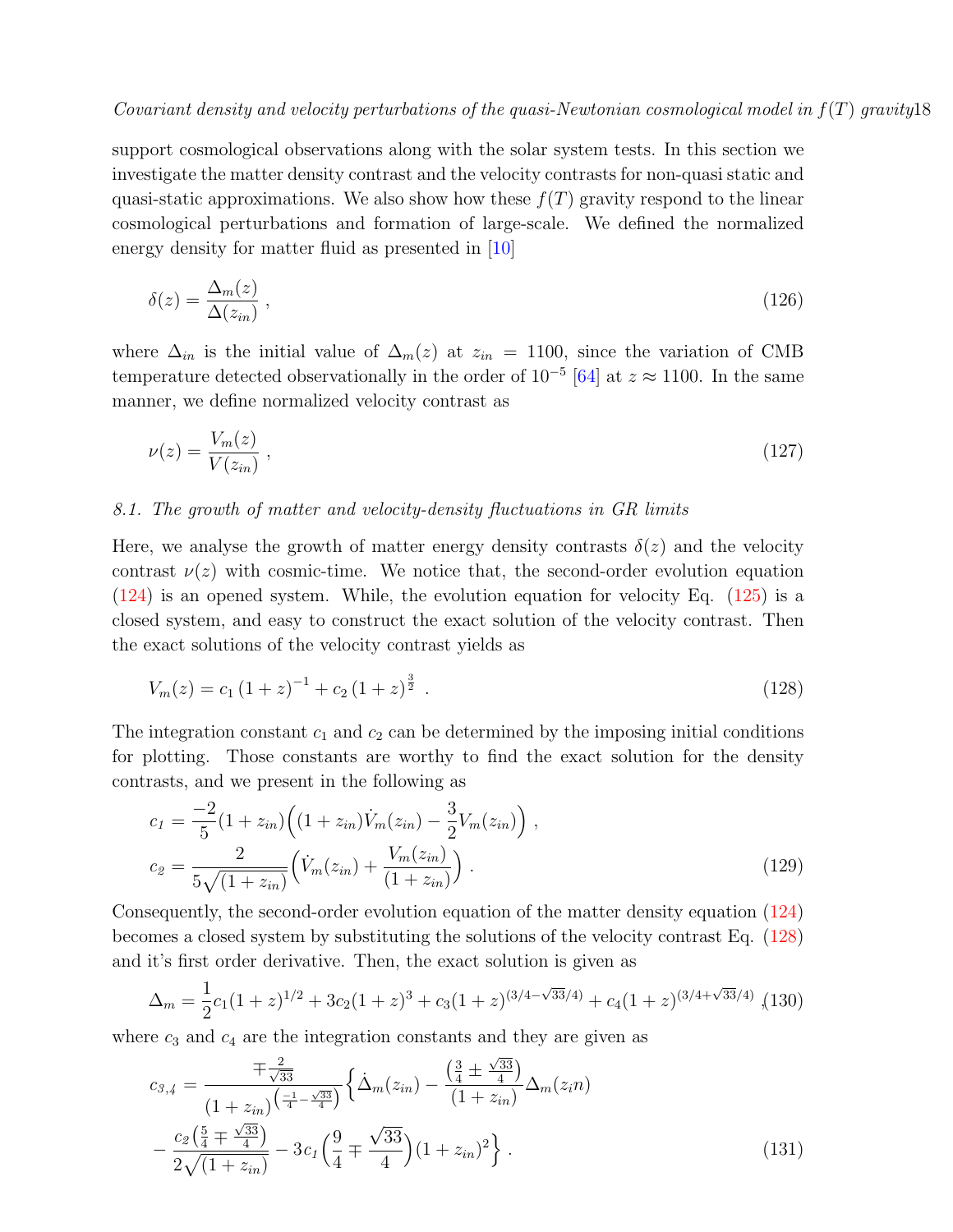support cosmological observations along with the solar system tests. In this section we investigate the matter density contrast and the velocity contrasts for non-quasi static and quasi-static approximations. We also show how these  $f(T)$  gravity respond to the linear cosmological perturbations and formation of large-scale. We defined the normalized energy density for matter fluid as presented in [\[10\]](#page-27-5)

$$
\delta(z) = \frac{\Delta_m(z)}{\Delta(z_{in})} \,,\tag{126}
$$

where  $\Delta_{in}$  is the initial value of  $\Delta_m(z)$  at  $z_{in} = 1100$ , since the variation of CMB temperature detected observationally in the order of  $10^{-5}$  [\[64\]](#page-29-3) at  $z \approx 1100$ . In the same manner, we define normalized velocity contrast as

$$
\nu(z) = \frac{V_m(z)}{V(z_{in})} \,,\tag{127}
$$

### 8.1. The growth of matter and velocity-density fluctuations in GR limits

Here, we analyse the growth of matter energy density contrasts  $\delta(z)$  and the velocity contrast  $\nu(z)$  with cosmic-time. We notice that, the second-order evolution equation [\(124\)](#page-16-2) is an opened system. While, the evolution equation for velocity Eq. [\(125\)](#page-16-2) is a closed system, and easy to construct the exact solution of the velocity contrast. Then the exact solutions of the velocity contrast yields as

<span id="page-17-0"></span>
$$
V_m(z) = c_1 \left(1 + z\right)^{-1} + c_2 \left(1 + z\right)^{\frac{3}{2}}.
$$
\n(128)

The integration constant  $c_1$  and  $c_2$  can be determined by the imposing initial conditions for plotting. Those constants are worthy to find the exact solution for the density contrasts, and we present in the following as

$$
c_1 = \frac{-2}{5} (1 + z_{in}) \Big( (1 + z_{in}) \dot{V}_m(z_{in}) - \frac{3}{2} V_m(z_{in}) \Big) ,
$$
  
\n
$$
c_2 = \frac{2}{5\sqrt{(1 + z_{in})}} \Big( \dot{V}_m(z_{in}) + \frac{V_m(z_{in})}{(1 + z_{in})} \Big) .
$$
\n(129)

Consequently, the second-order evolution equation of the matter density equation [\(124\)](#page-16-2) becomes a closed system by substituting the solutions of the velocity contrast Eq. [\(128\)](#page-17-0) and it's first order derivative. Then, the exact solution is given as

<span id="page-17-1"></span>
$$
\Delta_m = \frac{1}{2}c_1(1+z)^{1/2} + 3c_2(1+z)^3 + c_3(1+z)^{(3/4-\sqrt{33}/4)} + c_4(1+z)^{(3/4+\sqrt{33}/4)}
$$
 (130)

where  $c_3$  and  $c_4$  are the integration constants and they are given as

$$
c_{3,4} = \frac{\mp \frac{2}{\sqrt{33}}}{\left(1 + z_{in}\right)^{\left(\frac{-1}{4} - \frac{\sqrt{33}}{4}\right)}} \left\{ \dot{\Delta}_{m}(z_{in}) - \frac{\left(\frac{3}{4} \pm \frac{\sqrt{33}}{4}\right)}{\left(1 + z_{in}\right)} \Delta_{m}(z_{i}n) - \frac{c_{2}\left(\frac{5}{4} \pm \frac{\sqrt{33}}{4}\right)}{2\sqrt{\left(1 + z_{in}\right)}} - 3c_{1}\left(\frac{9}{4} \pm \frac{\sqrt{33}}{4}\right) \left(1 + z_{in}\right)^{2} \right\}.
$$
\n(131)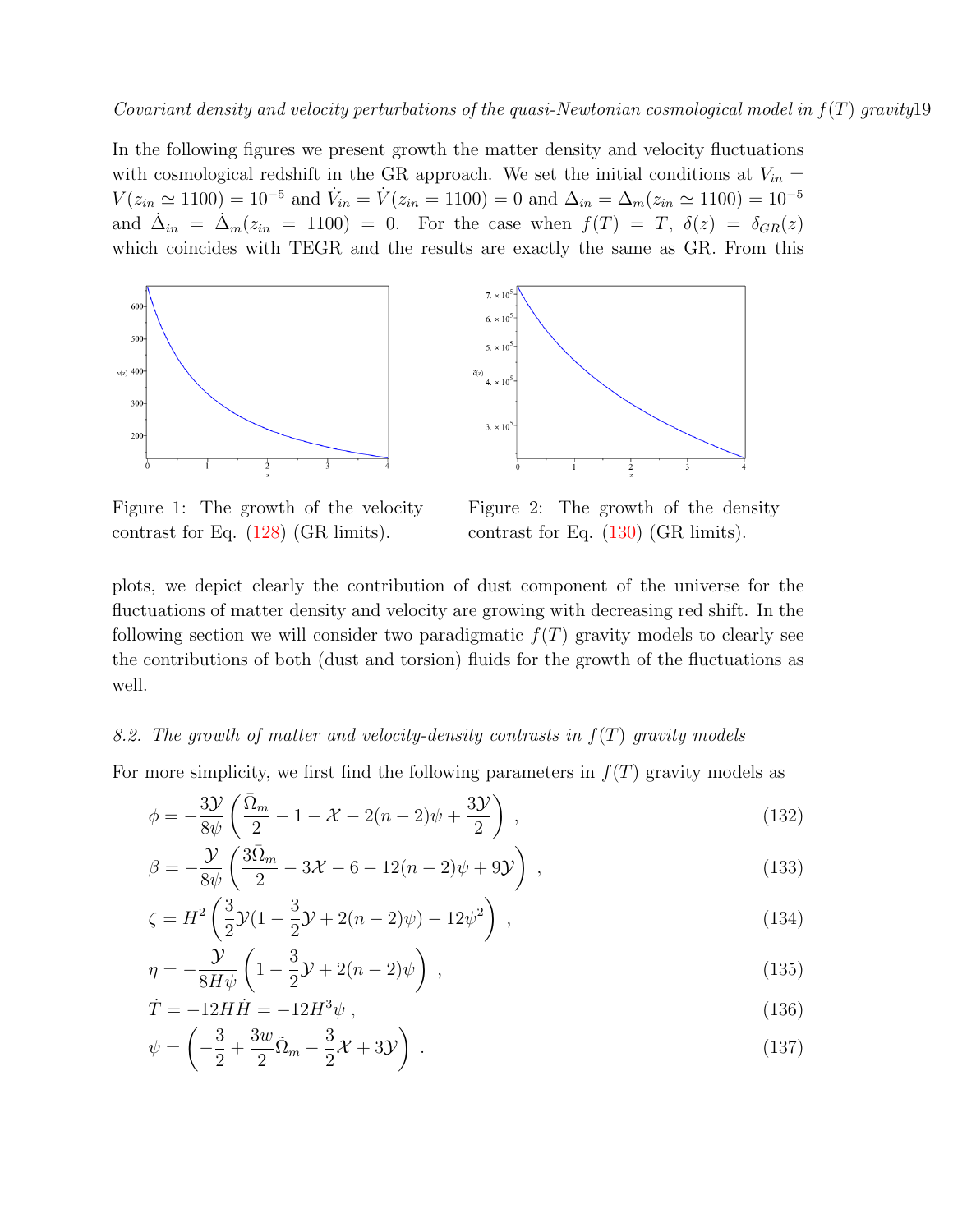In the following figures we present growth the matter density and velocity fluctuations with cosmological redshift in the GR approach. We set the initial conditions at  $V_{in}$  =  $V(z_{in} \simeq 1100) = 10^{-5}$  and  $\dot{V}_{in} = \dot{V}(z_{in} = 1100) = 0$  and  $\Delta_{in} = \Delta_m(z_{in} \simeq 1100) = 10^{-5}$ and  $\dot{\Delta}_{in} = \dot{\Delta}_m(z_{in} = 1100) = 0$ . For the case when  $f(T) = T$ ,  $\delta(z) = \delta_{GR}(z)$ which coincides with TEGR and the results are exactly the same as GR. From this

<span id="page-18-0"></span>

Figure 1: The growth of the velocity contrast for Eq. [\(128\)](#page-17-0) (GR limits).



Figure 2: The growth of the density contrast for Eq. [\(130\)](#page-17-1) (GR limits).

plots, we depict clearly the contribution of dust component of the universe for the fluctuations of matter density and velocity are growing with decreasing red shift. In the following section we will consider two paradigmatic  $f(T)$  gravity models to clearly see the contributions of both (dust and torsion) fluids for the growth of the fluctuations as well.

### 8.2. The growth of matter and velocity-density contrasts in  $f(T)$  gravity models

For more simplicity, we first find the following parameters in  $f(T)$  gravity models as

$$
\phi = -\frac{3\mathcal{Y}}{8\psi} \left( \frac{\bar{\Omega}_m}{2} - 1 - \mathcal{X} - 2(n-2)\psi + \frac{3\mathcal{Y}}{2} \right) ,\qquad (132)
$$

$$
\beta = -\frac{\mathcal{Y}}{8\psi} \left( \frac{3\bar{\Omega}_m}{2} - 3\mathcal{X} - 6 - 12(n-2)\psi + 9\mathcal{Y} \right) , \qquad (133)
$$

$$
\zeta = H^2 \left( \frac{3}{2} \mathcal{Y} (1 - \frac{3}{2} \mathcal{Y} + 2(n - 2)\psi) - 12\psi^2 \right) , \qquad (134)
$$

$$
\eta = -\frac{\mathcal{Y}}{8H\psi} \left(1 - \frac{3}{2}\mathcal{Y} + 2(n-2)\psi\right) ,\qquad (135)
$$

$$
\dot{T} = -12H\dot{H} = -12H^3\psi\,,\tag{136}
$$

$$
\psi = \left(-\frac{3}{2} + \frac{3w}{2}\tilde{\Omega}_m - \frac{3}{2}\mathcal{X} + 3\mathcal{Y}\right) \,. \tag{137}
$$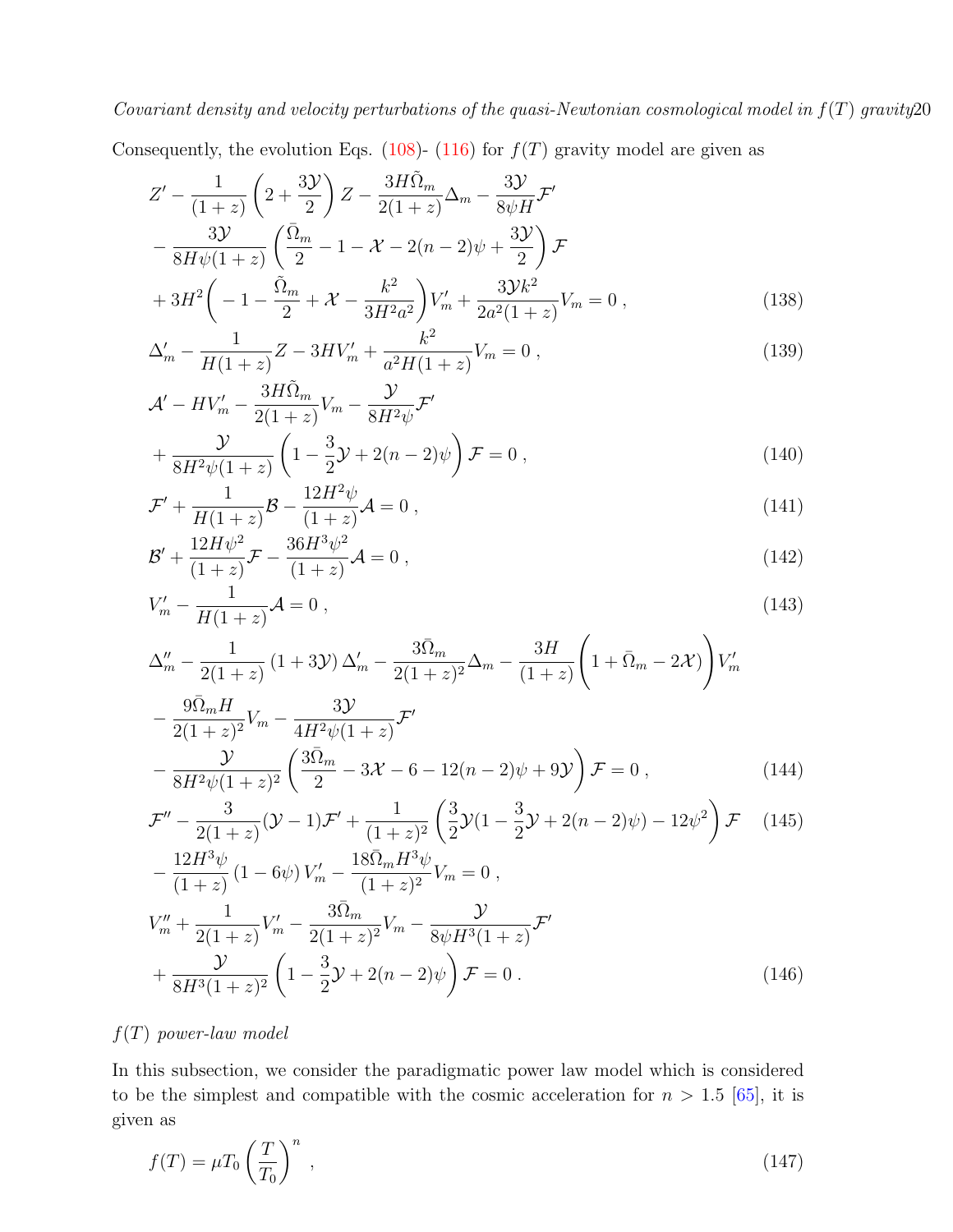Consequently, the evolution Eqs. [\(108\)](#page-15-0)- [\(116\)](#page-15-0) for  $f(T)$  gravity model are given as

<span id="page-19-0"></span>
$$
Z' - \frac{1}{(1+z)} \left( 2 + \frac{3\mathcal{Y}}{2} \right) Z - \frac{3H\tilde{\Omega}_m}{2(1+z)} \Delta_m - \frac{3\mathcal{Y}}{8\psi H} \mathcal{F}'
$$
  

$$
- \frac{3\mathcal{Y}}{8H\psi(1+z)} \left( \frac{\bar{\Omega}_m}{2} - 1 - \mathcal{X} - 2(n-2)\psi + \frac{3\mathcal{Y}}{2} \right) \mathcal{F}
$$
  

$$
+ 3H^2 \left( -1 - \frac{\tilde{\Omega}_m}{2} + \mathcal{X} - \frac{k^2}{3H^2 a^2} \right) V'_m + \frac{3\mathcal{Y}k^2}{2a^2(1+z)} V_m = 0 ,
$$
 (138)

$$
\Delta'_m - \frac{1}{H(1+z)}Z - 3HV'_m + \frac{k^2}{a^2H(1+z)}V_m = 0,
$$
\n(139)

$$
\mathcal{A}' - HV'_m - \frac{3H\tilde{\Omega}_m}{2(1+z)}V_m - \frac{\mathcal{Y}}{8H^2\psi}\mathcal{F}' + \frac{\mathcal{Y}}{8H^2\psi(1+z)} \left(1 - \frac{3}{2}\mathcal{Y} + 2(n-2)\psi\right)\mathcal{F} = 0 ,
$$
\n(140)

$$
\mathcal{F}' + \frac{1}{H(1+z)} \mathcal{B} - \frac{12H^2 \psi}{(1+z)} \mathcal{A} = 0 , \qquad (141)
$$

$$
\mathcal{B}' + \frac{12H\psi^2}{(1+z)}\mathcal{F} - \frac{36H^3\psi^2}{(1+z)}\mathcal{A} = 0\,,\tag{142}
$$

$$
V'_{m} - \frac{1}{H(1+z)}\mathcal{A} = 0, \qquad (143)
$$

$$
\Delta''_m - \frac{1}{2(1+z)} (1+3\mathcal{Y}) \Delta'_m - \frac{3\bar{\Omega}_m}{2(1+z)^2} \Delta_m - \frac{3H}{(1+z)} \left(1 + \bar{\Omega}_m - 2\mathcal{X})\right) V'_m \n- \frac{9\bar{\Omega}_m H}{2(1+z)^2} V_m - \frac{3\mathcal{Y}}{4H^2 \psi (1+z)} \mathcal{F}' \n- \frac{\mathcal{Y}}{2(1+z)^2} \left(\frac{3\bar{\Omega}_m}{2} - 3\mathcal{X} - 6 - 12(n-2)\psi + 9\mathcal{Y}\right) \mathcal{F} = 0.
$$
\n(144)

$$
-\frac{9}{8H^2\psi(1+z)^2}\left(\frac{32\omega_m}{2}-3\mathcal{X}-6-12(n-2)\psi+9\mathcal{Y}\right)\mathcal{F}=0\,,\tag{144}
$$

$$
\mathcal{F}'' - \frac{3}{2(1+z)}(\mathcal{Y} - 1)\mathcal{F}' + \frac{1}{(1+z)^2} \left(\frac{3}{2}\mathcal{Y}(1 - \frac{3}{2}\mathcal{Y} + 2(n-2)\psi) - 12\psi^2\right)\mathcal{F}
$$
(145)  
12H<sup>3</sup> $\psi$  (1 - 66) V'

$$
-\frac{12H^3\psi}{(1+z)}(1-6\psi)V'_m - \frac{18\bar{\Omega}_mH^3\psi}{(1+z)^2}V_m = 0,
$$
  

$$
V''_m + \frac{1}{2(1+z)}V'_m - \frac{3\bar{\Omega}_m}{2(1+z)^2}V_m - \frac{\mathcal{Y}}{8\psi H^3(1+z)}\mathcal{F}'
$$
  

$$
+\frac{\mathcal{Y}}{8H^3(1+z)^2}\left(1-\frac{3}{2}\mathcal{Y} + 2(n-2)\psi\right)\mathcal{F} = 0.
$$
 (146)

# $f(T)$  power-law model

In this subsection, we consider the paradigmatic power law model which is considered to be the simplest and compatible with the cosmic acceleration for  $n > 1.5$  [\[65\]](#page-29-4), it is given as

$$
f(T) = \mu T_0 \left(\frac{T}{T_0}\right)^n \,,\tag{147}
$$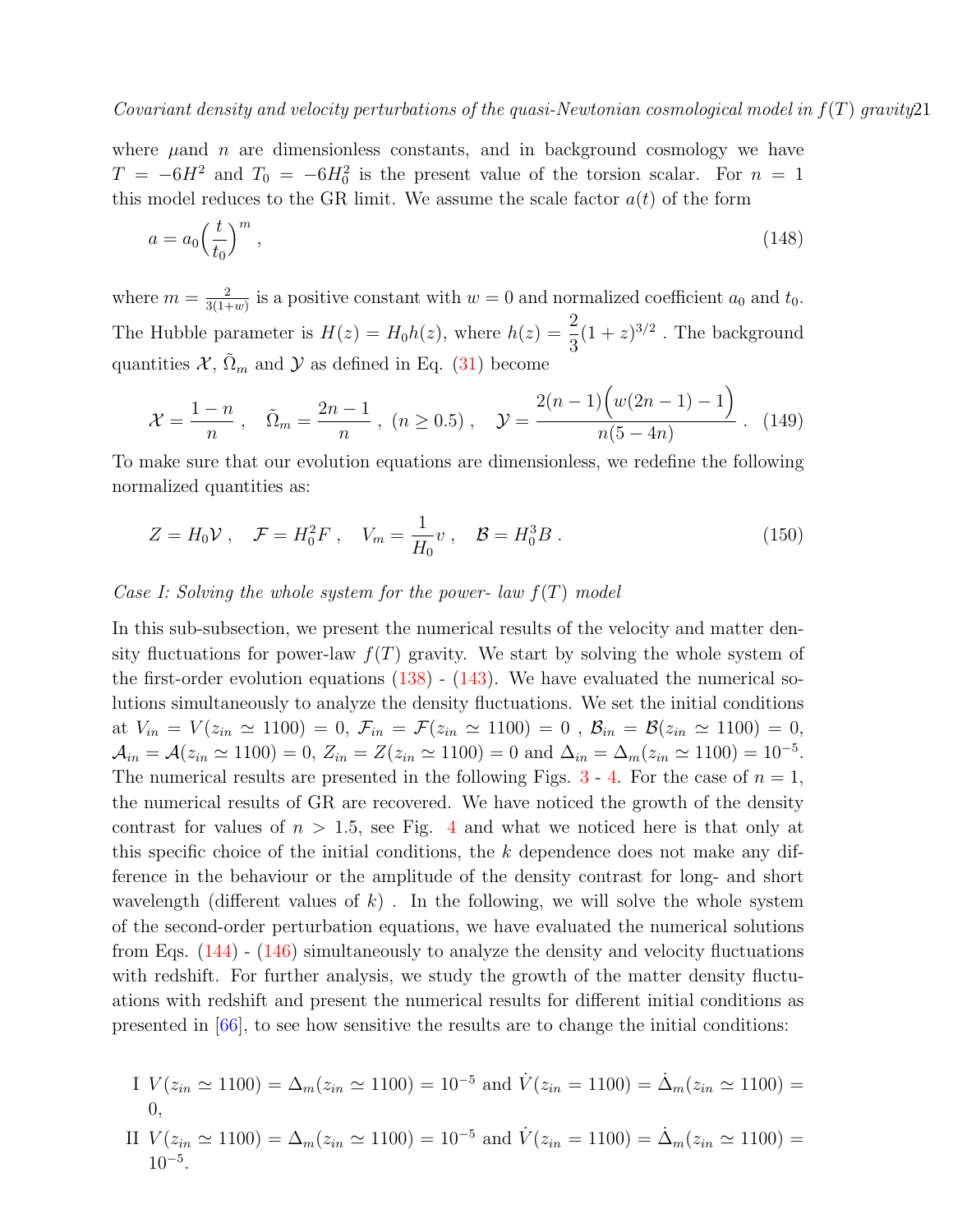where  $\mu$  and n are dimensionless constants, and in background cosmology we have  $T = -6H^2$  and  $T_0 = -6H_0^2$  is the present value of the torsion scalar. For  $n = 1$ this model reduces to the GR limit. We assume the scale factor  $a(t)$  of the form

<span id="page-20-0"></span>
$$
a = a_0 \left(\frac{t}{t_0}\right)^m,\tag{148}
$$

where  $m = \frac{2}{3(1+1)}$  $\frac{2}{3(1+w)}$  is a positive constant with  $w=0$  and normalized coefficient  $a_0$  and  $t_0$ . The Hubble parameter is  $H(z) = H_0 h(z)$ , where  $h(z) = \frac{2}{3}$  $(1+z)^{3/2}$ . The background quantities  $\mathcal{X}, \tilde{\Omega}_m$  and  $\mathcal{Y}$  as defined in Eq. [\(31\)](#page-5-3) become

$$
\mathcal{X} = \frac{1-n}{n}, \quad \tilde{\Omega}_m = \frac{2n-1}{n}, \ (n \ge 0.5), \quad \mathcal{Y} = \frac{2(n-1)\left(w(2n-1)-1\right)}{n(5-4n)}.
$$
 (149)

To make sure that our evolution equations are dimensionless, we redefine the following normalized quantities as:

$$
Z = H_0 \mathcal{V} \ , \quad \mathcal{F} = H_0^2 F \ , \quad V_m = \frac{1}{H_0} v \ , \quad \mathcal{B} = H_0^3 B \ . \tag{150}
$$

### Case I: Solving the whole system for the power- law  $f(T)$  model

In this sub-subsection, we present the numerical results of the velocity and matter density fluctuations for power-law  $f(T)$  gravity. We start by solving the whole system of the first-order evolution equations  $(138)$  -  $(143)$ . We have evaluated the numerical solutions simultaneously to analyze the density fluctuations. We set the initial conditions at  $V_{in} = V(z_{in} \simeq 1100) = 0$ ,  $\mathcal{F}_{in} = \mathcal{F}(z_{in} \simeq 1100) = 0$ ,  $\mathcal{B}_{in} = \mathcal{B}(z_{in} \simeq 1100) = 0$ ,  $A_{in} = \mathcal{A}(z_{in} \simeq 1100) = 0, Z_{in} = Z(z_{in} \simeq 1100) = 0$  and  $\Delta_{in} = \Delta_m(z_{in} \simeq 1100) = 10^{-5}$ . The numerical results are presented in the following Figs.  $3 - 4$  $3 - 4$ . For the case of  $n = 1$ , the numerical results of GR are recovered. We have noticed the growth of the density contrast for values of  $n > 1.5$ , see Fig. [4](#page-21-0) and what we noticed here is that only at this specific choice of the initial conditions, the k dependence does not make any difference in the behaviour or the amplitude of the density contrast for long- and short wavelength (different values of  $k$ ). In the following, we will solve the whole system of the second-order perturbation equations, we have evaluated the numerical solutions from Eqs. [\(144\)](#page-19-0) - [\(146\)](#page-19-0) simultaneously to analyze the density and velocity fluctuations with redshift. For further analysis, we study the growth of the matter density fluctuations with redshift and present the numerical results for different initial conditions as presented in [\[66\]](#page-29-5), to see how sensitive the results are to change the initial conditions:

I 
$$
V(z_{in} \simeq 1100) = \Delta_m(z_{in} \simeq 1100) = 10^{-5}
$$
 and  $\dot{V}(z_{in} = 1100) = \dot{\Delta}_m(z_{in} \simeq 1100) = 0$ ,

II  $V(z_{in} \simeq 1100) = \Delta_m(z_{in} \simeq 1100) = 10^{-5}$  and  $\dot{V}(z_{in} = 1100) = \dot{\Delta}_m(z_{in} \simeq 1100) =$  $10^{-5}$ .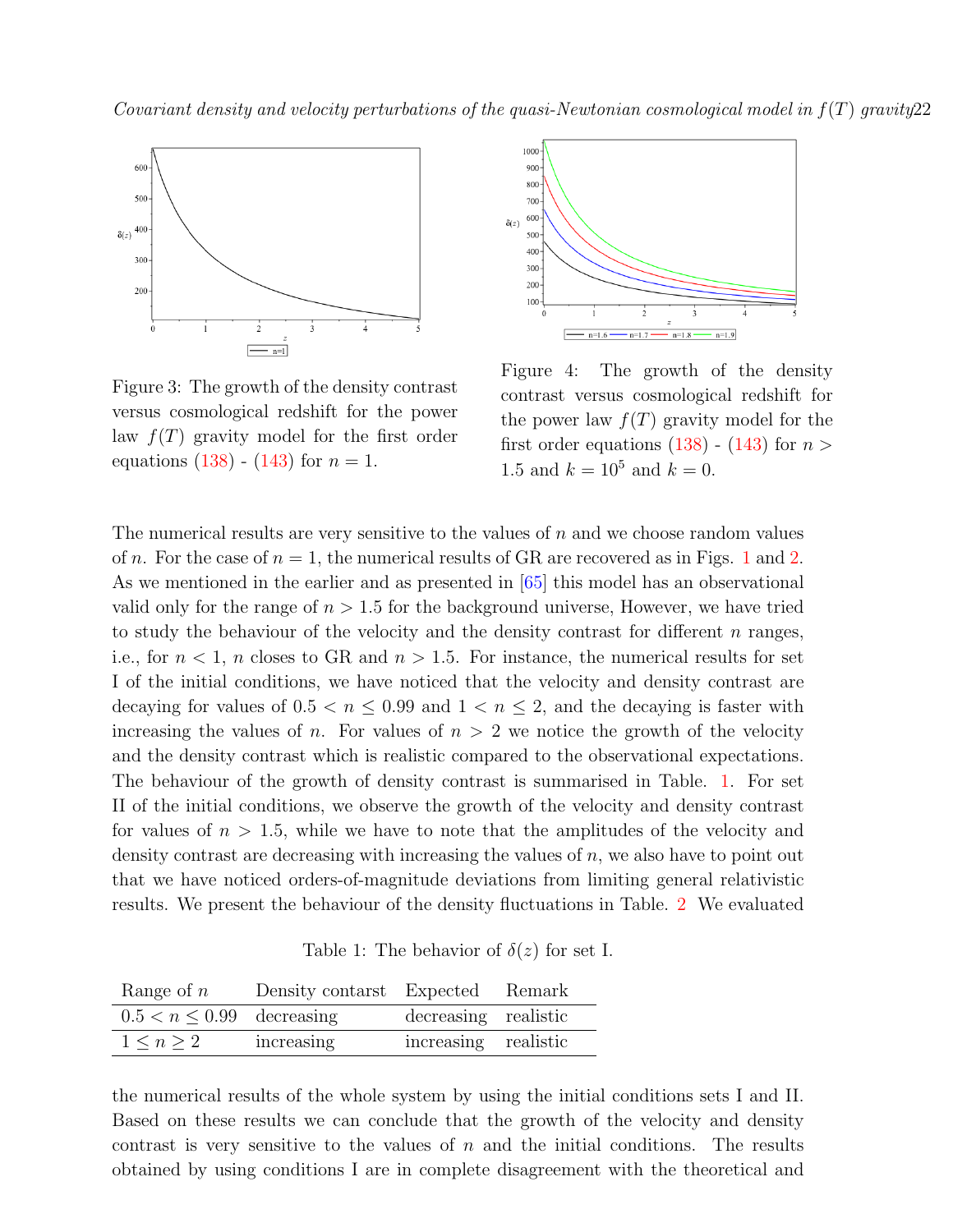<span id="page-21-0"></span>

Figure 3: The growth of the density contrast versus cosmological redshift for the power law  $f(T)$  gravity model for the first order equations [\(138\)](#page-19-0) - [\(143\)](#page-19-0) for  $n = 1$ .



Figure 4: The growth of the density contrast versus cosmological redshift for the power law  $f(T)$  gravity model for the first order equations  $(138)$  -  $(143)$  for  $n >$ 1.5 and  $k = 10^5$  and  $k = 0$ .

The numerical results are very sensitive to the values of  $n$  and we choose random values of n. For the case of  $n = 1$  $n = 1$ , the numerical results of GR are recovered as in Figs. 1 and [2.](#page-18-0) As we mentioned in the earlier and as presented in [\[65\]](#page-29-4) this model has an observational valid only for the range of  $n > 1.5$  for the background universe, However, we have tried to study the behaviour of the velocity and the density contrast for different  $n$  ranges, i.e., for  $n < 1$ , n closes to GR and  $n > 1.5$ . For instance, the numerical results for set I of the initial conditions, we have noticed that the velocity and density contrast are decaying for values of  $0.5 < n \leq 0.99$  and  $1 < n \leq 2$ , and the decaying is faster with increasing the values of n. For values of  $n > 2$  we notice the growth of the velocity and the density contrast which is realistic compared to the observational expectations. The behaviour of the growth of density contrast is summarised in Table. [1.](#page-21-1) For set II of the initial conditions, we observe the growth of the velocity and density contrast for values of  $n > 1.5$ , while we have to note that the amplitudes of the velocity and density contrast are decreasing with increasing the values of n, we also have to point out that we have noticed orders-of-magnitude deviations from limiting general relativistic results. We present the behaviour of the density fluctuations in Table. [2](#page-22-0) We evaluated

Table 1: The behavior of  $\delta(z)$  for set I.

<span id="page-21-1"></span>

| Range of $n$                   | Density contarst Expected Remark |                      |  |
|--------------------------------|----------------------------------|----------------------|--|
| $0.5 < n \leq 0.99$ decreasing |                                  | decreasing realistic |  |
| $1 \le n \ge 2$                | increasing                       | increasing realistic |  |

the numerical results of the whole system by using the initial conditions sets I and II. Based on these results we can conclude that the growth of the velocity and density contrast is very sensitive to the values of  $n$  and the initial conditions. The results obtained by using conditions I are in complete disagreement with the theoretical and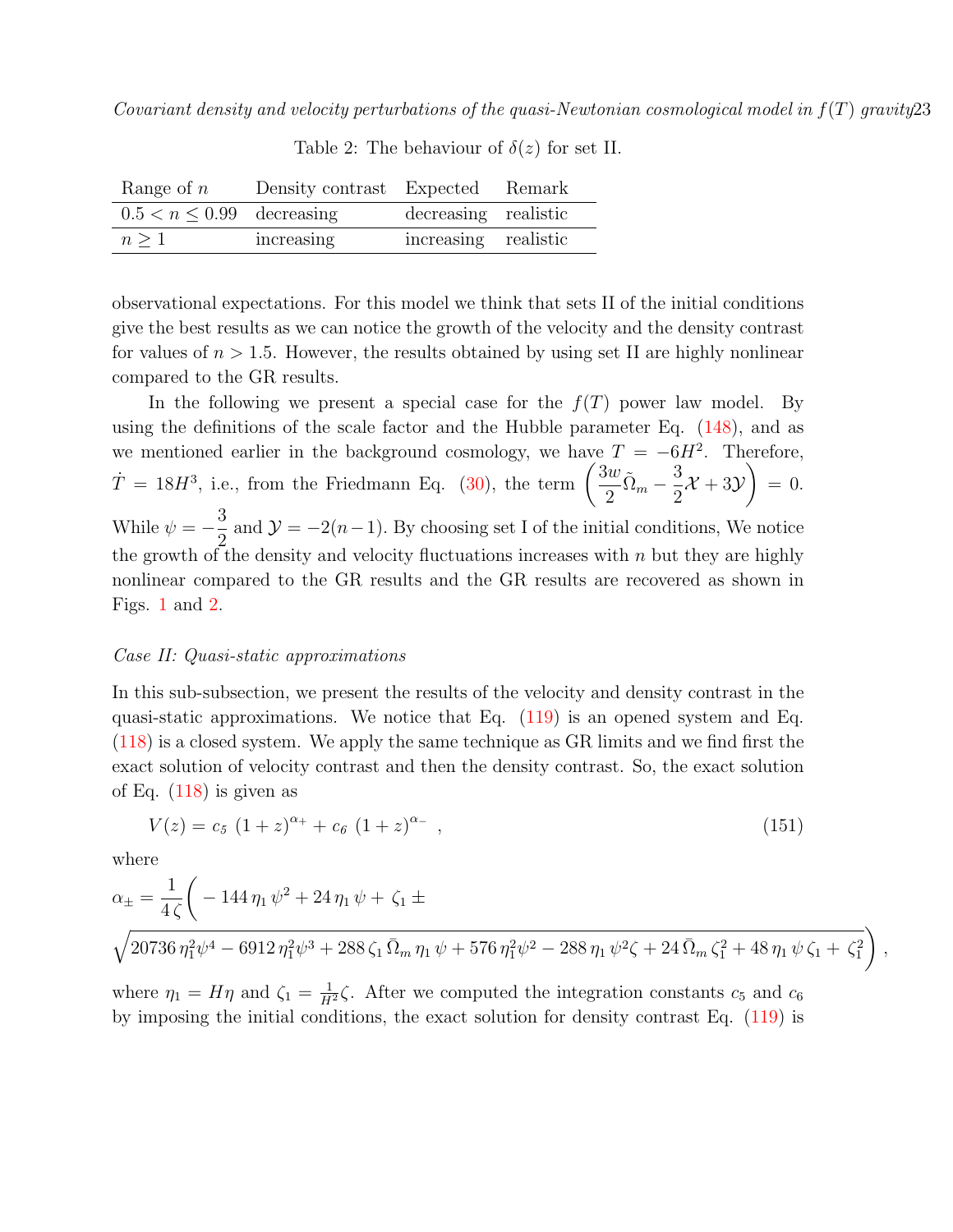<span id="page-22-0"></span>

| Range of $n$                   | Density contrast Expected Remark |                      |  |
|--------------------------------|----------------------------------|----------------------|--|
| $0.5 < n \leq 0.99$ decreasing |                                  | decreasing realistic |  |
| $n \geq 1$                     | increasing                       | increasing realistic |  |

Table 2: The behaviour of  $\delta(z)$  for set II.

observational expectations. For this model we think that sets II of the initial conditions give the best results as we can notice the growth of the velocity and the density contrast for values of  $n > 1.5$ . However, the results obtained by using set II are highly nonlinear compared to the GR results.

In the following we present a special case for the  $f(T)$  power law model. By using the definitions of the scale factor and the Hubble parameter Eq. [\(148\)](#page-20-0), and as we mentioned earlier in the background cosmology, we have  $T = -6H^2$ . Therefore,  $\dot{T} = 18H^3$ , i.e., from the Friedmann Eq. [\(30\)](#page-5-4), the term  $\left(\frac{3w}{2}\right)$  $\frac{3w}{2}\tilde{\Omega}_m - \frac{3}{2}$ 2  $\mathcal{X} + 3\mathcal{Y}$  $\setminus$  $= 0.$ While  $\psi = -\frac{3}{8}$ 2 and  $\mathcal{Y} = -2(n-1)$ . By choosing set I of the initial conditions, We notice the growth of the density and velocity fluctuations increases with  $n$  but they are highly nonlinear compared to the GR results and the GR results are recovered as shown in Figs. [1](#page-18-0) and [2.](#page-18-0)

### Case II: Quasi-static approximations

In this sub-subsection, we present the results of the velocity and density contrast in the quasi-static approximations. We notice that Eq. [\(119\)](#page-16-1) is an opened system and Eq. [\(118\)](#page-16-1) is a closed system. We apply the same technique as GR limits and we find first the exact solution of velocity contrast and then the density contrast. So, the exact solution of Eq. [\(118\)](#page-16-1) is given as

<span id="page-22-1"></span>
$$
V(z) = c_5 (1+z)^{\alpha_+} + c_6 (1+z)^{\alpha_-} , \qquad (151)
$$

where

$$
\alpha_{\pm} = \frac{1}{4\,\zeta} \bigg( -144\,\eta_1\,\psi^2 + 24\,\eta_1\,\psi + \zeta_1 \pm
$$

$$
\sqrt{20736\,\eta_1^2\psi^4 - 6912\,\eta_1^2\psi^3 + 288\,\zeta_1\,\bar{\Omega}_m\,\eta_1\,\psi + 576\,\eta_1^2\psi^2 - 288\,\eta_1\,\psi^2\zeta + 24\,\bar{\Omega}_m\,\zeta_1^2 + 48\,\eta_1\,\psi\,\zeta_1 + \zeta_1^2}\bigg) \ ,
$$

where  $\eta_1 = H\eta$  and  $\zeta_1 = \frac{1}{H^2}\zeta$ . After we computed the integration constants  $c_5$  and  $c_6$ by imposing the initial conditions, the exact solution for density contrast Eq. [\(119\)](#page-16-1) is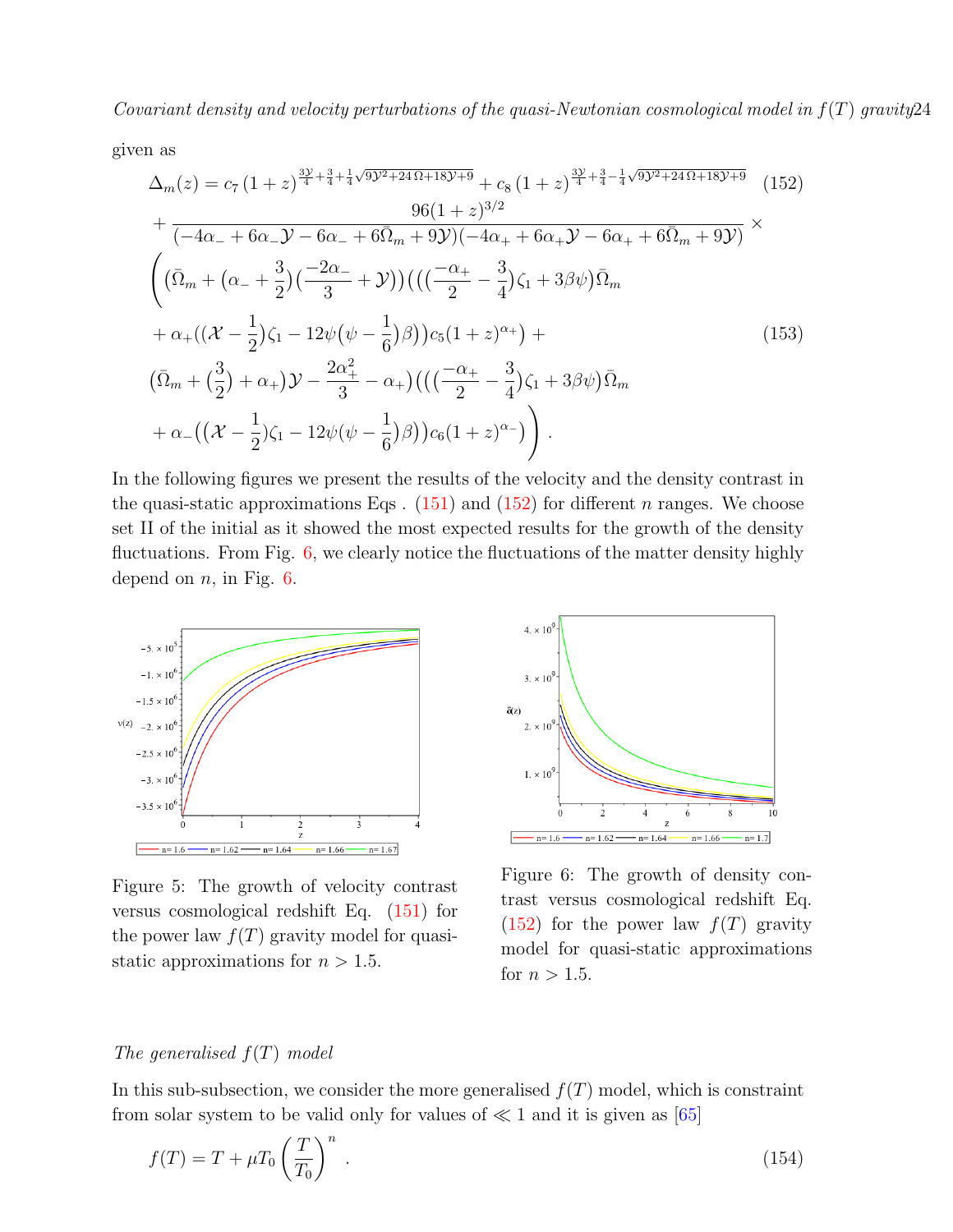given as

<span id="page-23-0"></span>
$$
\Delta_{m}(z) = c_{7} (1+z)^{\frac{3\mathcal{Y}}{4} + \frac{3}{4} + \frac{1}{4}\sqrt{9\mathcal{Y}^{2} + 24\Omega + 18\mathcal{Y}^{+9}} + c_{8} (1+z)^{\frac{3\mathcal{Y}}{4} + \frac{3}{4} - \frac{1}{4}\sqrt{9\mathcal{Y}^{2} + 24\Omega + 18\mathcal{Y}^{+9}}}
$$
(152)  
\n
$$
+ \frac{96(1+z)^{3/2}}{(-4\alpha_{-} + 6\alpha_{-}\mathcal{Y} - 6\alpha_{-} + 6\overline{\Omega}_{m} + 9\mathcal{Y})(-4\alpha_{+} + 6\alpha_{+}\mathcal{Y} - 6\alpha_{+} + 6\overline{\Omega}_{m} + 9\mathcal{Y})} \times
$$
\n
$$
\left( (\overline{\Omega}_{m} + (\alpha_{-} + \frac{3}{2})(\frac{-2\alpha_{-}}{3} + \mathcal{Y}))\right) \left( ((\frac{-\alpha_{+}}{2} - \frac{3}{4})\zeta_{1} + 3\beta\psi)\overline{\Omega}_{m} + \alpha_{+}((\mathcal{X} - \frac{1}{2})\zeta_{1} - 12\psi(\psi - \frac{1}{6})\beta) \right) c_{5} (1+z)^{\alpha_{+}} \right) +
$$
\n
$$
(\overline{\Omega}_{m} + (\frac{3}{2}) + \alpha_{+})\mathcal{Y} - \frac{2\alpha_{+}^{2}}{3} - \alpha_{+}) \left( ((\frac{-\alpha_{+}}{2} - \frac{3}{4})\zeta_{1} + 3\beta\psi)\overline{\Omega}_{m} + \alpha_{-}((\mathcal{X} - \frac{1}{2})\zeta_{1} - 12\psi(\psi - \frac{1}{6})\beta) \right) c_{6} (1+z)^{\alpha_{-}} \right) .
$$
\n(153)

In the following figures we present the results of the velocity and the density contrast in the quasi-static approximations Eqs.  $(151)$  and  $(152)$  for different *n* ranges. We choose set II of the initial as it showed the most expected results for the growth of the density fluctuations. From Fig. [6,](#page-23-1) we clearly notice the fluctuations of the matter density highly depend on  $n$ , in Fig. [6.](#page-23-1)

<span id="page-23-1"></span>

Figure 5: The growth of velocity contrast versus cosmological redshift Eq. [\(151\)](#page-22-1) for the power law  $f(T)$  gravity model for quasistatic approximations for  $n > 1.5$ .



Figure 6: The growth of density contrast versus cosmological redshift Eq.  $(152)$  for the power law  $f(T)$  gravity model for quasi-static approximations for  $n > 1.5$ .

### The generalised  $f(T)$  model

In this sub-subsection, we consider the more generalised  $f(T)$  model, which is constraint from solar system to be valid only for values of  $\ll 1$  and it is given as [\[65\]](#page-29-4)

$$
f(T) = T + \mu T_0 \left(\frac{T}{T_0}\right)^n \tag{154}
$$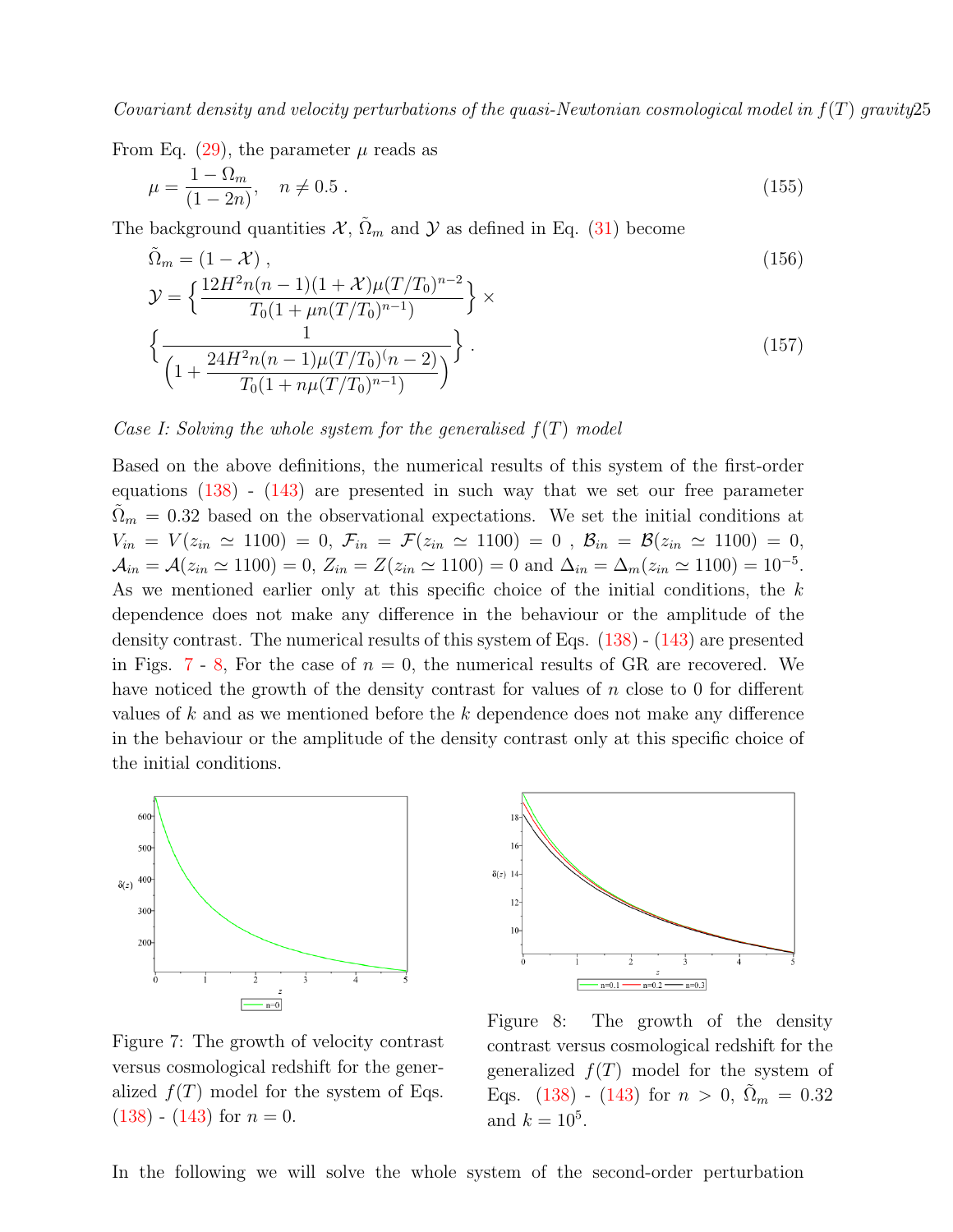From Eq.  $(29)$ , the parameter  $\mu$  reads as

$$
\mu = \frac{1 - \Omega_m}{(1 - 2n)}, \quad n \neq 0.5 \tag{155}
$$

The background quantities  $\mathcal{X}, \tilde{\Omega}_m$  and  $\mathcal{Y}$  as defined in Eq. [\(31\)](#page-5-3) become

$$
\tilde{\Omega}_m = (1 - \mathcal{X}),
$$
\n
$$
\mathcal{Y} = \left\{ \frac{12H^2 n(n-1)(1+\mathcal{X})\mu(T/T_0)^{n-2}}{T_0(1+\mu n(T/T_0)^{n-1})} \right\} \times
$$
\n
$$
\left\{ \frac{1}{\left(1 + \frac{24H^2 n(n-1)\mu(T/T_0)^{(n-2)}}{T_0(1+n\mu(T/T_0)^{n-1})}\right)} \right\}.
$$
\n(157)

### Case I: Solving the whole system for the generalised  $f(T)$  model

Based on the above definitions, the numerical results of this system of the first-order equations [\(138\)](#page-19-0) - [\(143\)](#page-19-0) are presented in such way that we set our free parameter  $\Omega_m = 0.32$  based on the observational expectations. We set the initial conditions at  $V_{in} = V(z_{in} \simeq 1100) = 0, \, \mathcal{F}_{in} = \mathcal{F}(z_{in} \simeq 1100) = 0, \, \mathcal{B}_{in} = \mathcal{B}(z_{in} \simeq 1100) = 0,$  $A_{in} = A(z_{in} \simeq 1100) = 0, Z_{in} = Z(z_{in} \simeq 1100) = 0$  and  $\Delta_{in} = \Delta_m(z_{in} \simeq 1100) = 10^{-5}$ . As we mentioned earlier only at this specific choice of the initial conditions, the k dependence does not make any difference in the behaviour or the amplitude of the density contrast. The numerical results of this system of Eqs. [\(138\)](#page-19-0) - [\(143\)](#page-19-0) are presented in Figs. [7](#page-24-0) - [8,](#page-24-0) For the case of  $n = 0$ , the numerical results of GR are recovered. We have noticed the growth of the density contrast for values of  $n$  close to 0 for different values of k and as we mentioned before the k dependence does not make any difference in the behaviour or the amplitude of the density contrast only at this specific choice of the initial conditions.

<span id="page-24-0"></span>

Figure 7: The growth of velocity contrast versus cosmological redshift for the generalized  $f(T)$  model for the system of Eqs.  $(138)$  -  $(143)$  for  $n = 0$ .



Figure 8: The growth of the density contrast versus cosmological redshift for the generalized  $f(T)$  model for the system of Eqs. [\(138\)](#page-19-0) - [\(143\)](#page-19-0) for  $n > 0$ ,  $\tilde{\Omega}_m = 0.32$ and  $k = 10^5$ .

In the following we will solve the whole system of the second-order perturbation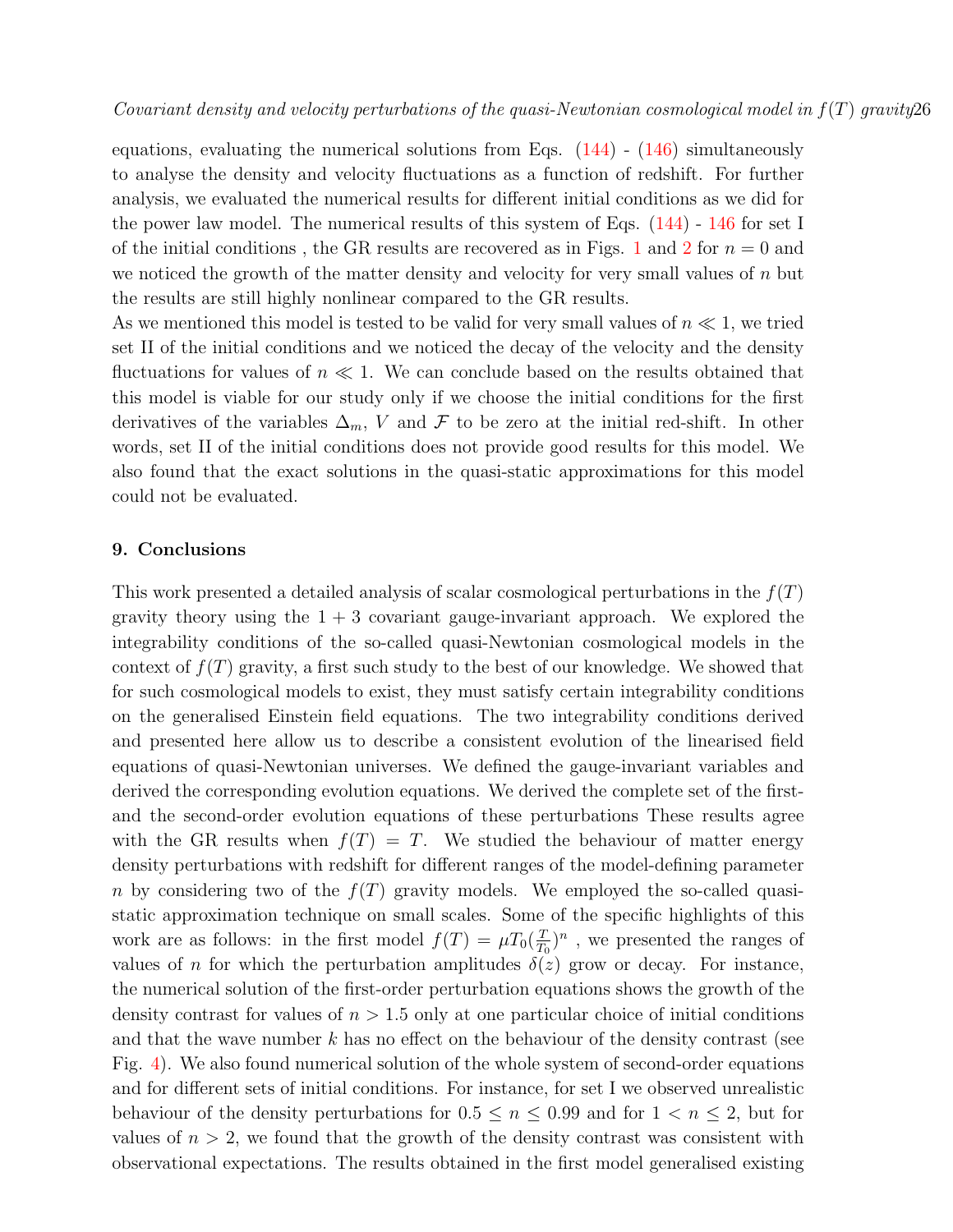equations, evaluating the numerical solutions from Eqs.  $(144)$  -  $(146)$  simultaneously to analyse the density and velocity fluctuations as a function of redshift. For further analysis, we evaluated the numerical results for different initial conditions as we did for the power law model. The numerical results of this system of Eqs. [\(144\)](#page-19-0) - [146](#page-19-0) for set I of the initial conditions, the GR results are recovered as in Figs. [1](#page-18-0) and [2](#page-18-0) for  $n = 0$  and we noticed the growth of the matter density and velocity for very small values of  $n$  but the results are still highly nonlinear compared to the GR results.

As we mentioned this model is tested to be valid for very small values of  $n \ll 1$ , we tried set II of the initial conditions and we noticed the decay of the velocity and the density fluctuations for values of  $n \ll 1$ . We can conclude based on the results obtained that this model is viable for our study only if we choose the initial conditions for the first derivatives of the variables  $\Delta_m$ , V and F to be zero at the initial red-shift. In other words, set II of the initial conditions does not provide good results for this model. We also found that the exact solutions in the quasi-static approximations for this model could not be evaluated.

### <span id="page-25-0"></span>9. Conclusions

This work presented a detailed analysis of scalar cosmological perturbations in the  $f(T)$ gravity theory using the  $1 + 3$  covariant gauge-invariant approach. We explored the integrability conditions of the so-called quasi-Newtonian cosmological models in the context of  $f(T)$  gravity, a first such study to the best of our knowledge. We showed that for such cosmological models to exist, they must satisfy certain integrability conditions on the generalised Einstein field equations. The two integrability conditions derived and presented here allow us to describe a consistent evolution of the linearised field equations of quasi-Newtonian universes. We defined the gauge-invariant variables and derived the corresponding evolution equations. We derived the complete set of the firstand the second-order evolution equations of these perturbations These results agree with the GR results when  $f(T) = T$ . We studied the behaviour of matter energy density perturbations with redshift for different ranges of the model-defining parameter n by considering two of the  $f(T)$  gravity models. We employed the so-called quasistatic approximation technique on small scales. Some of the specific highlights of this work are as follows: in the first model  $f(T) = \mu T_0(\frac{T}{T_0})$  $(\frac{T}{T_0})^n$ , we presented the ranges of values of n for which the perturbation amplitudes  $\delta(z)$  grow or decay. For instance, the numerical solution of the first-order perturbation equations shows the growth of the density contrast for values of  $n > 1.5$  only at one particular choice of initial conditions and that the wave number  $k$  has no effect on the behaviour of the density contrast (see Fig. [4\)](#page-21-0). We also found numerical solution of the whole system of second-order equations and for different sets of initial conditions. For instance, for set I we observed unrealistic behaviour of the density perturbations for  $0.5 \le n \le 0.99$  and for  $1 \le n \le 2$ , but for values of  $n > 2$ , we found that the growth of the density contrast was consistent with observational expectations. The results obtained in the first model generalised existing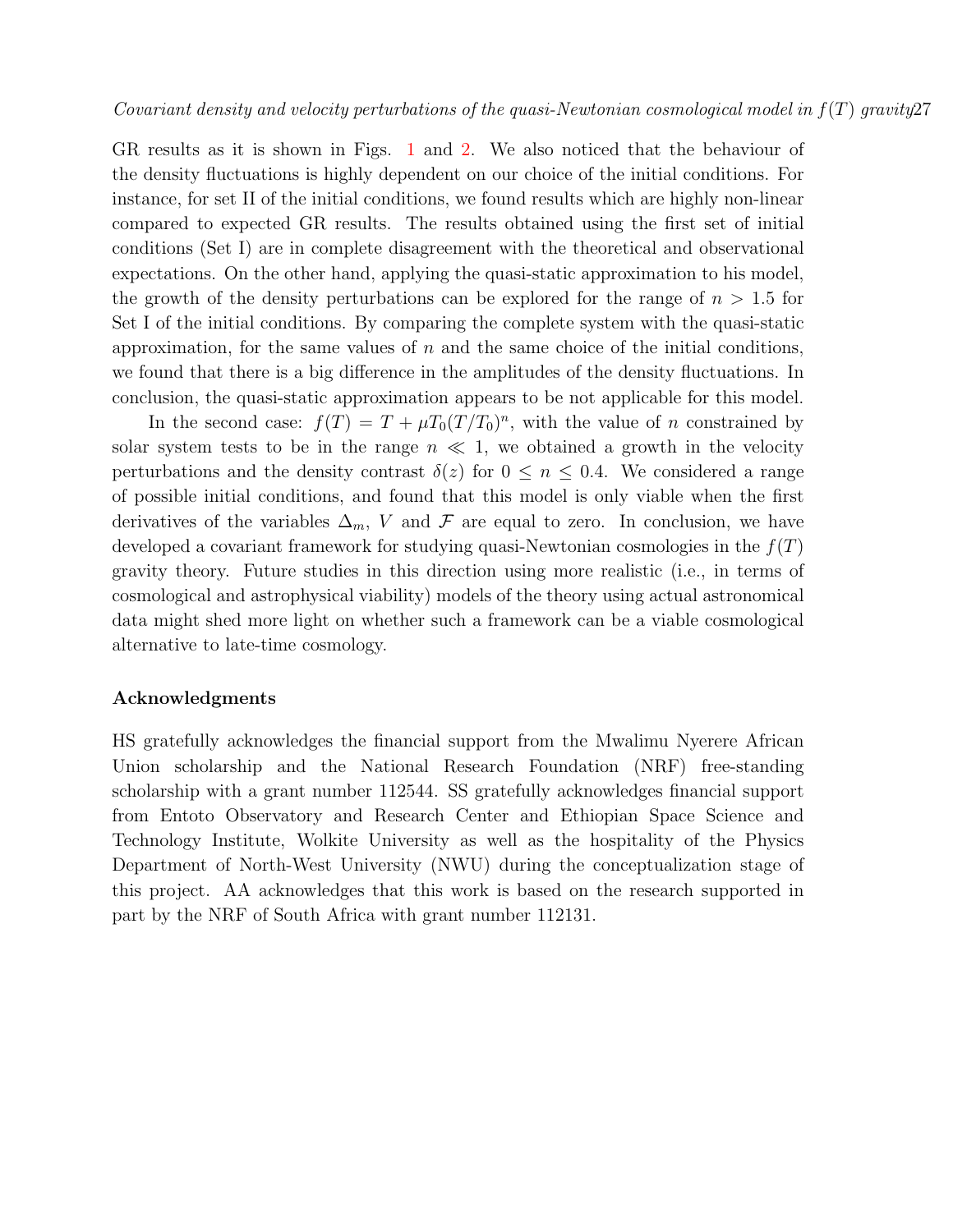GR results as it is shown in Figs. [1](#page-18-0) and [2.](#page-18-0) We also noticed that the behaviour of the density fluctuations is highly dependent on our choice of the initial conditions. For instance, for set II of the initial conditions, we found results which are highly non-linear compared to expected GR results. The results obtained using the first set of initial conditions (Set I) are in complete disagreement with the theoretical and observational expectations. On the other hand, applying the quasi-static approximation to his model, the growth of the density perturbations can be explored for the range of  $n > 1.5$  for Set I of the initial conditions. By comparing the complete system with the quasi-static approximation, for the same values of  $n$  and the same choice of the initial conditions, we found that there is a big difference in the amplitudes of the density fluctuations. In conclusion, the quasi-static approximation appears to be not applicable for this model.

In the second case:  $f(T) = T + \mu T_0 (T/T_0)^n$ , with the value of n constrained by solar system tests to be in the range  $n \ll 1$ , we obtained a growth in the velocity perturbations and the density contrast  $\delta(z)$  for  $0 \leq n \leq 0.4$ . We considered a range of possible initial conditions, and found that this model is only viable when the first derivatives of the variables  $\Delta_m$ , V and F are equal to zero. In conclusion, we have developed a covariant framework for studying quasi-Newtonian cosmologies in the  $f(T)$ gravity theory. Future studies in this direction using more realistic (i.e., in terms of cosmological and astrophysical viability) models of the theory using actual astronomical data might shed more light on whether such a framework can be a viable cosmological alternative to late-time cosmology.

### Acknowledgments

HS gratefully acknowledges the financial support from the Mwalimu Nyerere African Union scholarship and the National Research Foundation (NRF) free-standing scholarship with a grant number 112544. SS gratefully acknowledges financial support from Entoto Observatory and Research Center and Ethiopian Space Science and Technology Institute, Wolkite University as well as the hospitality of the Physics Department of North-West University (NWU) during the conceptualization stage of this project. AA acknowledges that this work is based on the research supported in part by the NRF of South Africa with grant number 112131.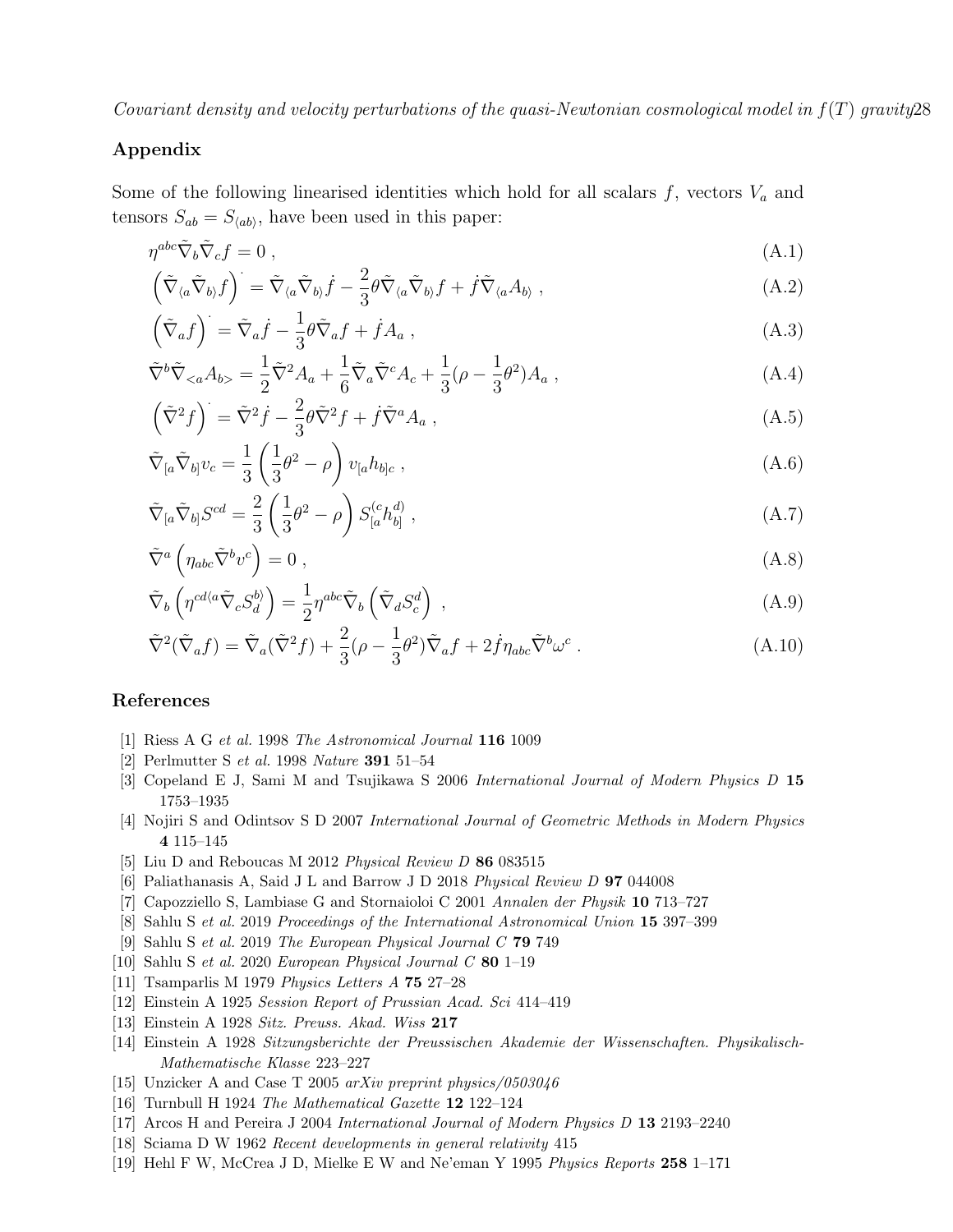## Appendix

Some of the following linearised identities which hold for all scalars  $f$ , vectors  $V_a$  and tensors  $S_{ab} = S_{\langle ab \rangle}$ , have been used in this paper:

<span id="page-27-14"></span>
$$
\eta^{abc}\tilde{\nabla}_b\tilde{\nabla}_cf = 0 ,\qquad (A.1)
$$

$$
\left(\tilde{\nabla}_{\langle a}\tilde{\nabla}_{b\rangle}f\right)^{\cdot} = \tilde{\nabla}_{\langle a}\tilde{\nabla}_{b\rangle}\dot{f} - \frac{2}{3}\theta\tilde{\nabla}_{\langle a}\tilde{\nabla}_{b\rangle}f + \dot{f}\tilde{\nabla}_{\langle a}A_{b\rangle},\tag{A.2}
$$

$$
\left(\tilde{\nabla}_a f\right) = \tilde{\nabla}_a \dot{f} - \frac{1}{3} \theta \tilde{\nabla}_a f + \dot{f} A_a \,,\tag{A.3}
$$

$$
\tilde{\nabla}^b \tilde{\nabla}_{\langle a} A_{b \rangle} = \frac{1}{2} \tilde{\nabla}^2 A_a + \frac{1}{6} \tilde{\nabla}_a \tilde{\nabla}^c A_c + \frac{1}{3} (\rho - \frac{1}{3} \theta^2) A_a , \qquad (A.4)
$$

$$
\left(\tilde{\nabla}^2 f\right) = \tilde{\nabla}^2 \dot{f} - \frac{2}{3} \theta \tilde{\nabla}^2 f + \dot{f} \tilde{\nabla}^a A_a , \qquad (A.5)
$$

$$
\tilde{\nabla}_{[a}\tilde{\nabla}_{b]}v_c = \frac{1}{3} \left(\frac{1}{3}\theta^2 - \rho\right) v_{[a}h_{b]c} ,\qquad (A.6)
$$

$$
\tilde{\nabla}_{[a}\tilde{\nabla}_{b]}S^{cd} = \frac{2}{3}\left(\frac{1}{3}\theta^2 - \rho\right)S^{(c}_{[a}h^{d)}_{b]},\tag{A.7}
$$

$$
\tilde{\nabla}^a \left( \eta_{abc} \tilde{\nabla}^b v^c \right) = 0 \tag{A.8}
$$

$$
\tilde{\nabla}_b \left( \eta^{cd \langle a} \tilde{\nabla}_c S_d^{b \rangle} \right) = \frac{1}{2} \eta^{abc} \tilde{\nabla}_b \left( \tilde{\nabla}_d S_c^d \right) , \qquad (A.9)
$$

$$
\tilde{\nabla}^2(\tilde{\nabla}_a f) = \tilde{\nabla}_a(\tilde{\nabla}^2 f) + \frac{2}{3} (\rho - \frac{1}{3} \theta^2) \tilde{\nabla}_a f + 2 \dot{f} \eta_{abc} \tilde{\nabla}^b \omega^c.
$$
\n(A.10)

### References

- <span id="page-27-0"></span>[1] Riess A G et al. 1998 The Astronomical Journal 116 1009
- <span id="page-27-1"></span>[2] Perlmutter S et al. 1998 Nature 391 51–54
- <span id="page-27-2"></span>[3] Copeland E J, Sami M and Tsujikawa S 2006 International Journal of Modern Physics D 15 1753–1935
- <span id="page-27-3"></span>[4] Nojiri S and Odintsov S D 2007 International Journal of Geometric Methods in Modern Physics 4 115–145
- <span id="page-27-4"></span>[5] Liu D and Reboucas M 2012 Physical Review D 86 083515
- <span id="page-27-13"></span>[6] Paliathanasis A, Said J L and Barrow J D 2018 Physical Review D 97 044008
- [7] Capozziello S, Lambiase G and Stornaioloi C 2001 Annalen der Physik 10 713–727
- [8] Sahlu S et al. 2019 Proceedings of the International Astronomical Union 15 397–399
- [9] Sahlu S et al. 2019 The European Physical Journal C 79 749
- <span id="page-27-5"></span>[10] Sahlu S et al. 2020 European Physical Journal C 80 1–19
- <span id="page-27-6"></span>[11] Tsamparlis M 1979 Physics Letters A 75 27–28
- <span id="page-27-7"></span>[12] Einstein A 1925 Session Report of Prussian Acad. Sci 414–419
- [13] Einstein A 1928 Sitz. Preuss. Akad. Wiss 217
- [14] Einstein A 1928 Sitzungsberichte der Preussischen Akademie der Wissenschaften. Physikalisch-Mathematische Klasse 223–227
- <span id="page-27-8"></span>[15] Unzicker A and Case T 2005 arXiv preprint physics/0503046
- <span id="page-27-9"></span>[16] Turnbull H 1924 The Mathematical Gazette 12 122–124
- <span id="page-27-10"></span>[17] Arcos H and Pereira J 2004 International Journal of Modern Physics D 13 2193–2240
- <span id="page-27-11"></span>[18] Sciama D W 1962 Recent developments in general relativity 415
- <span id="page-27-12"></span>[19] Hehl F W, McCrea J D, Mielke E W and Ne'eman Y 1995 Physics Reports 258 1–171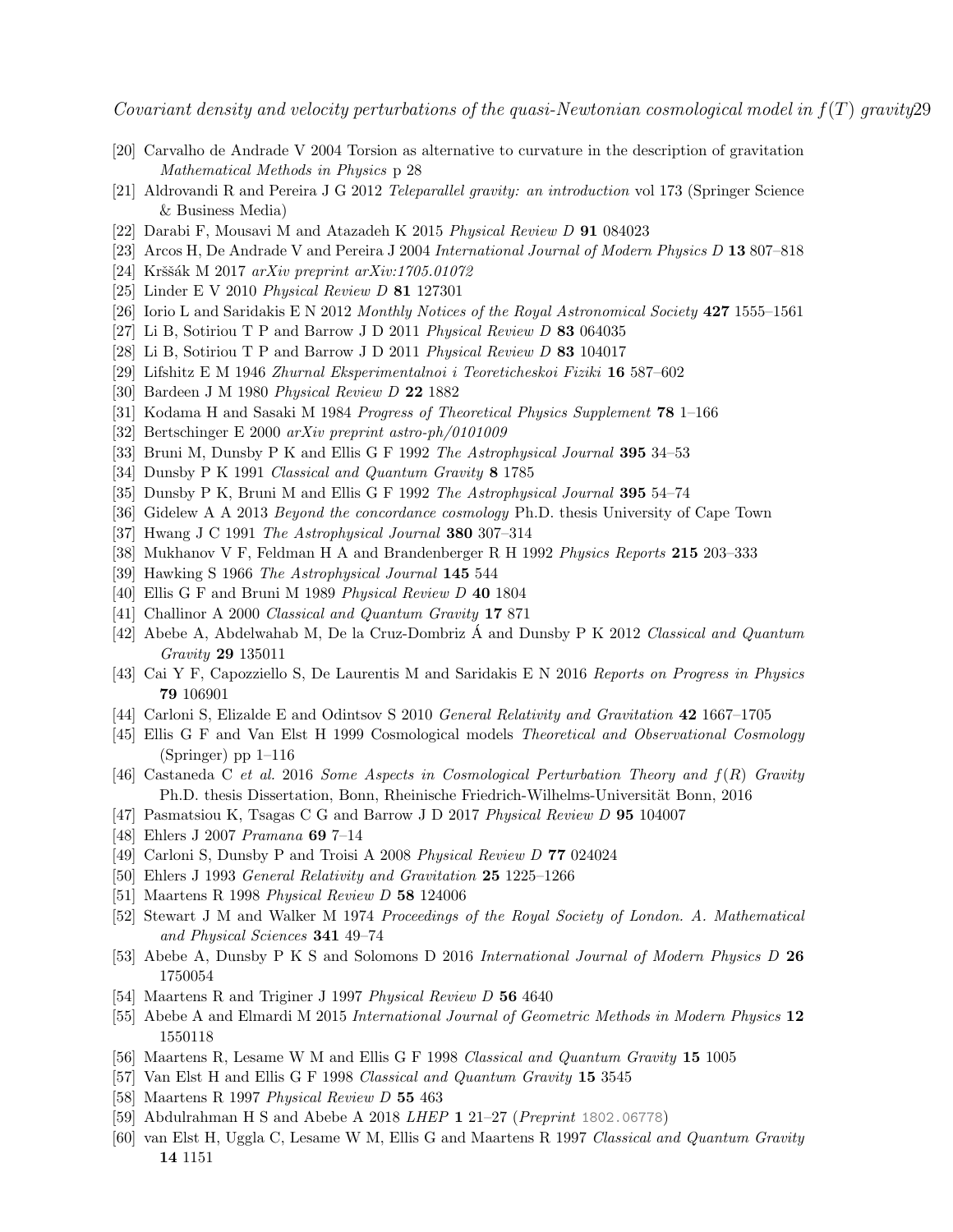- <span id="page-28-0"></span>[20] Carvalho de Andrade V 2004 Torsion as alternative to curvature in the description of gravitation Mathematical Methods in Physics p 28
- <span id="page-28-1"></span>[21] Aldrovandi R and Pereira J G 2012 Teleparallel gravity: an introduction vol 173 (Springer Science & Business Media)
- <span id="page-28-2"></span>[22] Darabi F, Mousavi M and Atazadeh K 2015 Physical Review D 91 084023
- <span id="page-28-3"></span>[23] Arcos H, De Andrade V and Pereira J 2004 International Journal of Modern Physics D 13 807–818
- <span id="page-28-4"></span> $[24]$  Krššák M 2017 arXiv preprint arXiv:1705.01072
- <span id="page-28-16"></span>[25] Linder E V 2010 Physical Review D 81 127301
- <span id="page-28-5"></span>[26] Iorio L and Saridakis E N 2012 Monthly Notices of the Royal Astronomical Society 427 1555–1561
- <span id="page-28-6"></span>[27] Li B, Sotiriou T P and Barrow J D 2011 Physical Review D 83 064035
- <span id="page-28-7"></span>[28] Li B, Sotiriou T P and Barrow J D 2011 Physical Review D 83 104017
- <span id="page-28-8"></span>[29] Lifshitz E M 1946 Zhurnal Eksperimentalnoi i Teoreticheskoi Fiziki 16 587–602
- [30] Bardeen J M 1980 Physical Review D 22 1882
- [31] Kodama H and Sasaki M 1984 Progress of Theoretical Physics Supplement 78 1–166
- [32] Bertschinger E 2000 arXiv preprint astro-ph/0101009
- [33] Bruni M, Dunsby P K and Ellis G F 1992 The Astrophysical Journal 395 34–53
- <span id="page-28-13"></span>[34] Dunsby P K 1991 Classical and Quantum Gravity 8 1785
- <span id="page-28-22"></span>[35] Dunsby P K, Bruni M and Ellis G F 1992 The Astrophysical Journal 395 54–74
- <span id="page-28-17"></span>[36] Gidelew A A 2013 Beyond the concordance cosmology Ph.D. thesis University of Cape Town
- [37] Hwang J C 1991 The Astrophysical Journal 380 307–314
- <span id="page-28-9"></span>[38] Mukhanov V F, Feldman H A and Brandenberger R H 1992 Physics Reports 215 203–333
- <span id="page-28-10"></span>[39] Hawking S 1966 The Astrophysical Journal 145 544
- <span id="page-28-11"></span>[40] Ellis G F and Bruni M 1989 Physical Review D 40 1804
- <span id="page-28-12"></span>[41] Challinor A 2000 Classical and Quantum Gravity 17 871
- <span id="page-28-14"></span>[42] Abebe A, Abdelwahab M, De la Cruz-Dombriz  $\acute{A}$  and Dunsby P K 2012 Classical and Quantum Gravity 29 135011
- <span id="page-28-15"></span>[43] Cai Y F, Capozziello S, De Laurentis M and Saridakis E N 2016 Reports on Progress in Physics 79 106901
- <span id="page-28-18"></span>[44] Carloni S, Elizalde E and Odintsov S 2010 General Relativity and Gravitation 42 1667–1705
- <span id="page-28-19"></span>[45] Ellis G F and Van Elst H 1999 Cosmological models Theoretical and Observational Cosmology (Springer) pp  $1-116$
- <span id="page-28-20"></span>[46] Castaneda C et al. 2016 Some Aspects in Cosmological Perturbation Theory and  $f(R)$  Gravity Ph.D. thesis Dissertation, Bonn, Rheinische Friedrich-Wilhelms-Universität Bonn, 2016
- <span id="page-28-21"></span>[47] Pasmatsiou K, Tsagas C G and Barrow J D 2017 Physical Review D 95 104007
- <span id="page-28-23"></span>[48] Ehlers J 2007 Pramana 69 7–14
- <span id="page-28-24"></span>[49] Carloni S, Dunsby P and Troisi A 2008 Physical Review D 77 024024
- <span id="page-28-25"></span>[50] Ehlers J 1993 General Relativity and Gravitation 25 1225–1266
- <span id="page-28-26"></span>[51] Maartens R 1998 Physical Review D 58 124006
- <span id="page-28-27"></span>[52] Stewart J M and Walker M 1974 Proceedings of the Royal Society of London. A. Mathematical and Physical Sciences 341 49–74
- <span id="page-28-28"></span>[53] Abebe A, Dunsby P K S and Solomons D 2016 International Journal of Modern Physics D 26 1750054
- <span id="page-28-29"></span>[54] Maartens R and Triginer J 1997 Physical Review D 56 4640
- <span id="page-28-30"></span>[55] Abebe A and Elmardi M 2015 International Journal of Geometric Methods in Modern Physics 12 1550118
- <span id="page-28-31"></span>[56] Maartens R, Lesame W M and Ellis G F 1998 Classical and Quantum Gravity 15 1005
- <span id="page-28-32"></span>[57] Van Elst H and Ellis G F 1998 Classical and Quantum Gravity 15 3545
- <span id="page-28-33"></span>[58] Maartens R 1997 Physical Review D 55 463
- <span id="page-28-34"></span>[59] Abdulrahman H S and Abebe A 2018 LHEP 1 21–27 (Preprint <1802.06778>)
- <span id="page-28-35"></span>[60] van Elst H, Uggla C, Lesame W M, Ellis G and Maartens R 1997 Classical and Quantum Gravity 14 1151